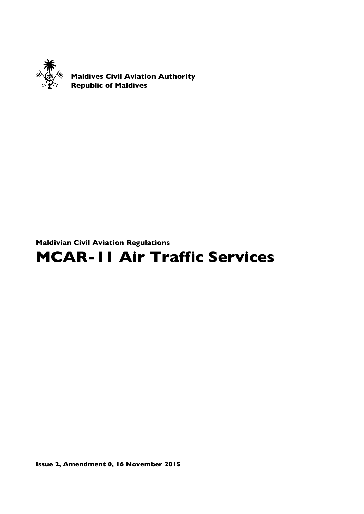

Maldives Civil Aviation Authority Republic of Maldives

# Maldivian Civil Aviation Regulations

# MCAR-11 Air Traffic Services

Issue 2, Amendment 0, 16 November 2015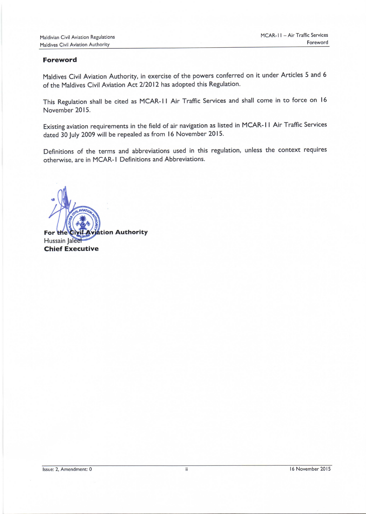#### Foreword

Maldives Civil Aviation Authority, in exercise of the powers conferred on it under Articles 5 and <sup>6</sup> of the Maldives Civil Aviation Act 2/20l2 has adopted this Regulation.

This Regulation shall be cited as MCAR-II Air Traffic Services and shall come in to force on 16 November 2015.

Existing aviation requirements in the field of air navigation as listed in MCAR- | | Air Traffic Services dated 30 July 2009 will be repealed as from l6 November 2015.

Definitions of the terms and abbreviations used in this regulation, unless the context requires otherwise, are in MCAR-I Definitions and Abbreviations.

For the Civil Aviation Authority Hussain Jalee Chief Executive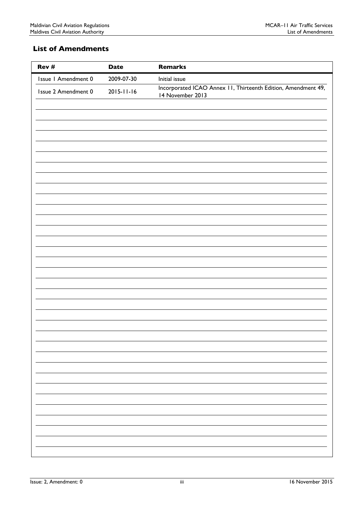# <span id="page-2-0"></span>List of Amendments

| Rev #               | <b>Date</b>      | <b>Remarks</b>                                                                    |
|---------------------|------------------|-----------------------------------------------------------------------------------|
| Issue I Amendment 0 | 2009-07-30       | Initial issue                                                                     |
| Issue 2 Amendment 0 | $2015 - 11 - 16$ | Incorporated ICAO Annex 11, Thirteenth Edition, Amendment 49,<br>14 November 2013 |
|                     |                  |                                                                                   |
|                     |                  |                                                                                   |
|                     |                  |                                                                                   |
|                     |                  |                                                                                   |
|                     |                  |                                                                                   |
|                     |                  |                                                                                   |
|                     |                  |                                                                                   |
|                     |                  |                                                                                   |
|                     |                  |                                                                                   |
|                     |                  |                                                                                   |
|                     |                  |                                                                                   |
|                     |                  |                                                                                   |
|                     |                  |                                                                                   |
|                     |                  |                                                                                   |
|                     |                  |                                                                                   |
|                     |                  |                                                                                   |
|                     |                  |                                                                                   |
|                     |                  |                                                                                   |
|                     |                  |                                                                                   |
|                     |                  |                                                                                   |
|                     |                  |                                                                                   |
|                     |                  |                                                                                   |
|                     |                  |                                                                                   |
|                     |                  |                                                                                   |
|                     |                  |                                                                                   |
|                     |                  |                                                                                   |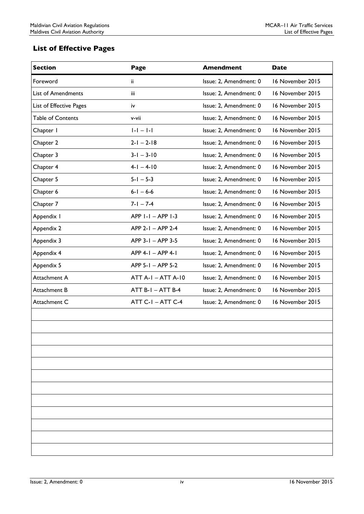# <span id="page-3-0"></span>List of Effective Pages

| <b>Section</b>           | Page                      | <b>Amendment</b>       | <b>Date</b>      |
|--------------------------|---------------------------|------------------------|------------------|
| Foreword                 | ii.                       | Issue: 2, Amendment: 0 | 16 November 2015 |
| List of Amendments       | iii                       | Issue: 2, Amendment: 0 | 16 November 2015 |
| List of Effective Pages  | iv                        | Issue: 2, Amendment: 0 | 16 November 2015 |
| <b>Table of Contents</b> | v-vii                     | Issue: 2, Amendment: 0 | 16 November 2015 |
| Chapter I                | $ - - - $                 | Issue: 2, Amendment: 0 | 16 November 2015 |
| Chapter 2                | $2-I - 2-I8$              | Issue: 2, Amendment: 0 | 16 November 2015 |
| Chapter 3                | $3 - 1 - 3 - 10$          | Issue: 2, Amendment: 0 | 16 November 2015 |
| Chapter 4                | $4 - 1 - 4 - 10$          | Issue: 2, Amendment: 0 | 16 November 2015 |
| Chapter 5                | $5 - 1 - 5 - 3$           | Issue: 2, Amendment: 0 | 16 November 2015 |
| Chapter 6                | $6 - 1 - 6 - 6$           | Issue: 2, Amendment: 0 | 16 November 2015 |
| Chapter 7                | $7 - 1 - 7 - 4$           | Issue: 2, Amendment: 0 | 16 November 2015 |
| Appendix I               | APP 1-1 - APP 1-3         | Issue: 2, Amendment: 0 | 16 November 2015 |
| Appendix 2               | APP 2-1 - APP 2-4         | Issue: 2, Amendment: 0 | 16 November 2015 |
| Appendix 3               | APP 3-1 - APP 3-5         | Issue: 2, Amendment: 0 | 16 November 2015 |
| Appendix 4               | APP 4-1 - APP 4-1         | Issue: 2, Amendment: 0 | 16 November 2015 |
| Appendix 5               | APP 5-1 - APP 5-2         | Issue: 2, Amendment: 0 | 16 November 2015 |
| Attachment A             | <b>ATT A-I - ATT A-I0</b> | Issue: 2, Amendment: 0 | 16 November 2015 |
| Attachment B             | ATT B-I - ATT B-4         | Issue: 2, Amendment: 0 | 16 November 2015 |
| Attachment C             | $ATT C-I - ATT C-4$       | Issue: 2, Amendment: 0 | 16 November 2015 |
|                          |                           |                        |                  |
|                          |                           |                        |                  |
|                          |                           |                        |                  |
|                          |                           |                        |                  |
|                          |                           |                        |                  |
|                          |                           |                        |                  |
|                          |                           |                        |                  |
|                          |                           |                        |                  |
|                          |                           |                        |                  |
|                          |                           |                        |                  |
|                          |                           |                        |                  |
|                          |                           |                        |                  |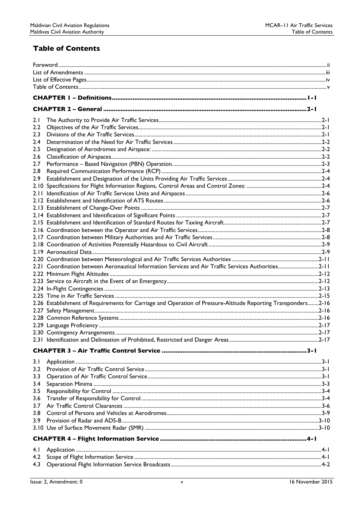# <span id="page-4-0"></span>**Table of Contents**

| 2.1              |                                                                                                               |  |  |  |
|------------------|---------------------------------------------------------------------------------------------------------------|--|--|--|
| 2.2              |                                                                                                               |  |  |  |
| 2.3              |                                                                                                               |  |  |  |
| 2.4              |                                                                                                               |  |  |  |
| 2.5              |                                                                                                               |  |  |  |
| 2.6              |                                                                                                               |  |  |  |
| 2.7              |                                                                                                               |  |  |  |
| 2.8              |                                                                                                               |  |  |  |
| 2.9              |                                                                                                               |  |  |  |
|                  |                                                                                                               |  |  |  |
|                  |                                                                                                               |  |  |  |
|                  |                                                                                                               |  |  |  |
|                  |                                                                                                               |  |  |  |
|                  |                                                                                                               |  |  |  |
|                  |                                                                                                               |  |  |  |
|                  |                                                                                                               |  |  |  |
|                  |                                                                                                               |  |  |  |
|                  |                                                                                                               |  |  |  |
|                  |                                                                                                               |  |  |  |
|                  |                                                                                                               |  |  |  |
|                  | 2.1 Coordination between Aeronautical Information Services and Air Traffic Services Authorities2-11           |  |  |  |
|                  |                                                                                                               |  |  |  |
|                  |                                                                                                               |  |  |  |
|                  |                                                                                                               |  |  |  |
|                  |                                                                                                               |  |  |  |
|                  | 2.16 Establishment of Requirements for Carriage and Operation of Pressure-Altitude Reporting Transponders2-16 |  |  |  |
|                  |                                                                                                               |  |  |  |
|                  |                                                                                                               |  |  |  |
|                  |                                                                                                               |  |  |  |
|                  |                                                                                                               |  |  |  |
|                  |                                                                                                               |  |  |  |
|                  |                                                                                                               |  |  |  |
|                  |                                                                                                               |  |  |  |
| 3.1<br>3.2       |                                                                                                               |  |  |  |
|                  |                                                                                                               |  |  |  |
| 3.3              |                                                                                                               |  |  |  |
| 3.4              |                                                                                                               |  |  |  |
| 3.5              |                                                                                                               |  |  |  |
| 3.6              |                                                                                                               |  |  |  |
| 3.7              |                                                                                                               |  |  |  |
| 3.8              |                                                                                                               |  |  |  |
| 3.9 <sup>2</sup> |                                                                                                               |  |  |  |
|                  |                                                                                                               |  |  |  |
|                  |                                                                                                               |  |  |  |
| 4.1              |                                                                                                               |  |  |  |
| 4.2              |                                                                                                               |  |  |  |
| 4.3              |                                                                                                               |  |  |  |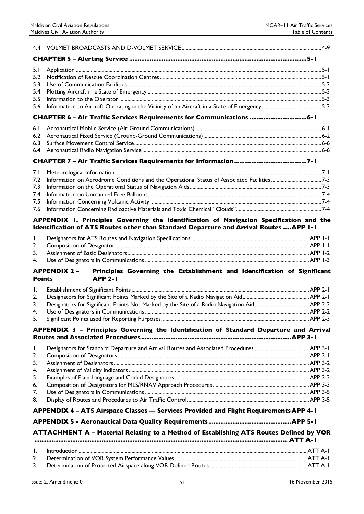| 5.1<br>5.2    |                                                                                                                                                                                  |  |
|---------------|----------------------------------------------------------------------------------------------------------------------------------------------------------------------------------|--|
|               |                                                                                                                                                                                  |  |
| 5.3           |                                                                                                                                                                                  |  |
| 5.4           |                                                                                                                                                                                  |  |
| 5.5           |                                                                                                                                                                                  |  |
| 5.6           | CHAPTER 6 - Air Traffic Services Requirements for Communications  6-1                                                                                                            |  |
|               |                                                                                                                                                                                  |  |
| 6.1           |                                                                                                                                                                                  |  |
| 6.2           |                                                                                                                                                                                  |  |
| 6.3           |                                                                                                                                                                                  |  |
| 6.4           |                                                                                                                                                                                  |  |
|               |                                                                                                                                                                                  |  |
| 7.I           |                                                                                                                                                                                  |  |
| 7.2           | Information on Aerodrome Conditions and the Operational Status of Associated Facilities 7-3                                                                                      |  |
| 7.3           |                                                                                                                                                                                  |  |
| 7.4           |                                                                                                                                                                                  |  |
| 7.5           |                                                                                                                                                                                  |  |
| 7.6           |                                                                                                                                                                                  |  |
|               | APPENDIX I. Principles Governing the Identification of Navigation Specification and the<br>Identification of ATS Routes other than Standard Departure and Arrival Routes APP I-I |  |
|               |                                                                                                                                                                                  |  |
| I.            |                                                                                                                                                                                  |  |
| 2.            |                                                                                                                                                                                  |  |
| 3.            |                                                                                                                                                                                  |  |
| 4.            |                                                                                                                                                                                  |  |
| <b>Points</b> | Principles Governing the Establishment and Identification of Significant<br><b>APPENDIX 2-</b><br><b>APP 2-1</b>                                                                 |  |
| Ι.            |                                                                                                                                                                                  |  |
| 2.            |                                                                                                                                                                                  |  |
| 3.            |                                                                                                                                                                                  |  |
| 4.            |                                                                                                                                                                                  |  |
| 5.            |                                                                                                                                                                                  |  |
|               | APPENDIX 3 - Principles Governing the Identification of Standard Departure and Arrival                                                                                           |  |
|               |                                                                                                                                                                                  |  |
| Ι.            |                                                                                                                                                                                  |  |
| 2.            |                                                                                                                                                                                  |  |
| 3.            |                                                                                                                                                                                  |  |
| 4.            |                                                                                                                                                                                  |  |
| 5.            |                                                                                                                                                                                  |  |
| 6.            |                                                                                                                                                                                  |  |
| 7.            |                                                                                                                                                                                  |  |
| 8.            |                                                                                                                                                                                  |  |
|               | APPENDIX 4 - ATS Airspace Classes - Services Provided and Flight Requirements APP 4-1                                                                                            |  |
|               |                                                                                                                                                                                  |  |
|               | ATTACHMENT A - Material Relating to a Method of Establishing ATS Routes Defined by VOR                                                                                           |  |
|               |                                                                                                                                                                                  |  |
| $\mathbf{L}$  |                                                                                                                                                                                  |  |
|               |                                                                                                                                                                                  |  |
| 2.            |                                                                                                                                                                                  |  |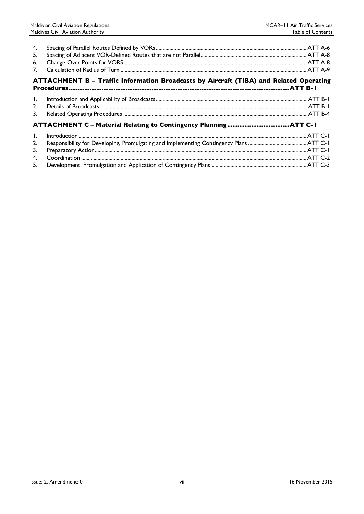| 4.<br>5.<br>6.<br>7.                   |                                                                                        |  |  |  |  |
|----------------------------------------|----------------------------------------------------------------------------------------|--|--|--|--|
|                                        | ATTACHMENT B - Traffic Information Broadcasts by Aircraft (TIBA) and Related Operating |  |  |  |  |
| $\mathbf{I}$ .<br>2.<br>3 <sub>1</sub> |                                                                                        |  |  |  |  |
|                                        |                                                                                        |  |  |  |  |
| $\mathbf{L}$<br>2.<br>3.<br>4.         |                                                                                        |  |  |  |  |
| 5.                                     |                                                                                        |  |  |  |  |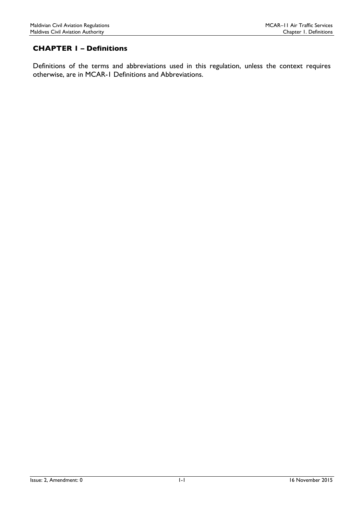# <span id="page-7-0"></span>CHAPTER 1 – Definitions

Definitions of the terms and abbreviations used in this regulation, unless the context requires otherwise, are in MCAR-1 Definitions and Abbreviations.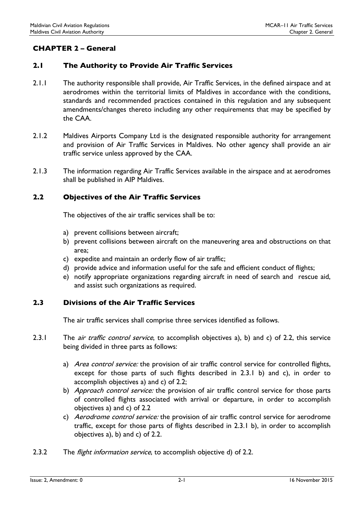# <span id="page-8-0"></span>CHAPTER 2 – General

# <span id="page-8-1"></span>2.1 The Authority to Provide Air Traffic Services

- 2.1.1 The authority responsible shall provide, Air Traffic Services, in the defined airspace and at aerodromes within the territorial limits of Maldives in accordance with the conditions, standards and recommended practices contained in this regulation and any subsequent amendments/changes thereto including any other requirements that may be specified by the CAA.
- 2.1.2 Maldives Airports Company Ltd is the designated responsible authority for arrangement and provision of Air Traffic Services in Maldives. No other agency shall provide an air traffic service unless approved by the CAA.
- 2.1.3 The information regarding Air Traffic Services available in the airspace and at aerodromes shall be published in AIP Maldives.

# <span id="page-8-2"></span>2.2 Objectives of the Air Traffic Services

The objectives of the air traffic services shall be to:

- a) prevent collisions between aircraft;
- b) prevent collisions between aircraft on the maneuvering area and obstructions on that area;
- c) expedite and maintain an orderly flow of air traffic;
- d) provide advice and information useful for the safe and efficient conduct of flights;
- e) notify appropriate organizations regarding aircraft in need of search and rescue aid, and assist such organizations as required.

# <span id="page-8-3"></span>2.3 Divisions of the Air Traffic Services

The air traffic services shall comprise three services identified as follows.

- 2.3.1 The *air traffic control service*, to accomplish objectives a), b) and c) of 2.2, this service being divided in three parts as follows:
	- a) Area control service: the provision of air traffic control service for controlled flights, except for those parts of such flights described in 2.3.1 b) and c), in order to accomplish objectives a) and c) of 2.2;
	- b) Approach control service: the provision of air traffic control service for those parts of controlled flights associated with arrival or departure, in order to accomplish objectives a) and c) of 2.2
	- c) Aerodrome control service: the provision of air traffic control service for aerodrome traffic, except for those parts of flights described in 2.3.1 b), in order to accomplish objectives a), b) and c) of 2.2.
- 2.3.2 The *flight information service*, to accomplish objective d) of 2.2.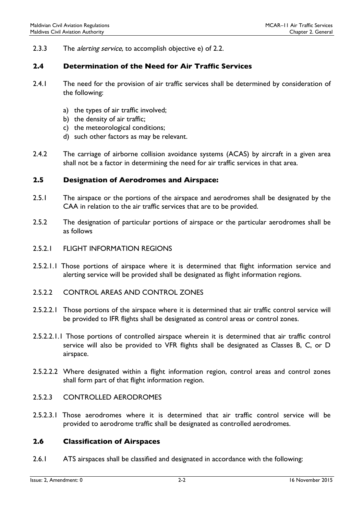2.3.3 The *alerting service*, to accomplish objective e) of 2.2.

# <span id="page-9-0"></span>2.4 Determination of the Need for Air Traffic Services

- 2.4.1 The need for the provision of air traffic services shall be determined by consideration of the following:
	- a) the types of air traffic involved;
	- b) the density of air traffic;
	- c) the meteorological conditions;
	- d) such other factors as may be relevant.
- 2.4.2 The carriage of airborne collision avoidance systems (ACAS) by aircraft in a given area shall not be a factor in determining the need for air traffic services in that area.

#### <span id="page-9-1"></span>2.5 Designation of Aerodromes and Airspace:

- 2.5.1 The airspace or the portions of the airspace and aerodromes shall be designated by the CAA in relation to the air traffic services that are to be provided.
- 2.5.2 The designation of particular portions of airspace or the particular aerodromes shall be as follows
- 2.5.2.1 FLIGHT INFORMATION REGIONS
- 2.5.2.1.1 Those portions of airspace where it is determined that flight information service and alerting service will be provided shall be designated as flight information regions.
- 2.5.2.2 CONTROL AREAS AND CONTROL ZONES
- 2.5.2.2.1 Those portions of the airspace where it is determined that air traffic control service will be provided to IFR flights shall be designated as control areas or control zones.
- 2.5.2.2.1.1 Those portions of controlled airspace wherein it is determined that air traffic control service will also be provided to VFR flights shall be designated as Classes B, C, or D airspace.
- 2.5.2.2.2 Where designated within a flight information region, control areas and control zones shall form part of that flight information region.

# 2.5.2.3 CONTROLLED AERODROMES

2.5.2.3.1 Those aerodromes where it is determined that air traffic control service will be provided to aerodrome traffic shall be designated as controlled aerodromes.

#### <span id="page-9-2"></span>2.6 Classification of Airspaces

2.6.1 ATS airspaces shall be classified and designated in accordance with the following: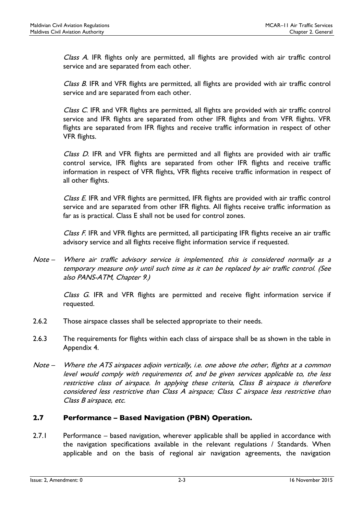Class A. IFR flights only are permitted, all flights are provided with air traffic control service and are separated from each other.

Class B. IFR and VFR flights are permitted, all flights are provided with air traffic control service and are separated from each other.

Class C. IFR and VFR flights are permitted, all flights are provided with air traffic control service and IFR flights are separated from other IFR flights and from VFR flights. VFR flights are separated from IFR flights and receive traffic information in respect of other VFR flights.

Class D. IFR and VFR flights are permitted and all flights are provided with air traffic control service, IFR flights are separated from other IFR flights and receive traffic information in respect of VFR flights, VFR flights receive traffic information in respect of all other flights.

Class E. IFR and VFR flights are permitted, IFR flights are provided with air traffic control service and are separated from other IFR flights. All flights receive traffic information as far as is practical. Class E shall not be used for control zones.

Class F. IFR and VFR flights are permitted, all participating IFR flights receive an air traffic advisory service and all flights receive flight information service if requested.

Note – Where air traffic advisory service is implemented, this is considered normally as a temporary measure only until such time as it can be replaced by air traffic control. (See also PANS-ATM, Chapter 9.)

Class G. IFR and VFR flights are permitted and receive flight information service if requested.

- 2.6.2 Those airspace classes shall be selected appropriate to their needs.
- 2.6.3 The requirements for flights within each class of airspace shall be as shown in the table in Appendix 4.
- Note Where the ATS airspaces adjoin vertically, i.e. one above the other, flights at a common level would comply with requirements of, and be given services applicable to, the less restrictive class of airspace. In applying these criteria, Class B airspace is therefore considered less restrictive than Class A airspace; Class C airspace less restrictive than Class B airspace, etc.

# <span id="page-10-0"></span>2.7 Performance – Based Navigation (PBN) Operation.

2.7.1 Performance – based navigation, wherever applicable shall be applied in accordance with the navigation specifications available in the relevant regulations / Standards. When applicable and on the basis of regional air navigation agreements, the navigation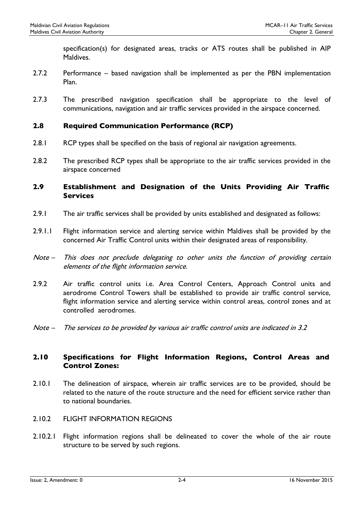specification(s) for designated areas, tracks or ATS routes shall be published in AIP Maldives.

- 2.7.2 Performance based navigation shall be implemented as per the PBN implementation Plan.
- 2.7.3 The prescribed navigation specification shall be appropriate to the level of communications, navigation and air traffic services provided in the airspace concerned.

# <span id="page-11-0"></span>2.8 Required Communication Performance (RCP)

- 2.8.1 RCP types shall be specified on the basis of regional air navigation agreements.
- 2.8.2 The prescribed RCP types shall be appropriate to the air traffic services provided in the airspace concerned

# <span id="page-11-1"></span>2.9 Establishment and Designation of the Units Providing Air Traffic Services

- 2.9.1 The air traffic services shall be provided by units established and designated as follows:
- 2.9.1.1 Flight information service and alerting service within Maldives shall be provided by the concerned Air Traffic Control units within their designated areas of responsibility.
- Note This does not preclude delegating to other units the function of providing certain elements of the flight information service.
- 2.9.2 Air traffic control units i.e. Area Control Centers, Approach Control units and aerodrome Control Towers shall be established to provide air traffic control service, flight information service and alerting service within control areas, control zones and at controlled aerodromes.
- Note The services to be provided by various air traffic control units are indicated in 3.2

# <span id="page-11-2"></span>2.10 Specifications for Flight Information Regions, Control Areas and Control Zones:

- 2.10.1 The delineation of airspace, wherein air traffic services are to be provided, should be related to the nature of the route structure and the need for efficient service rather than to national boundaries.
- 2.10.2 FLIGHT INFORMATION REGIONS
- 2.10.2.1 Flight information regions shall be delineated to cover the whole of the air route structure to be served by such regions.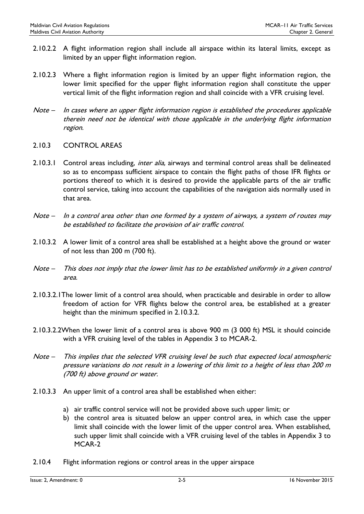- 2.10.2.2 A flight information region shall include all airspace within its lateral limits, except as limited by an upper flight information region.
- 2.10.2.3 Where a flight information region is limited by an upper flight information region, the lower limit specified for the upper flight information region shall constitute the upper vertical limit of the flight information region and shall coincide with a VFR cruising level.
- Note In cases where an upper flight information region is established the procedures applicable therein need not be identical with those applicable in the underlying flight information region.
- 2.10.3 CONTROL AREAS
- 2.10.3.1 Control areas including, inter alia, airways and terminal control areas shall be delineated so as to encompass sufficient airspace to contain the flight paths of those IFR flights or portions thereof to which it is desired to provide the applicable parts of the air traffic control service, taking into account the capabilities of the navigation aids normally used in that area.
- Note In a control area other than one formed by a system of airways, a system of routes may be established to facilitate the provision of air traffic control.
- 2.10.3.2 A lower limit of a control area shall be established at a height above the ground or water of not less than 200 m (700 ft).
- Note This does not imply that the lower limit has to be established uniformly in a given control area.
- 2.10.3.2.1The lower limit of a control area should, when practicable and desirable in order to allow freedom of action for VFR flights below the control area, be established at a greater height than the minimum specified in 2.10.3.2.
- 2.10.3.2.2When the lower limit of a control area is above 900 m (3 000 ft) MSL it should coincide with a VFR cruising level of the tables in Appendix 3 to MCAR-2.
- Note This implies that the selected VFR cruising level be such that expected local atmospheric pressure variations do not result in a lowering of this limit to a height of less than 200 m (700 ft) above ground or water.
- 2.10.3.3 An upper limit of a control area shall be established when either:
	- a) air traffic control service will not be provided above such upper limit; or
	- b) the control area is situated below an upper control area, in which case the upper limit shall coincide with the lower limit of the upper control area. When established, such upper limit shall coincide with a VFR cruising level of the tables in Appendix 3 to MCAR-2
- 2.10.4 Flight information regions or control areas in the upper airspace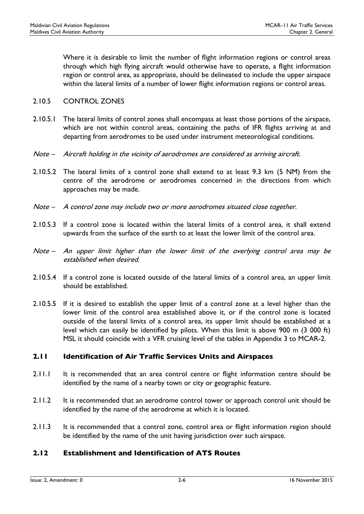Where it is desirable to limit the number of flight information regions or control areas through which high flying aircraft would otherwise have to operate, a flight information region or control area, as appropriate, should be delineated to include the upper airspace within the lateral limits of a number of lower flight information regions or control areas.

#### 2.10.5 CONTROL ZONES

- 2.10.5.1 The lateral limits of control zones shall encompass at least those portions of the airspace, which are not within control areas, containing the paths of IFR flights arriving at and departing from aerodromes to be used under instrument meteorological conditions.
- Note Aircraft holding in the vicinity of aerodromes are considered as arriving aircraft.
- 2.10.5.2 The lateral limits of a control zone shall extend to at least 9.3 km (5 NM) from the centre of the aerodrome or aerodromes concerned in the directions from which approaches may be made.
- Note A control zone may include two or more aerodromes situated close together.
- 2.10.5.3 If a control zone is located within the lateral limits of a control area, it shall extend upwards from the surface of the earth to at least the lower limit of the control area.
- Note An upper limit higher than the lower limit of the overlying control area may be established when desired.
- 2.10.5.4 If a control zone is located outside of the lateral limits of a control area, an upper limit should be established.
- 2.10.5.5 If it is desired to establish the upper limit of a control zone at a level higher than the lower limit of the control area established above it, or if the control zone is located outside of the lateral limits of a control area, its upper limit should be established at a level which can easily be identified by pilots. When this limit is above 900 m (3 000 ft) MSL it should coincide with a VFR cruising level of the tables in Appendix 3 to MCAR-2.

# <span id="page-13-0"></span>2.11 Identification of Air Traffic Services Units and Airspaces

- 2.11.1 It is recommended that an area control centre or flight information centre should be identified by the name of a nearby town or city or geographic feature.
- 2.11.2 It is recommended that an aerodrome control tower or approach control unit should be identified by the name of the aerodrome at which it is located.
- 2.11.3 It is recommended that a control zone, control area or flight information region should be identified by the name of the unit having jurisdiction over such airspace.

# <span id="page-13-1"></span>2.12 Establishment and Identification of ATS Routes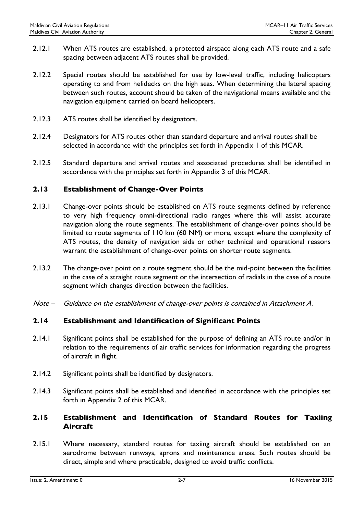- 2.12.1 When ATS routes are established, a protected airspace along each ATS route and a safe spacing between adjacent ATS routes shall be provided.
- 2.12.2 Special routes should be established for use by low-level traffic, including helicopters operating to and from helidecks on the high seas. When determining the lateral spacing between such routes, account should be taken of the navigational means available and the navigation equipment carried on board helicopters.
- 2.12.3 ATS routes shall be identified by designators.
- 2.12.4 Designators for ATS routes other than standard departure and arrival routes shall be selected in accordance with the principles set forth in Appendix 1 of this MCAR.
- 2.12.5 Standard departure and arrival routes and associated procedures shall be identified in accordance with the principles set forth in Appendix 3 of this MCAR.

# <span id="page-14-0"></span>2.13 Establishment of Change-Over Points

- 2.13.1 Change-over points should be established on ATS route segments defined by reference to very high frequency omni-directional radio ranges where this will assist accurate navigation along the route segments. The establishment of change-over points should be limited to route segments of 110 km (60 NM) or more, except where the complexity of ATS routes, the density of navigation aids or other technical and operational reasons warrant the establishment of change-over points on shorter route segments.
- 2.13.2 The change-over point on a route segment should be the mid-point between the facilities in the case of a straight route segment or the intersection of radials in the case of a route segment which changes direction between the facilities.
- Note Guidance on the establishment of change-over points is contained in Attachment A.

# <span id="page-14-1"></span>2.14 Establishment and Identification of Significant Points

- 2.14.1 Significant points shall be established for the purpose of defining an ATS route and/or in relation to the requirements of air traffic services for information regarding the progress of aircraft in flight.
- 2.14.2 Significant points shall be identified by designators.
- 2.14.3 Significant points shall be established and identified in accordance with the principles set forth in Appendix 2 of this MCAR.

# <span id="page-14-2"></span>2.15 Establishment and Identification of Standard Routes for Taxiing Aircraft

2.15.1 Where necessary, standard routes for taxiing aircraft should be established on an aerodrome between runways, aprons and maintenance areas. Such routes should be direct, simple and where practicable, designed to avoid traffic conflicts.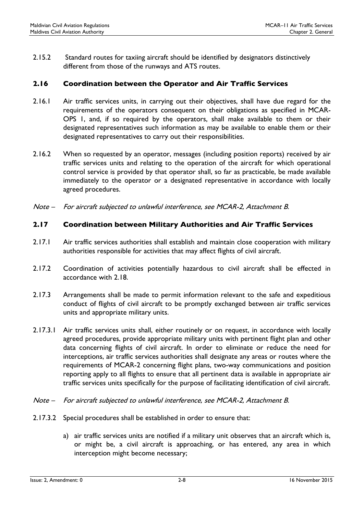2.15.2 Standard routes for taxiing aircraft should be identified by designators distinctively different from those of the runways and ATS routes.

# <span id="page-15-0"></span>2.16 Coordination between the Operator and Air Traffic Services

- 2.16.1 Air traffic services units, in carrying out their objectives, shall have due regard for the requirements of the operators consequent on their obligations as specified in MCAR-OPS 1, and, if so required by the operators, shall make available to them or their designated representatives such information as may be available to enable them or their designated representatives to carry out their responsibilities.
- 2.16.2 When so requested by an operator, messages (including position reports) received by air traffic services units and relating to the operation of the aircraft for which operational control service is provided by that operator shall, so far as practicable, be made available immediately to the operator or a designated representative in accordance with locally agreed procedures.
- Note For aircraft subjected to unlawful interference, see MCAR-2, Attachment B.

# <span id="page-15-1"></span>2.17 Coordination between Military Authorities and Air Traffic Services

- 2.17.1 Air traffic services authorities shall establish and maintain close cooperation with military authorities responsible for activities that may affect flights of civil aircraft.
- 2.17.2 Coordination of activities potentially hazardous to civil aircraft shall be effected in accordance with 2.18.
- 2.17.3 Arrangements shall be made to permit information relevant to the safe and expeditious conduct of flights of civil aircraft to be promptly exchanged between air traffic services units and appropriate military units.
- 2.17.3.1 Air traffic services units shall, either routinely or on request, in accordance with locally agreed procedures, provide appropriate military units with pertinent flight plan and other data concerning flights of civil aircraft. In order to eliminate or reduce the need for interceptions, air traffic services authorities shall designate any areas or routes where the requirements of MCAR-2 concerning flight plans, two-way communications and position reporting apply to all flights to ensure that all pertinent data is available in appropriate air traffic services units specifically for the purpose of facilitating identification of civil aircraft.
- Note For aircraft subjected to unlawful interference, see MCAR-2, Attachment B.
- 2.17.3.2 Special procedures shall be established in order to ensure that:
	- a) air traffic services units are notified if a military unit observes that an aircraft which is, or might be, a civil aircraft is approaching, or has entered, any area in which interception might become necessary;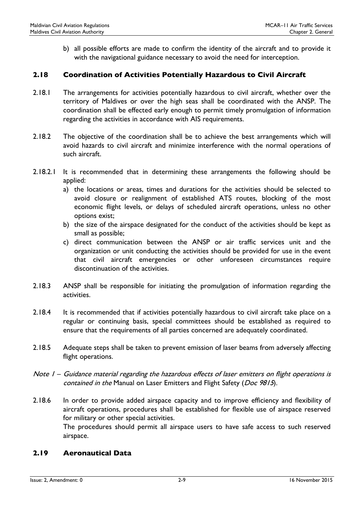b) all possible efforts are made to confirm the identity of the aircraft and to provide it with the navigational guidance necessary to avoid the need for interception.

#### <span id="page-16-0"></span>2.18 Coordination of Activities Potentially Hazardous to Civil Aircraft

- 2.18.1 The arrangements for activities potentially hazardous to civil aircraft, whether over the territory of Maldives or over the high seas shall be coordinated with the ANSP. The coordination shall be effected early enough to permit timely promulgation of information regarding the activities in accordance with AIS requirements.
- 2.18.2 The objective of the coordination shall be to achieve the best arrangements which will avoid hazards to civil aircraft and minimize interference with the normal operations of such aircraft.
- 2.18.2.1 It is recommended that in determining these arrangements the following should be applied:
	- a) the locations or areas, times and durations for the activities should be selected to avoid closure or realignment of established ATS routes, blocking of the most economic flight levels, or delays of scheduled aircraft operations, unless no other options exist;
	- b) the size of the airspace designated for the conduct of the activities should be kept as small as possible;
	- c) direct communication between the ANSP or air traffic services unit and the organization or unit conducting the activities should be provided for use in the event that civil aircraft emergencies or other unforeseen circumstances require discontinuation of the activities.
- 2.18.3 ANSP shall be responsible for initiating the promulgation of information regarding the activities.
- 2.18.4 It is recommended that if activities potentially hazardous to civil aircraft take place on a regular or continuing basis, special committees should be established as required to ensure that the requirements of all parties concerned are adequately coordinated.
- 2.18.5 Adequate steps shall be taken to prevent emission of laser beams from adversely affecting flight operations.
- Note 1 Guidance material regarding the hazardous effects of laser emitters on flight operations is contained in the Manual on Laser Emitters and Flight Safety (Doc 9815).
- 2.18.6 In order to provide added airspace capacity and to improve efficiency and flexibility of aircraft operations, procedures shall be established for flexible use of airspace reserved for military or other special activities.

The procedures should permit all airspace users to have safe access to such reserved airspace.

#### <span id="page-16-1"></span>2.19 Aeronautical Data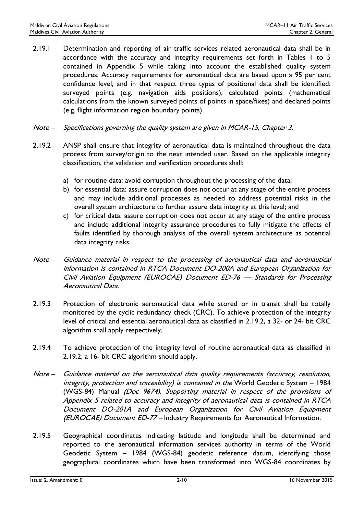- 2.19.1 Determination and reporting of air traffic services related aeronautical data shall be in accordance with the accuracy and integrity requirements set forth in Tables 1 to 5 contained in Appendix 5 while taking into account the established quality system procedures. Accuracy requirements for aeronautical data are based upon a 95 per cent confidence level, and in that respect three types of positional data shall be identified: surveyed points (e.g. navigation aids positions), calculated points (mathematical calculations from the known surveyed points of points in space/fixes) and declared points (e.g. flight information region boundary points).
- Note Specifications governing the quality system are given in MCAR-15, Chapter 3.
- 2.19.2 ANSP shall ensure that integrity of aeronautical data is maintained throughout the data process from survey/origin to the next intended user. Based on the applicable integrity classification, the validation and verification procedures shall:
	- a) for routine data: avoid corruption throughout the processing of the data;
	- b) for essential data: assure corruption does not occur at any stage of the entire process and may include additional processes as needed to address potential risks in the overall system architecture to further assure data integrity at this level; and
	- c) for critical data: assure corruption does not occur at any stage of the entire process and include additional integrity assurance procedures to fully mitigate the effects of faults identified by thorough analysis of the overall system architecture as potential data integrity risks.
- Note Guidance material in respect to the processing of aeronautical data and aeronautical information is contained in RTCA Document DO-200A and European Organization for Civil Aviation Equipment (EUROCAE) Document ED-76 — Standards for Processing Aeronautical Data.
- 2.19.3 Protection of electronic aeronautical data while stored or in transit shall be totally monitored by the cyclic redundancy check (CRC). To achieve protection of the integrity level of critical and essential aeronautical data as classified in 2.19.2, a 32- or 24- bit CRC algorithm shall apply respectively.
- 2.19.4 To achieve protection of the integrity level of routine aeronautical data as classified in 2.19.2, a 16- bit CRC algorithm should apply.
- Note Guidance material on the aeronautical data quality requirements (accuracy, resolution, integrity, protection and traceability) is contained in the World Geodetic System – 1984 (WGS-84) Manual (Doc 9674). Supporting material in respect of the provisions of Appendix 5 related to accuracy and integrity of aeronautical data is contained in RTCA Document DO-201A and European Organization for Civil Aviation Equipment (EUROCAE) Document ED-77 – Industry Requirements for Aeronautical Information.
- 2.19.5 Geographical coordinates indicating latitude and longitude shall be determined and reported to the aeronautical information services authority in terms of the World Geodetic System – 1984 (WGS-84) geodetic reference datum, identifying those geographical coordinates which have been transformed into WGS-84 coordinates by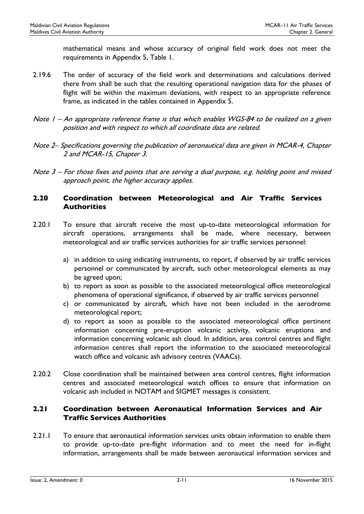mathematical means and whose accuracy of original field work does not meet the requirements in Appendix 5, Table 1.

- 2.19.6 The order of accuracy of the field work and determinations and calculations derived there from shall be such that the resulting operational navigation data for the phases of flight will be within the maximum deviations, with respect to an appropriate reference frame, as indicated in the tables contained in Appendix 5.
- Note I An appropriate reference frame is that which enables WGS-84 to be realized on a given position and with respect to which all coordinate data are related.
- Note 2– Specifications governing the publication of aeronautical data are given in MCAR-4, Chapter 2 and MCAR-15, Chapter 3.
- Note 3 For those fixes and points that are serving a dual purpose, e.g. holding point and missed approach point, the higher accuracy applies.

# <span id="page-18-0"></span>2.20 Coordination between Meteorological and Air Traffic Services **Authorities**

- 2.20.1 To ensure that aircraft receive the most up-to-date meteorological information for aircraft operations, arrangements shall be made, where necessary, between meteorological and air traffic services authorities for air traffic services personnel:
	- a) in addition to using indicating instruments, to report, if observed by air traffic services personnel or communicated by aircraft, such other meteorological elements as may be agreed upon;
	- b) to report as soon as possible to the associated meteorological office meteorological phenomena of operational significance, if observed by air traffic services personnel
	- c) or communicated by aircraft, which have not been included in the aerodrome meteorological report;
	- d) to report as soon as possible to the associated meteorological office pertinent information concerning pre-eruption volcanic activity, volcanic eruptions and information concerning volcanic ash cloud. In addition, area control centres and flight information centres shall report the information to the associated meteorological watch office and volcanic ash advisory centres (VAACs).
- 2.20.2 Close coordination shall be maintained between area control centres, flight information centres and associated meteorological watch offices to ensure that information on volcanic ash included in NOTAM and SIGMET messages is consistent.

# <span id="page-18-1"></span>2.21 Coordination between Aeronautical Information Services and Air Traffic Services Authorities

2.21.1 To ensure that aeronautical information services units obtain information to enable them to provide up-to-date pre-flight information and to meet the need for in-flight information, arrangements shall be made between aeronautical information services and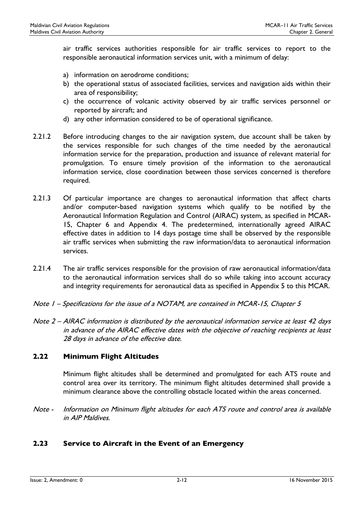air traffic services authorities responsible for air traffic services to report to the responsible aeronautical information services unit, with a minimum of delay:

- a) information on aerodrome conditions;
- b) the operational status of associated facilities, services and navigation aids within their area of responsibility;
- c) the occurrence of volcanic activity observed by air traffic services personnel or reported by aircraft; and
- d) any other information considered to be of operational significance.
- 2.21.2 Before introducing changes to the air navigation system, due account shall be taken by the services responsible for such changes of the time needed by the aeronautical information service for the preparation, production and issuance of relevant material for promulgation. To ensure timely provision of the information to the aeronautical information service, close coordination between those services concerned is therefore required.
- 2.21.3 Of particular importance are changes to aeronautical information that affect charts and/or computer-based navigation systems which qualify to be notified by the Aeronautical Information Regulation and Control (AIRAC) system, as specified in MCAR-15, Chapter 6 and Appendix 4. The predetermined, internationally agreed AIRAC effective dates in addition to 14 days postage time shall be observed by the responsible air traffic services when submitting the raw information/data to aeronautical information services.
- 2.21.4 The air traffic services responsible for the provision of raw aeronautical information/data to the aeronautical information services shall do so while taking into account accuracy and integrity requirements for aeronautical data as specified in Appendix 5 to this MCAR.
- Note 1 Specifications for the issue of a NOTAM, are contained in MCAR-15, Chapter 5
- Note 2 AIRAC information is distributed by the aeronautical information service at least 42 days in advance of the AIRAC effective dates with the objective of reaching recipients at least 28 days in advance of the effective date.

# <span id="page-19-0"></span>2.22 Minimum Flight Altitudes

Minimum flight altitudes shall be determined and promulgated for each ATS route and control area over its territory. The minimum flight altitudes determined shall provide a minimum clearance above the controlling obstacle located within the areas concerned.

Note - Information on Minimum flight altitudes for each ATS route and control area is available in AIP Maldives.

# <span id="page-19-1"></span>2.23 Service to Aircraft in the Event of an Emergency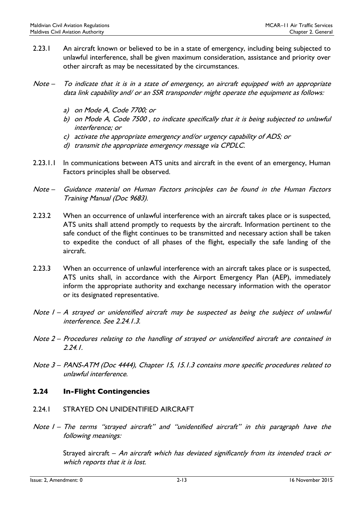- 2.23.1 An aircraft known or believed to be in a state of emergency, including being subjected to unlawful interference, shall be given maximum consideration, assistance and priority over other aircraft as may be necessitated by the circumstances.
- Note To indicate that it is in a state of emergency, an aircraft equipped with an appropriate data link capability and/ or an SSR transponder might operate the equipment as follows:
	- a) on Mode A, Code 7700; or
	- b) on Mode A, Code 7500 , to indicate specifically that it is being subjected to unlawful interference; or
	- c) activate the appropriate emergency and/or urgency capability of ADS; or
	- d) transmit the appropriate emergency message via CPDLC.
- 2.23.1.1 In communications between ATS units and aircraft in the event of an emergency, Human Factors principles shall be observed.
- Note Guidance material on Human Factors principles can be found in the Human Factors Training Manual (Doc 9683).
- 2.23.2 When an occurrence of unlawful interference with an aircraft takes place or is suspected, ATS units shall attend promptly to requests by the aircraft. Information pertinent to the safe conduct of the flight continues to be transmitted and necessary action shall be taken to expedite the conduct of all phases of the flight, especially the safe landing of the aircraft.
- 2.23.3 When an occurrence of unlawful interference with an aircraft takes place or is suspected, ATS units shall, in accordance with the Airport Emergency Plan (AEP), immediately inform the appropriate authority and exchange necessary information with the operator or its designated representative.
- Note I A strayed or unidentified aircraft may be suspected as being the subject of unlawful interference. See 2.24.1.3.
- Note 2 Procedures relating to the handling of strayed or unidentified aircraft are contained in 2.24.1.
- Note 3 PANS-ATM (Doc 4444), Chapter 15, 15.1.3 contains more specific procedures related to unlawful interference.

# <span id="page-20-0"></span>2.24 In-Flight Contingencies

- 2.24.1 STRAYED ON UNIDENTIFIED AIRCRAFT
- Note 1 The terms "strayed aircraft" and "unidentified aircraft" in this paragraph have the following meanings:

Strayed aircraft – An aircraft which has deviated significantly from its intended track or which reports that it is lost.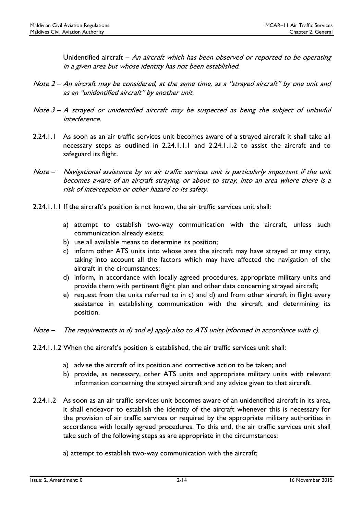Unidentified aircraft – An aircraft which has been observed or reported to be operating in a given area but whose identity has not been established.

- Note 2 An aircraft may be considered, at the same time, as a "strayed aircraft" by one unit and as an "unidentified aircraft" by another unit.
- Note  $3 A$  strayed or unidentified aircraft may be suspected as being the subject of unlawful interference.
- 2.24.1.1 As soon as an air traffic services unit becomes aware of a strayed aircraft it shall take all necessary steps as outlined in 2.24.1.1.1 and 2.24.1.1.2 to assist the aircraft and to safeguard its flight.
- Note Navigational assistance by an air traffic services unit is particularly important if the unit becomes aware of an aircraft straying, or about to stray, into an area where there is a risk of interception or other hazard to its safety.
- 2.24.1.1.1 If the aircraft's position is not known, the air traffic services unit shall:
	- a) attempt to establish two-way communication with the aircraft, unless such communication already exists;
	- b) use all available means to determine its position;
	- c) inform other ATS units into whose area the aircraft may have strayed or may stray, taking into account all the factors which may have affected the navigation of the aircraft in the circumstances;
	- d) inform, in accordance with locally agreed procedures, appropriate military units and provide them with pertinent flight plan and other data concerning strayed aircraft;
	- e) request from the units referred to in c) and d) and from other aircraft in flight every assistance in establishing communication with the aircraft and determining its position.
- Note The requirements in d) and e) apply also to ATS units informed in accordance with c).
- 2.24.1.1.2 When the aircraft's position is established, the air traffic services unit shall:
	- a) advise the aircraft of its position and corrective action to be taken; and
	- b) provide, as necessary, other ATS units and appropriate military units with relevant information concerning the strayed aircraft and any advice given to that aircraft.
- 2.24.1.2 As soon as an air traffic services unit becomes aware of an unidentified aircraft in its area, it shall endeavor to establish the identity of the aircraft whenever this is necessary for the provision of air traffic services or required by the appropriate military authorities in accordance with locally agreed procedures. To this end, the air traffic services unit shall take such of the following steps as are appropriate in the circumstances:
	- a) attempt to establish two-way communication with the aircraft;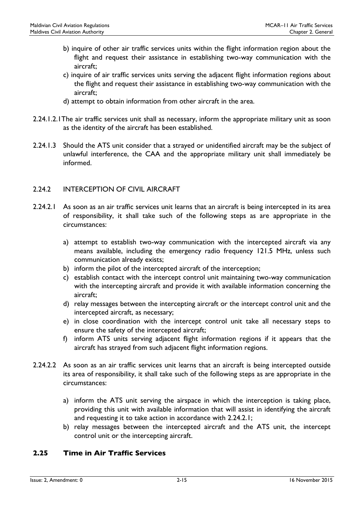- b) inquire of other air traffic services units within the flight information region about the flight and request their assistance in establishing two-way communication with the aircraft;
- c) inquire of air traffic services units serving the adjacent flight information regions about the flight and request their assistance in establishing two-way communication with the aircraft;
- d) attempt to obtain information from other aircraft in the area.
- 2.24.1.2.1The air traffic services unit shall as necessary, inform the appropriate military unit as soon as the identity of the aircraft has been established.
- 2.24.1.3 Should the ATS unit consider that a strayed or unidentified aircraft may be the subject of unlawful interference, the CAA and the appropriate military unit shall immediately be informed.

# 2.24.2 INTERCEPTION OF CIVIL AIRCRAFT

- 2.24.2.1 As soon as an air traffic services unit learns that an aircraft is being intercepted in its area of responsibility, it shall take such of the following steps as are appropriate in the circumstances:
	- a) attempt to establish two-way communication with the intercepted aircraft via any means available, including the emergency radio frequency 121.5 MHz, unless such communication already exists;
	- b) inform the pilot of the intercepted aircraft of the interception;
	- c) establish contact with the intercept control unit maintaining two-way communication with the intercepting aircraft and provide it with available information concerning the aircraft;
	- d) relay messages between the intercepting aircraft or the intercept control unit and the intercepted aircraft, as necessary;
	- e) in close coordination with the intercept control unit take all necessary steps to ensure the safety of the intercepted aircraft;
	- f) inform ATS units serving adjacent flight information regions if it appears that the aircraft has strayed from such adjacent flight information regions.
- 2.24.2.2 As soon as an air traffic services unit learns that an aircraft is being intercepted outside its area of responsibility, it shall take such of the following steps as are appropriate in the circumstances:
	- a) inform the ATS unit serving the airspace in which the interception is taking place, providing this unit with available information that will assist in identifying the aircraft and requesting it to take action in accordance with 2.24.2.1;
	- b) relay messages between the intercepted aircraft and the ATS unit, the intercept control unit or the intercepting aircraft.

# <span id="page-22-0"></span>2.25 Time in Air Traffic Services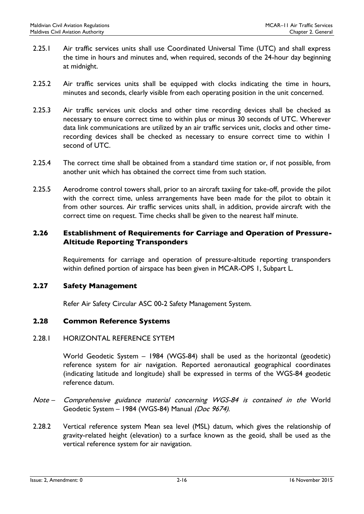- 2.25.1 Air traffic services units shall use Coordinated Universal Time (UTC) and shall express the time in hours and minutes and, when required, seconds of the 24-hour day beginning at midnight.
- 2.25.2 Air traffic services units shall be equipped with clocks indicating the time in hours, minutes and seconds, clearly visible from each operating position in the unit concerned.
- 2.25.3 Air traffic services unit clocks and other time recording devices shall be checked as necessary to ensure correct time to within plus or minus 30 seconds of UTC. Wherever data link communications are utilized by an air traffic services unit, clocks and other timerecording devices shall be checked as necessary to ensure correct time to within 1 second of UTC.
- 2.25.4 The correct time shall be obtained from a standard time station or, if not possible, from another unit which has obtained the correct time from such station.
- 2.25.5 Aerodrome control towers shall, prior to an aircraft taxiing for take-off, provide the pilot with the correct time, unless arrangements have been made for the pilot to obtain it from other sources. Air traffic services units shall, in addition, provide aircraft with the correct time on request. Time checks shall be given to the nearest half minute.

# <span id="page-23-0"></span>2.26 Establishment of Requirements for Carriage and Operation of Pressure-Altitude Reporting Transponders

Requirements for carriage and operation of pressure-altitude reporting transponders within defined portion of airspace has been given in MCAR-OPS 1, Subpart L.

# <span id="page-23-1"></span>2.27 Safety Management

Refer Air Safety Circular ASC 00-2 Safety Management System.

# <span id="page-23-2"></span>2.28 Common Reference Systems

# 2.28.1 HORIZONTAL REFERENCE SYTEM

World Geodetic System – 1984 (WGS-84) shall be used as the horizontal (geodetic) reference system for air navigation. Reported aeronautical geographical coordinates (indicating latitude and longitude) shall be expressed in terms of the WGS-84 geodetic reference datum.

- Note Comprehensive guidance material concerning WGS-84 is contained in the World Geodetic System - 1984 (WGS-84) Manual (Doc 9674).
- 2.28.2 Vertical reference system Mean sea level (MSL) datum, which gives the relationship of gravity-related height (elevation) to a surface known as the geoid, shall be used as the vertical reference system for air navigation.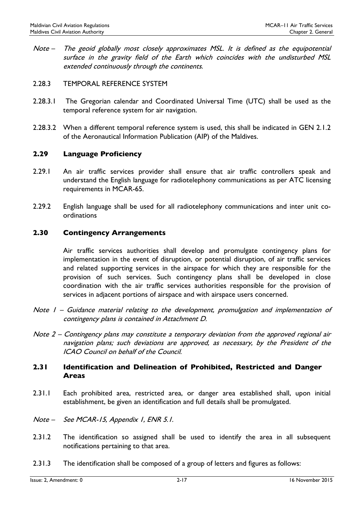- Note The geoid globally most closely approximates MSL. It is defined as the equipotential surface in the gravity field of the Earth which coincides with the undisturbed MSL extended continuously through the continents.
- 2.28.3 TEMPORAL REFERENCE SYSTEM
- 2.28.3.1 The Gregorian calendar and Coordinated Universal Time (UTC) shall be used as the temporal reference system for air navigation.
- 2.28.3.2 When a different temporal reference system is used, this shall be indicated in GEN 2.1.2 of the Aeronautical Information Publication (AIP) of the Maldives.

# <span id="page-24-0"></span>2.29 Language Proficiency

- 2.29.1 An air traffic services provider shall ensure that air traffic controllers speak and understand the English language for radiotelephony communications as per ATC licensing requirements in MCAR-65.
- 2.29.2 English language shall be used for all radiotelephony communications and inter unit coordinations

# <span id="page-24-1"></span>2.30 Contingency Arrangements

Air traffic services authorities shall develop and promulgate contingency plans for implementation in the event of disruption, or potential disruption, of air traffic services and related supporting services in the airspace for which they are responsible for the provision of such services. Such contingency plans shall be developed in close coordination with the air traffic services authorities responsible for the provision of services in adjacent portions of airspace and with airspace users concerned.

- Note I Guidance material relating to the development, promulgation and implementation of contingency plans is contained in Attachment D.
- Note 2 Contingency plans may constitute a temporary deviation from the approved regional air navigation plans; such deviations are approved, as necessary, by the President of the ICAO Council on behalf of the Council.

# <span id="page-24-2"></span>2.31 Identification and Delineation of Prohibited, Restricted and Danger Areas

- 2.31.1 Each prohibited area, restricted area, or danger area established shall, upon initial establishment, be given an identification and full details shall be promulgated.
- Note See MCAR-15, Appendix 1, ENR 5.1.
- 2.31.2 The identification so assigned shall be used to identify the area in all subsequent notifications pertaining to that area.
- 2.31.3 The identification shall be composed of a group of letters and figures as follows: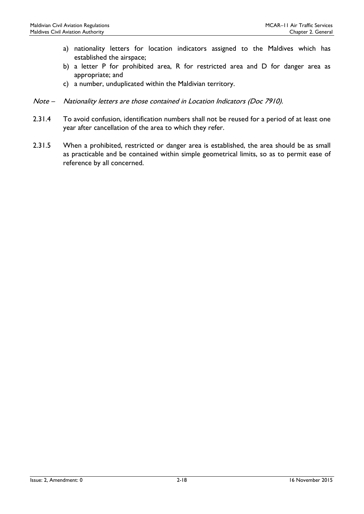- a) nationality letters for location indicators assigned to the Maldives which has established the airspace;
- b) a letter P for prohibited area, R for restricted area and D for danger area as appropriate; and
- c) a number, unduplicated within the Maldivian territory.
- Note Nationality letters are those contained in Location Indicators (Doc 7910).
- 2.31.4 To avoid confusion, identification numbers shall not be reused for a period of at least one year after cancellation of the area to which they refer.
- 2.31.5 When a prohibited, restricted or danger area is established, the area should be as small as practicable and be contained within simple geometrical limits, so as to permit ease of reference by all concerned.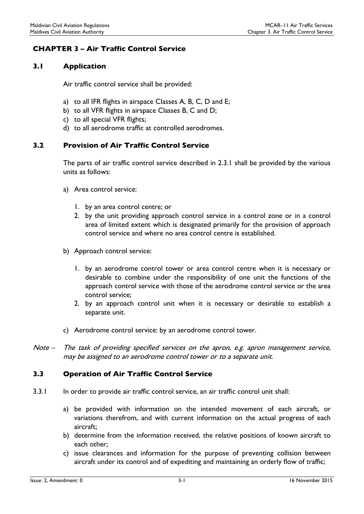# <span id="page-26-0"></span>CHAPTER 3 – Air Traffic Control Service

# <span id="page-26-1"></span>3.1 Application

Air traffic control service shall be provided:

- a) to all IFR flights in airspace Classes A, B, C, D and E;
- b) to all VFR flights in airspace Classes B, C and D;
- c) to all special VFR flights;
- d) to all aerodrome traffic at controlled aerodromes.

# <span id="page-26-2"></span>3.2 Provision of Air Traffic Control Service

The parts of air traffic control service described in 2.3.1 shall be provided by the various units as follows:

- a) Area control service:
	- 1. by an area control centre; or
	- 2. by the unit providing approach control service in a control zone or in a control area of limited extent which is designated primarily for the provision of approach control service and where no area control centre is established.
- b) Approach control service:
	- 1. by an aerodrome control tower or area control centre when it is necessary or desirable to combine under the responsibility of one unit the functions of the approach control service with those of the aerodrome control service or the area control service;
	- 2. by an approach control unit when it is necessary or desirable to establish a separate unit.
- c) Aerodrome control service: by an aerodrome control tower.
- Note The task of providing specified services on the apron, e.g. apron management service, may be assigned to an aerodrome control tower or to a separate unit.

# <span id="page-26-3"></span>3.3 Operation of Air Traffic Control Service

- 3.3.1 In order to provide air traffic control service, an air traffic control unit shall:
	- a) be provided with information on the intended movement of each aircraft, or variations therefrom, and with current information on the actual progress of each aircraft;
	- b) determine from the information received, the relative positions of known aircraft to each other;
	- c) issue clearances and information for the purpose of preventing collision between aircraft under its control and of expediting and maintaining an orderly flow of traffic;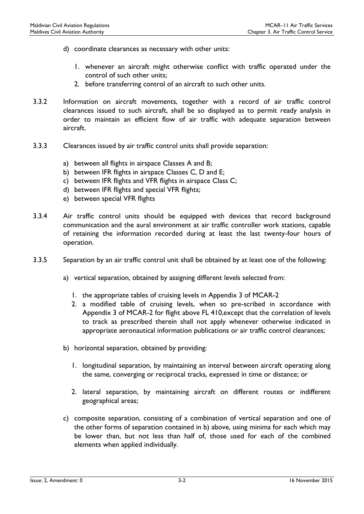- d) coordinate clearances as necessary with other units:
	- 1. whenever an aircraft might otherwise conflict with traffic operated under the control of such other units;
	- 2. before transferring control of an aircraft to such other units.
- 3.3.2 Information on aircraft movements, together with a record of air traffic control clearances issued to such aircraft, shall be so displayed as to permit ready analysis in order to maintain an efficient flow of air traffic with adequate separation between aircraft.
- 3.3.3 Clearances issued by air traffic control units shall provide separation:
	- a) between all flights in airspace Classes A and B;
	- b) between IFR flights in airspace Classes C, D and E;
	- c) between IFR flights and VFR flights in airspace Class C;
	- d) between IFR flights and special VFR flights;
	- e) between special VFR flights
- 3.3.4 Air traffic control units should be equipped with devices that record background communication and the aural environment at air traffic controller work stations, capable of retaining the information recorded during at least the last twenty-four hours of operation.
- 3.3.5 Separation by an air traffic control unit shall be obtained by at least one of the following:
	- a) vertical separation, obtained by assigning different levels selected from:
		- 1. the appropriate tables of cruising levels in Appendix 3 of MCAR-2
		- 2. a modified table of cruising levels, when so pre-scribed in accordance with Appendix 3 of MCAR-2 for flight above FL 410,except that the correlation of levels to track as prescribed therein shall not apply whenever otherwise indicated in appropriate aeronautical information publications or air traffic control clearances;
	- b) horizontal separation, obtained by providing:
		- 1. longitudinal separation, by maintaining an interval between aircraft operating along the same, converging or reciprocal tracks, expressed in time or distance; or
		- 2. lateral separation, by maintaining aircraft on different routes or indifferent geographical areas;
	- c) composite separation, consisting of a combination of vertical separation and one of the other forms of separation contained in b) above, using minima for each which may be lower than, but not less than half of, those used for each of the combined elements when applied individually.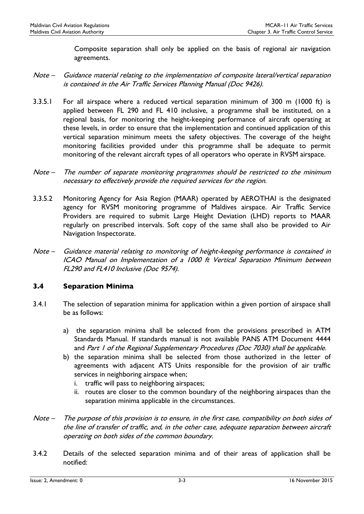Composite separation shall only be applied on the basis of regional air navigation agreements.

- Note Guidance material relating to the implementation of composite lateral/vertical separation is contained in the Air Traffic Services Planning Manual (Doc 9426).
- 3.3.5.1 For all airspace where a reduced vertical separation minimum of 300 m (1000 ft) is applied between FL 290 and FL 410 inclusive, a programme shall be instituted, on a regional basis, for monitoring the height-keeping performance of aircraft operating at these levels, in order to ensure that the implementation and continued application of this vertical separation minimum meets the safety objectives. The coverage of the height monitoring facilities provided under this programme shall be adequate to permit monitoring of the relevant aircraft types of all operators who operate in RVSM airspace.
- Note The number of separate monitoring programmes should be restricted to the minimum necessary to effectively provide the required services for the region.
- 3.3.5.2 Monitoring Agency for Asia Region (MAAR) operated by AEROTHAI is the designated agency for RVSM monitoring programme of Maldives airspace. Air Traffic Service Providers are required to submit Large Height Deviation (LHD) reports to MAAR regularly on prescribed intervals. Soft copy of the same shall also be provided to Air Navigation Inspectorate.
- Note Guidance material relating to monitoring of height-keeping performance is contained in ICAO Manual on Implementation of a 1000 ft Vertical Separation Minimum between FL290 and FL410 Inclusive (Doc 9574).

# <span id="page-28-0"></span>3.4 Separation Minima

- 3.4.1 The selection of separation minima for application within a given portion of airspace shall be as follows:
	- a) the separation minima shall be selected from the provisions prescribed in ATM Standards Manual. If standards manual is not available PANS ATM Document 4444 and Part 1 of the Regional Supplementary Procedures (Doc 7030) shall be applicable.
	- b) the separation minima shall be selected from those authorized in the letter of agreements with adjacent ATS Units responsible for the provision of air traffic services in neighboring airspace when;
		- i. traffic will pass to neighboring airspaces;
		- ii. routes are closer to the common boundary of the neighboring airspaces than the separation minima applicable in the circumstances.
- Note The purpose of this provision is to ensure, in the first case, compatibility on both sides of the line of transfer of traffic, and, in the other case, adequate separation between aircraft operating on both sides of the common boundary.
- 3.4.2 Details of the selected separation minima and of their areas of application shall be notified: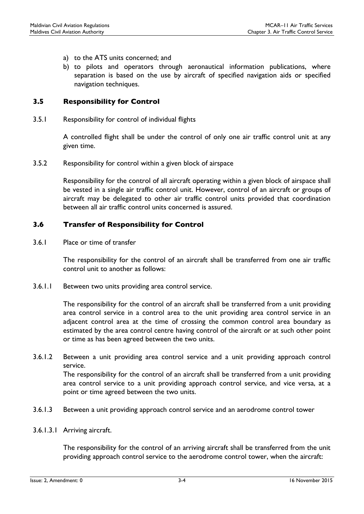- a) to the ATS units concerned; and
- b) to pilots and operators through aeronautical information publications, where separation is based on the use by aircraft of specified navigation aids or specified navigation techniques.

# <span id="page-29-0"></span>3.5 Responsibility for Control

3.5.1 Responsibility for control of individual flights

A controlled flight shall be under the control of only one air traffic control unit at any given time.

3.5.2 Responsibility for control within a given block of airspace

Responsibility for the control of all aircraft operating within a given block of airspace shall be vested in a single air traffic control unit. However, control of an aircraft or groups of aircraft may be delegated to other air traffic control units provided that coordination between all air traffic control units concerned is assured.

# <span id="page-29-1"></span>3.6 Transfer of Responsibility for Control

3.6.1 Place or time of transfer

The responsibility for the control of an aircraft shall be transferred from one air traffic control unit to another as follows:

3.6.1.1 Between two units providing area control service.

The responsibility for the control of an aircraft shall be transferred from a unit providing area control service in a control area to the unit providing area control service in an adjacent control area at the time of crossing the common control area boundary as estimated by the area control centre having control of the aircraft or at such other point or time as has been agreed between the two units.

3.6.1.2 Between a unit providing area control service and a unit providing approach control service.

The responsibility for the control of an aircraft shall be transferred from a unit providing area control service to a unit providing approach control service, and vice versa, at a point or time agreed between the two units.

- 3.6.1.3 Between a unit providing approach control service and an aerodrome control tower
- 3.6.1.3.1 Arriving aircraft.

The responsibility for the control of an arriving aircraft shall be transferred from the unit providing approach control service to the aerodrome control tower, when the aircraft: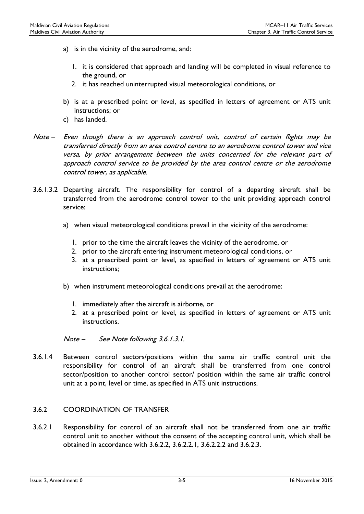- a) is in the vicinity of the aerodrome, and:
	- 1. it is considered that approach and landing will be completed in visual reference to the ground, or
	- 2. it has reached uninterrupted visual meteorological conditions, or
- b) is at a prescribed point or level, as specified in letters of agreement or ATS unit instructions; or
- c) has landed.
- Note Even though there is an approach control unit, control of certain flights may be transferred directly from an area control centre to an aerodrome control tower and vice versa, by prior arrangement between the units concerned for the relevant part of approach control service to be provided by the area control centre or the aerodrome control tower, as applicable.
- 3.6.1.3.2 Departing aircraft. The responsibility for control of a departing aircraft shall be transferred from the aerodrome control tower to the unit providing approach control service:
	- a) when visual meteorological conditions prevail in the vicinity of the aerodrome:
		- 1. prior to the time the aircraft leaves the vicinity of the aerodrome, or
		- 2. prior to the aircraft entering instrument meteorological conditions, or
		- 3. at a prescribed point or level, as specified in letters of agreement or ATS unit instructions;
	- b) when instrument meteorological conditions prevail at the aerodrome:
		- 1. immediately after the aircraft is airborne, or
		- 2. at a prescribed point or level, as specified in letters of agreement or ATS unit instructions.

Note – See Note following 3.6.1.3.1.

3.6.1.4 Between control sectors/positions within the same air traffic control unit the responsibility for control of an aircraft shall be transferred from one control sector/position to another control sector/ position within the same air traffic control unit at a point, level or time, as specified in ATS unit instructions.

# 3.6.2 COORDINATION OF TRANSFER

3.6.2.1 Responsibility for control of an aircraft shall not be transferred from one air traffic control unit to another without the consent of the accepting control unit, which shall be obtained in accordance with 3.6.2.2, 3.6.2.2.1, 3.6.2.2.2 and 3.6.2.3.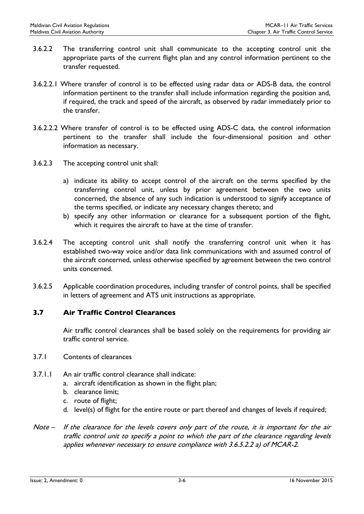- 3.6.2.2 The transferring control unit shall communicate to the accepting control unit the appropriate parts of the current flight plan and any control information pertinent to the transfer requested.
- 3.6.2.2.1 Where transfer of control is to be effected using radar data or ADS-B data, the control information pertinent to the transfer shall include information regarding the position and, if required, the track and speed of the aircraft, as observed by radar immediately prior to the transfer.
- 3.6.2.2.2 Where transfer of control is to be effected using ADS-C data, the control information pertinent to the transfer shall include the four-dimensional position and other information as necessary.
- 3.6.2.3 The accepting control unit shall:
	- a) indicate its ability to accept control of the aircraft on the terms specified by the transferring control unit, unless by prior agreement between the two units concerned, the absence of any such indication is understood to signify acceptance of the terms specified, or indicate any necessary changes thereto; and
	- b) specify any other information or clearance for a subsequent portion of the flight, which it requires the aircraft to have at the time of transfer.
- 3.6.2.4 The accepting control unit shall notify the transferring control unit when it has established two-way voice and/or data link communications with and assumed control of the aircraft concerned, unless otherwise specified by agreement between the two control units concerned.
- 3.6.2.5 Applicable coordination procedures, including transfer of control points, shall be specified in letters of agreement and ATS unit instructions as appropriate.

# <span id="page-31-0"></span>3.7 Air Traffic Control Clearances

Air traffic control clearances shall be based solely on the requirements for providing air traffic control service.

#### 3.7.1 Contents of clearances

- 3.7.1.1 An air traffic control clearance shall indicate:
	- a. aircraft identification as shown in the flight plan;
	- b. clearance limit;
	- c. route of flight;
	- d. level(s) of flight for the entire route or part thereof and changes of levels if required;
- Note If the clearance for the levels covers only part of the route, it is important for the air traffic control unit to specify a point to which the part of the clearance regarding levels applies whenever necessary to ensure compliance with 3.6.5.2.2 a) of MCAR-2.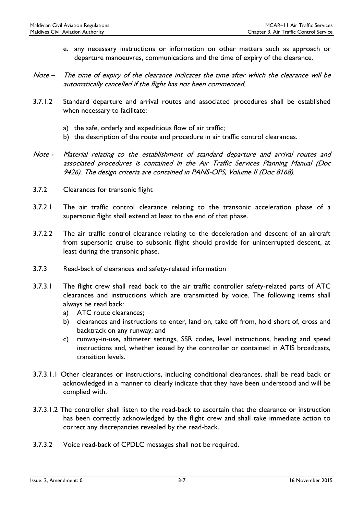- e. any necessary instructions or information on other matters such as approach or departure manoeuvres, communications and the time of expiry of the clearance.
- Note The time of expiry of the clearance indicates the time after which the clearance will be automatically cancelled if the flight has not been commenced.
- 3.7.1.2 Standard departure and arrival routes and associated procedures shall be established when necessary to facilitate:
	- a) the safe, orderly and expeditious flow of air traffic;
	- b) the description of the route and procedure in air traffic control clearances.
- Note Material relating to the establishment of standard departure and arrival routes and associated procedures is contained in the Air Traffic Services Planning Manual (Doc 9426). The design criteria are contained in PANS-OPS, Volume II (Doc 8168).
- 3.7.2 Clearances for transonic flight
- 3.7.2.1 The air traffic control clearance relating to the transonic acceleration phase of a supersonic flight shall extend at least to the end of that phase.
- 3.7.2.2 The air traffic control clearance relating to the deceleration and descent of an aircraft from supersonic cruise to subsonic flight should provide for uninterrupted descent, at least during the transonic phase.
- 3.7.3 Read-back of clearances and safety-related information
- 3.7.3.1 The flight crew shall read back to the air traffic controller safety-related parts of ATC clearances and instructions which are transmitted by voice. The following items shall always be read back:
	- a) ATC route clearances;
	- b) clearances and instructions to enter, land on, take off from, hold short of, cross and backtrack on any runway; and
	- c) runway-in-use, altimeter settings, SSR codes, level instructions, heading and speed instructions and, whether issued by the controller or contained in ATIS broadcasts, transition levels.
- 3.7.3.1.1 Other clearances or instructions, including conditional clearances, shall be read back or acknowledged in a manner to clearly indicate that they have been understood and will be complied with.
- 3.7.3.1.2 The controller shall listen to the read-back to ascertain that the clearance or instruction has been correctly acknowledged by the flight crew and shall take immediate action to correct any discrepancies revealed by the read-back.
- 3.7.3.2 Voice read-back of CPDLC messages shall not be required.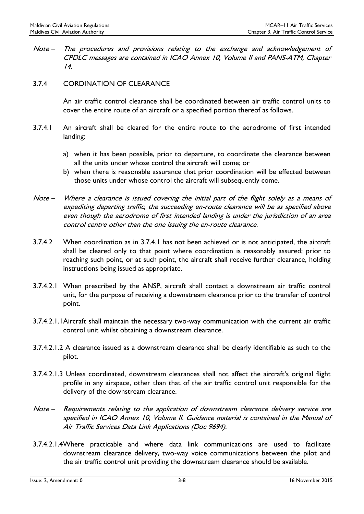- Note The procedures and provisions relating to the exchange and acknowledgement of CPDLC messages are contained in ICAO Annex 10, Volume II and PANS-ATM, Chapter 14.
- 3.7.4 CORDINATION OF CLEARANCE

An air traffic control clearance shall be coordinated between air traffic control units to cover the entire route of an aircraft or a specified portion thereof as follows.

- 3.7.4.1 An aircraft shall be cleared for the entire route to the aerodrome of first intended landing:
	- a) when it has been possible, prior to departure, to coordinate the clearance between all the units under whose control the aircraft will come; or
	- b) when there is reasonable assurance that prior coordination will be effected between those units under whose control the aircraft will subsequently come.
- Note Where a clearance is issued covering the initial part of the flight solely as a means of expediting departing traffic, the succeeding en-route clearance will be as specified above even though the aerodrome of first intended landing is under the jurisdiction of an area control centre other than the one issuing the en-route clearance.
- 3.7.4.2 When coordination as in 3.7.4.1 has not been achieved or is not anticipated, the aircraft shall be cleared only to that point where coordination is reasonably assured; prior to reaching such point, or at such point, the aircraft shall receive further clearance, holding instructions being issued as appropriate.
- 3.7.4.2.1 When prescribed by the ANSP, aircraft shall contact a downstream air traffic control unit, for the purpose of receiving a downstream clearance prior to the transfer of control point.
- 3.7.4.2.1.1Aircraft shall maintain the necessary two-way communication with the current air traffic control unit whilst obtaining a downstream clearance.
- 3.7.4.2.1.2 A clearance issued as a downstream clearance shall be clearly identifiable as such to the pilot.
- 3.7.4.2.1.3 Unless coordinated, downstream clearances shall not affect the aircraft's original flight profile in any airspace, other than that of the air traffic control unit responsible for the delivery of the downstream clearance.
- Note Requirements relating to the application of downstream clearance delivery service are specified in ICAO Annex 10, Volume II. Guidance material is contained in the Manual of Air Traffic Services Data Link Applications (Doc 9694).
- 3.7.4.2.1.4Where practicable and where data link communications are used to facilitate downstream clearance delivery, two-way voice communications between the pilot and the air traffic control unit providing the downstream clearance should be available.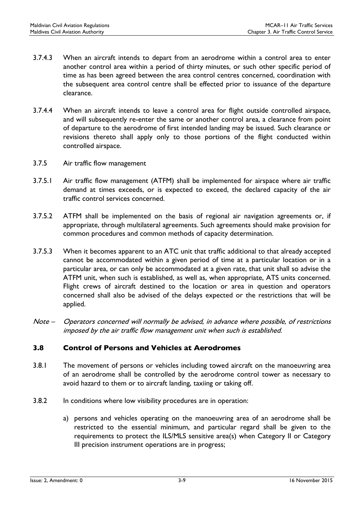- 3.7.4.3 When an aircraft intends to depart from an aerodrome within a control area to enter another control area within a period of thirty minutes, or such other specific period of time as has been agreed between the area control centres concerned, coordination with the subsequent area control centre shall be effected prior to issuance of the departure clearance.
- 3.7.4.4 When an aircraft intends to leave a control area for flight outside controlled airspace, and will subsequently re-enter the same or another control area, a clearance from point of departure to the aerodrome of first intended landing may be issued. Such clearance or revisions thereto shall apply only to those portions of the flight conducted within controlled airspace.
- 3.7.5 Air traffic flow management
- 3.7.5.1 Air traffic flow management (ATFM) shall be implemented for airspace where air traffic demand at times exceeds, or is expected to exceed, the declared capacity of the air traffic control services concerned.
- 3.7.5.2 ATFM shall be implemented on the basis of regional air navigation agreements or, if appropriate, through multilateral agreements. Such agreements should make provision for common procedures and common methods of capacity determination.
- 3.7.5.3 When it becomes apparent to an ATC unit that traffic additional to that already accepted cannot be accommodated within a given period of time at a particular location or in a particular area, or can only be accommodated at a given rate, that unit shall so advise the ATFM unit, when such is established, as well as, when appropriate, ATS units concerned. Flight crews of aircraft destined to the location or area in question and operators concerned shall also be advised of the delays expected or the restrictions that will be applied.
- Note Operators concerned will normally be advised, in advance where possible, of restrictions imposed by the air traffic flow management unit when such is established.

# <span id="page-34-0"></span>3.8 Control of Persons and Vehicles at Aerodromes

- 3.8.1 The movement of persons or vehicles including towed aircraft on the manoeuvring area of an aerodrome shall be controlled by the aerodrome control tower as necessary to avoid hazard to them or to aircraft landing, taxiing or taking off.
- 3.8.2 In conditions where low visibility procedures are in operation:
	- a) persons and vehicles operating on the manoeuvring area of an aerodrome shall be restricted to the essential minimum, and particular regard shall be given to the requirements to protect the ILS/MLS sensitive area(s) when Category II or Category III precision instrument operations are in progress;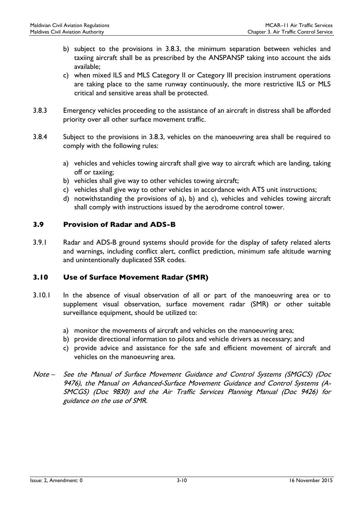- b) subject to the provisions in 3.8.3, the minimum separation between vehicles and taxiing aircraft shall be as prescribed by the ANSPANSP taking into account the aids available;
- c) when mixed ILS and MLS Category II or Category III precision instrument operations are taking place to the same runway continuously, the more restrictive ILS or MLS critical and sensitive areas shall be protected.
- 3.8.3 Emergency vehicles proceeding to the assistance of an aircraft in distress shall be afforded priority over all other surface movement traffic.
- 3.8.4 Subject to the provisions in 3.8.3, vehicles on the manoeuvring area shall be required to comply with the following rules:
	- a) vehicles and vehicles towing aircraft shall give way to aircraft which are landing, taking off or taxiing;
	- b) vehicles shall give way to other vehicles towing aircraft;
	- c) vehicles shall give way to other vehicles in accordance with ATS unit instructions;
	- d) notwithstanding the provisions of a), b) and c), vehicles and vehicles towing aircraft shall comply with instructions issued by the aerodrome control tower.

#### <span id="page-35-0"></span>3.9 Provision of Radar and ADS-B

3.9.1 Radar and ADS-B ground systems should provide for the display of safety related alerts and warnings, including conflict alert, conflict prediction, minimum safe altitude warning and unintentionally duplicated SSR codes.

# <span id="page-35-1"></span>3.10 Use of Surface Movement Radar (SMR)

- 3.10.1 In the absence of visual observation of all or part of the manoeuvring area or to supplement visual observation, surface movement radar (SMR) or other suitable surveillance equipment, should be utilized to:
	- a) monitor the movements of aircraft and vehicles on the manoeuvring area;
	- b) provide directional information to pilots and vehicle drivers as necessary; and
	- c) provide advice and assistance for the safe and efficient movement of aircraft and vehicles on the manoeuvring area.
- Note See the Manual of Surface Movement Guidance and Control Systems (SMGCS) (Doc 9476), the Manual on Advanced-Surface Movement Guidance and Control Systems (A-SMCGS) (Doc 9830) and the Air Traffic Services Planning Manual (Doc 9426) for guidance on the use of SMR.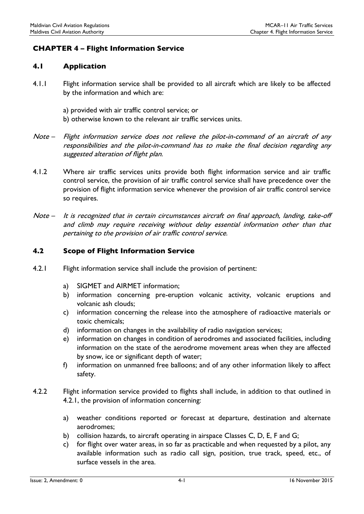# CHAPTER 4 – Flight Information Service

#### 4.1 Application

- 4.1.1 Flight information service shall be provided to all aircraft which are likely to be affected by the information and which are:
	- a) provided with air traffic control service; or
	- b) otherwise known to the relevant air traffic services units.
- Note Flight information service does not relieve the pilot-in-command of an aircraft of any responsibilities and the pilot-in-command has to make the final decision regarding any suggested alteration of flight plan.
- 4.1.2 Where air traffic services units provide both flight information service and air traffic control service, the provision of air traffic control service shall have precedence over the provision of flight information service whenever the provision of air traffic control service so requires.
- Note It is recognized that in certain circumstances aircraft on final approach, landing, take-off and climb may require receiving without delay essential information other than that pertaining to the provision of air traffic control service.

#### 4.2 Scope of Flight Information Service

- 4.2.1 Flight information service shall include the provision of pertinent:
	- a) SIGMET and AIRMET information;
	- b) information concerning pre-eruption volcanic activity, volcanic eruptions and volcanic ash clouds;
	- c) information concerning the release into the atmosphere of radioactive materials or toxic chemicals;
	- d) information on changes in the availability of radio navigation services;
	- e) information on changes in condition of aerodromes and associated facilities, including information on the state of the aerodrome movement areas when they are affected by snow, ice or significant depth of water;
	- f) information on unmanned free balloons; and of any other information likely to affect safety.
- 4.2.2 Flight information service provided to flights shall include, in addition to that outlined in 4.2.1, the provision of information concerning:
	- a) weather conditions reported or forecast at departure, destination and alternate aerodromes;
	- b) collision hazards, to aircraft operating in airspace Classes C, D, E, F and G;
	- c) for flight over water areas, in so far as practicable and when requested by a pilot, any available information such as radio call sign, position, true track, speed, etc., of surface vessels in the area.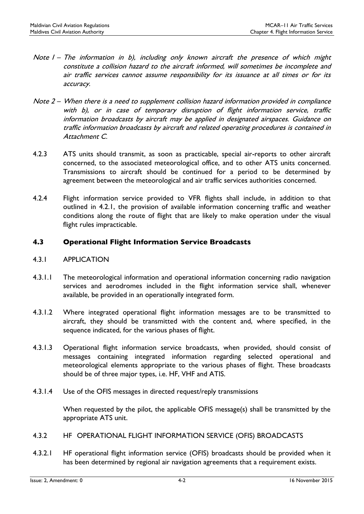- Note 1 The information in b), including only known aircraft the presence of which might constitute a collision hazard to the aircraft informed, will sometimes be incomplete and air traffic services cannot assume responsibility for its issuance at all times or for its accuracy.
- Note 2 When there is a need to supplement collision hazard information provided in compliance with b), or in case of temporary disruption of flight information service, traffic information broadcasts by aircraft may be applied in designated airspaces. Guidance on traffic information broadcasts by aircraft and related operating procedures is contained in Attachment C.
- 4.2.3 ATS units should transmit, as soon as practicable, special air-reports to other aircraft concerned, to the associated meteorological office, and to other ATS units concerned. Transmissions to aircraft should be continued for a period to be determined by agreement between the meteorological and air traffic services authorities concerned.
- 4.2.4 Flight information service provided to VFR flights shall include, in addition to that outlined in 4.2.1, the provision of available information concerning traffic and weather conditions along the route of flight that are likely to make operation under the visual flight rules impracticable.

### 4.3 Operational Flight Information Service Broadcasts

#### 4.3.1 APPLICATION

- 4.3.1.1 The meteorological information and operational information concerning radio navigation services and aerodromes included in the flight information service shall, whenever available, be provided in an operationally integrated form.
- 4.3.1.2 Where integrated operational flight information messages are to be transmitted to aircraft, they should be transmitted with the content and, where specified, in the sequence indicated, for the various phases of flight.
- 4.3.1.3 Operational flight information service broadcasts, when provided, should consist of messages containing integrated information regarding selected operational and meteorological elements appropriate to the various phases of flight. These broadcasts should be of three major types, i.e. HF, VHF and ATIS.
- 4.3.1.4 Use of the OFIS messages in directed request/reply transmissions

When requested by the pilot, the applicable OFIS message(s) shall be transmitted by the appropriate ATS unit.

- 4.3.2 HF OPERATIONAL FLIGHT INFORMATION SERVICE (OFIS) BROADCASTS
- 4.3.2.1 HF operational flight information service (OFIS) broadcasts should be provided when it has been determined by regional air navigation agreements that a requirement exists.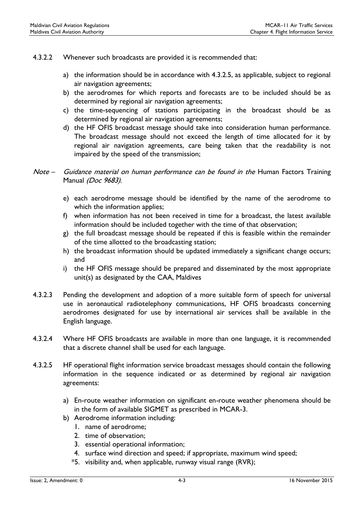- 4.3.2.2 Whenever such broadcasts are provided it is recommended that:
	- a) the information should be in accordance with 4.3.2.5, as applicable, subject to regional air navigation agreements;
	- b) the aerodromes for which reports and forecasts are to be included should be as determined by regional air navigation agreements;
	- c) the time-sequencing of stations participating in the broadcast should be as determined by regional air navigation agreements;
	- d) the HF OFIS broadcast message should take into consideration human performance. The broadcast message should not exceed the length of time allocated for it by regional air navigation agreements, care being taken that the readability is not impaired by the speed of the transmission;

- e) each aerodrome message should be identified by the name of the aerodrome to which the information applies;
- f) when information has not been received in time for a broadcast, the latest available information should be included together with the time of that observation;
- g) the full broadcast message should be repeated if this is feasible within the remainder of the time allotted to the broadcasting station;
- h) the broadcast information should be updated immediately a significant change occurs; and
- i) the HF OFIS message should be prepared and disseminated by the most appropriate unit(s) as designated by the CAA, Maldives
- 4.3.2.3 Pending the development and adoption of a more suitable form of speech for universal use in aeronautical radiotelephony communications, HF OFIS broadcasts concerning aerodromes designated for use by international air services shall be available in the English language.
- 4.3.2.4 Where HF OFIS broadcasts are available in more than one language, it is recommended that a discrete channel shall be used for each language.
- 4.3.2.5 HF operational flight information service broadcast messages should contain the following information in the sequence indicated or as determined by regional air navigation agreements:
	- a) En-route weather information on significant en-route weather phenomena should be in the form of available SIGMET as prescribed in MCAR-3.
	- b) Aerodrome information including:
		- 1. name of aerodrome;
		- 2. time of observation;
		- 3. essential operational information;
		- 4. surface wind direction and speed; if appropriate, maximum wind speed;
		- \*5. visibility and, when applicable, runway visual range (RVR);

Note – Guidance material on human performance can be found in the Human Factors Training Manual (Doc 9683).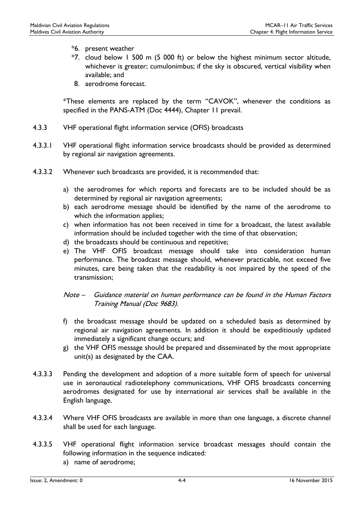- \*6. present weather
- \*7. cloud below 1 500 m (5 000 ft) or below the highest minimum sector altitude, whichever is greater; cumulonimbus; if the sky is obscured, vertical visibility when available; and
- 8. aerodrome forecast.

\*These elements are replaced by the term "CAVOK", whenever the conditions as specified in the PANS-ATM (Doc 4444), Chapter 11 prevail.

- 4.3.3 VHF operational flight information service (OFIS) broadcasts
- 4.3.3.1 VHF operational flight information service broadcasts should be provided as determined by regional air navigation agreements.
- 4.3.3.2 Whenever such broadcasts are provided, it is recommended that:
	- a) the aerodromes for which reports and forecasts are to be included should be as determined by regional air navigation agreements;
	- b) each aerodrome message should be identified by the name of the aerodrome to which the information applies;
	- c) when information has not been received in time for a broadcast, the latest available information should be included together with the time of that observation;
	- d) the broadcasts should be continuous and repetitive;
	- e) The VHF OFIS broadcast message should take into consideration human performance. The broadcast message should, whenever practicable, not exceed five minutes, care being taken that the readability is not impaired by the speed of the transmission;

#### Note – Guidance material on human performance can be found in the Human Factors Training Manual (Doc 9683).

- f) the broadcast message should be updated on a scheduled basis as determined by regional air navigation agreements. In addition it should be expeditiously updated immediately a significant change occurs; and
- g) the VHF OFIS message should be prepared and disseminated by the most appropriate unit(s) as designated by the CAA.
- 4.3.3.3 Pending the development and adoption of a more suitable form of speech for universal use in aeronautical radiotelephony communications, VHF OFIS broadcasts concerning aerodromes designated for use by international air services shall be available in the English language.
- 4.3.3.4 Where VHF OFIS broadcasts are available in more than one language, a discrete channel shall be used for each language.
- 4.3.3.5 VHF operational flight information service broadcast messages should contain the following information in the sequence indicated:
	- a) name of aerodrome;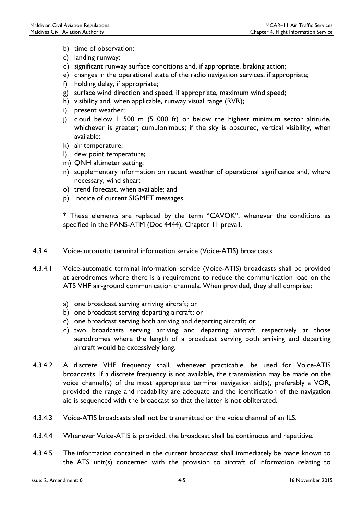- b) time of observation;
- c) landing runway;
- d) significant runway surface conditions and, if appropriate, braking action;
- e) changes in the operational state of the radio navigation services, if appropriate;
- f) holding delay, if appropriate;
- g) surface wind direction and speed; if appropriate, maximum wind speed;
- h) visibility and, when applicable, runway visual range (RVR);
- i) present weather;
- j) cloud below 1 500 m (5 000 ft) or below the highest minimum sector altitude, whichever is greater; cumulonimbus; if the sky is obscured, vertical visibility, when available;
- k) air temperature;
- l) dew point temperature;
- m) QNH altimeter setting;
- n) supplementary information on recent weather of operational significance and, where necessary, wind shear;
- o) trend forecast, when available; and
- p) notice of current SIGMET messages.

\* These elements are replaced by the term "CAVOK", whenever the conditions as specified in the PANS-ATM (Doc 4444), Chapter 11 prevail.

- 4.3.4 Voice-automatic terminal information service (Voice-ATIS) broadcasts
- 4.3.4.1 Voice-automatic terminal information service (Voice-ATIS) broadcasts shall be provided at aerodromes where there is a requirement to reduce the communication load on the ATS VHF air-ground communication channels. When provided, they shall comprise:
	- a) one broadcast serving arriving aircraft; or
	- b) one broadcast serving departing aircraft; or
	- c) one broadcast serving both arriving and departing aircraft; or
	- d) two broadcasts serving arriving and departing aircraft respectively at those aerodromes where the length of a broadcast serving both arriving and departing aircraft would be excessively long.
- 4.3.4.2 A discrete VHF frequency shall, whenever practicable, be used for Voice-ATIS broadcasts. If a discrete frequency is not available, the transmission may be made on the voice channel(s) of the most appropriate terminal navigation aid(s), preferably a VOR, provided the range and readability are adequate and the identification of the navigation aid is sequenced with the broadcast so that the latter is not obliterated.
- 4.3.4.3 Voice-ATIS broadcasts shall not be transmitted on the voice channel of an ILS.
- 4.3.4.4 Whenever Voice-ATIS is provided, the broadcast shall be continuous and repetitive.
- 4.3.4.5 The information contained in the current broadcast shall immediately be made known to the ATS unit(s) concerned with the provision to aircraft of information relating to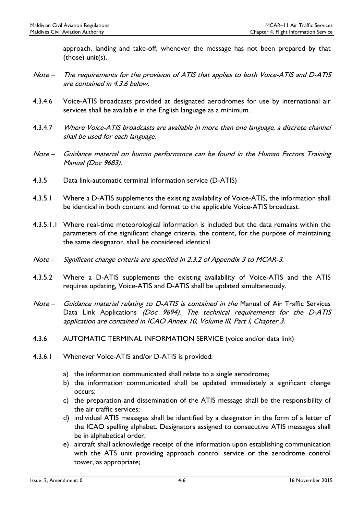approach, landing and take-off, whenever the message has not been prepared by that (those) unit(s).

- Note The requirements for the provision of ATIS that applies to both Voice-ATIS and D-ATIS are contained in 4.3.6 below.
- 4.3.4.6 Voice-ATIS broadcasts provided at designated aerodromes for use by international air services shall be available in the English language as a minimum.
- 4.3.4.7 Where Voice-ATIS broadcasts are available in more than one language, a discrete channel shall be used for each language.
- Note Guidance material on human performance can be found in the Human Factors Training Manual (Doc 9683).
- 4.3.5 Data link-automatic terminal information service (D-ATIS)
- 4.3.5.1 Where a D-ATIS supplements the existing availability of Voice-ATIS, the information shall be identical in both content and format to the applicable Voice-ATIS broadcast.
- 4.3.5.1.1 Where real-time meteorological information is included but the data remains within the parameters of the significant change criteria, the content, for the purpose of maintaining the same designator, shall be considered identical.
- Note Significant change criteria are specified in 2.3.2 of Appendix 3 to MCAR-3.
- 4.3.5.2 Where a D-ATIS supplements the existing availability of Voice-ATIS and the ATIS requires updating, Voice-ATIS and D-ATIS shall be updated simultaneously.
- Note Guidance material relating to D-ATIS is contained in the Manual of Air Traffic Services Data Link Applications (Doc 9694). The technical requirements for the D-ATIS application are contained in ICAO Annex 10, Volume III, Part I, Chapter 3.
- 4.3.6 AUTOMATIC TERMINAL INFORMATION SERVICE (voice and/or data link)
- 4.3.6.1 Whenever Voice-ATIS and/or D-ATIS is provided:
	- a) the information communicated shall relate to a single aerodrome;
	- b) the information communicated shall be updated immediately a significant change occurs;
	- c) the preparation and dissemination of the ATIS message shall be the responsibility of the air traffic services;
	- d) individual ATIS messages shall be identified by a designator in the form of a letter of the ICAO spelling alphabet. Designators assigned to consecutive ATIS messages shall be in alphabetical order;
	- e) aircraft shall acknowledge receipt of the information upon establishing communication with the ATS unit providing approach control service or the aerodrome control tower, as appropriate;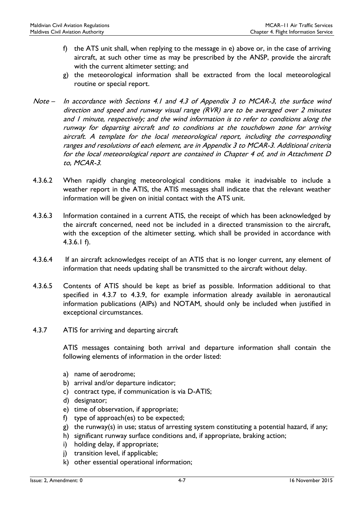- f) the ATS unit shall, when replying to the message in e) above or, in the case of arriving aircraft, at such other time as may be prescribed by the ANSP, provide the aircraft with the current altimeter setting; and
- g) the meteorological information shall be extracted from the local meteorological routine or special report.
- Note In accordance with Sections 4.1 and 4.3 of Appendix 3 to MCAR-3, the surface wind direction and speed and runway visual range (RVR) are to be averaged over 2 minutes and 1 minute, respectively; and the wind information is to refer to conditions along the runway for departing aircraft and to conditions at the touchdown zone for arriving aircraft. A template for the local meteorological report, including the corresponding ranges and resolutions of each element, are in Appendix 3 to MCAR-3. Additional criteria for the local meteorological report are contained in Chapter 4 of, and in Attachment D to, MCAR-3.
- 4.3.6.2 When rapidly changing meteorological conditions make it inadvisable to include a weather report in the ATIS, the ATIS messages shall indicate that the relevant weather information will be given on initial contact with the ATS unit.
- 4.3.6.3 Information contained in a current ATIS, the receipt of which has been acknowledged by the aircraft concerned, need not be included in a directed transmission to the aircraft, with the exception of the altimeter setting, which shall be provided in accordance with 4.3.6.1 f).
- 4.3.6.4 If an aircraft acknowledges receipt of an ATIS that is no longer current, any element of information that needs updating shall be transmitted to the aircraft without delay.
- 4.3.6.5 Contents of ATIS should be kept as brief as possible. Information additional to that specified in 4.3.7 to 4.3.9, for example information already available in aeronautical information publications (AIPs) and NOTAM, should only be included when justified in exceptional circumstances.
- 4.3.7 ATIS for arriving and departing aircraft

ATIS messages containing both arrival and departure information shall contain the following elements of information in the order listed:

- a) name of aerodrome;
- b) arrival and/or departure indicator;
- c) contract type, if communication is via D-ATIS;
- d) designator;
- e) time of observation, if appropriate;
- f) type of approach(es) to be expected;
- g) the runway(s) in use; status of arresting system constituting a potential hazard, if any;
- h) significant runway surface conditions and, if appropriate, braking action;
- i) holding delay, if appropriate;
- j) transition level, if applicable;
- k) other essential operational information;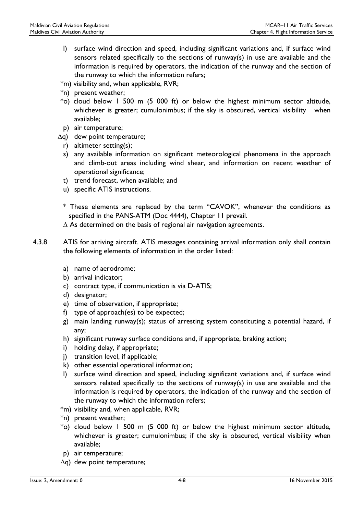- l) surface wind direction and speed, including significant variations and, if surface wind sensors related specifically to the sections of runway(s) in use are available and the information is required by operators, the indication of the runway and the section of the runway to which the information refers;
- \*m) visibility and, when applicable, RVR;
- \*n) present weather;
- $*$ o) cloud below 1 500 m (5 000 ft) or below the highest minimum sector altitude, whichever is greater; cumulonimbus; if the sky is obscured, vertical visibility when available;
- p) air temperature;
- ∆q) dew point temperature;
	- r) altimeter setting(s);
	- s) any available information on significant meteorological phenomena in the approach and climb-out areas including wind shear, and information on recent weather of operational significance;
	- t) trend forecast, when available; and
	- u) specific ATIS instructions.
	- \* These elements are replaced by the term "CAVOK", whenever the conditions as specified in the PANS-ATM (Doc 4444), Chapter 11 prevail.
	- ∆ As determined on the basis of regional air navigation agreements.
- 4.3.8 ATIS for arriving aircraft. ATIS messages containing arrival information only shall contain the following elements of information in the order listed:
	- a) name of aerodrome;
	- b) arrival indicator;
	- c) contract type, if communication is via D-ATIS;
	- d) designator;
	- e) time of observation, if appropriate;
	- f) type of approach(es) to be expected;
	- g) main landing runway(s); status of arresting system constituting a potential hazard, if any;
	- h) significant runway surface conditions and, if appropriate, braking action;
	- i) holding delay, if appropriate;
	- j) transition level, if applicable;
	- k) other essential operational information;
	- l) surface wind direction and speed, including significant variations and, if surface wind sensors related specifically to the sections of runway(s) in use are available and the information is required by operators, the indication of the runway and the section of the runway to which the information refers;
	- \*m) visibility and, when applicable, RVR;
	- \*n) present weather;
	- $*$ o) cloud below 1 500 m (5 000 ft) or below the highest minimum sector altitude, whichever is greater; cumulonimbus; if the sky is obscured, vertical visibility when available;
	- p) air temperature;
	- ∆q) dew point temperature;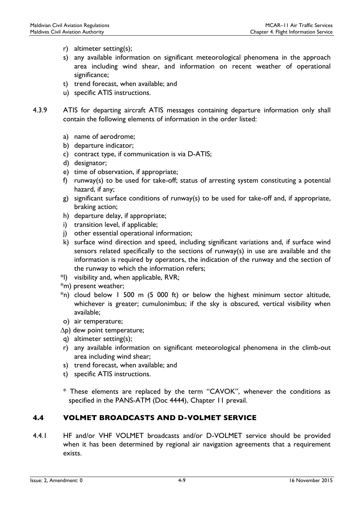- r) altimeter setting(s);
- s) any available information on significant meteorological phenomena in the approach area including wind shear, and information on recent weather of operational significance;
- t) trend forecast, when available; and
- u) specific ATIS instructions.
- 4.3.9 ATIS for departing aircraft ATIS messages containing departure information only shall contain the following elements of information in the order listed:
	- a) name of aerodrome;
	- b) departure indicator;
	- c) contract type, if communication is via D-ATIS;
	- d) designator;
	- e) time of observation, if appropriate;
	- f) runway(s) to be used for take-off; status of arresting system constituting a potential hazard, if any;
	- g) significant surface conditions of runway(s) to be used for take-off and, if appropriate, braking action;
	- h) departure delay, if appropriate;
	- i) transition level, if applicable;
	- j) other essential operational information;
	- k) surface wind direction and speed, including significant variations and, if surface wind sensors related specifically to the sections of runway(s) in use are available and the information is required by operators, the indication of the runway and the section of the runway to which the information refers;
	- \*l) visibility and, when applicable, RVR;
	- \*m) present weather;
	- $*$ n) cloud below 1 500 m (5 000 ft) or below the highest minimum sector altitude, whichever is greater; cumulonimbus; if the sky is obscured, vertical visibility when available;
	- o) air temperature;
	- ∆p) dew point temperature;
	- q) altimeter setting(s);
	- r) any available information on significant meteorological phenomena in the climb-out area including wind shear;
	- s) trend forecast, when available; and
	- t) specific ATIS instructions.

\* These elements are replaced by the term "CAVOK", whenever the conditions as specified in the PANS-ATM (Doc 4444), Chapter 11 prevail.

# 4.4 VOLMET BROADCASTS AND D-VOLMET SERVICE

4.4.1 HF and/or VHF VOLMET broadcasts and/or D-VOLMET service should be provided when it has been determined by regional air navigation agreements that a requirement exists.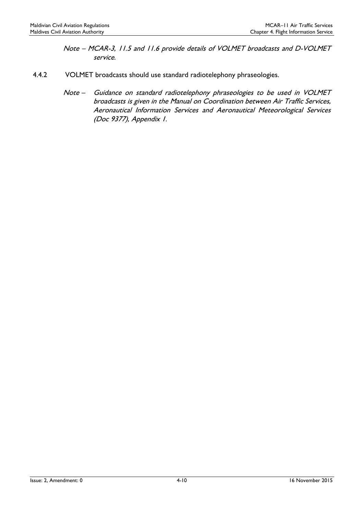- Note MCAR-3, 11.5 and 11.6 provide details of VOLMET broadcasts and D-VOLMET service.
- 4.4.2 VOLMET broadcasts should use standard radiotelephony phraseologies.
	- Note Guidance on standard radiotelephony phraseologies to be used in VOLMET broadcasts is given in the Manual on Coordination between Air Traffic Services, Aeronautical Information Services and Aeronautical Meteorological Services (Doc 9377), Appendix 1.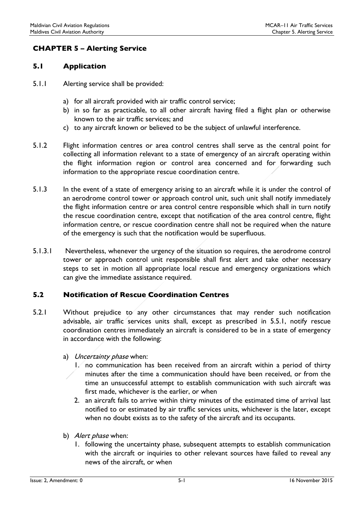# CHAPTER 5 – Alerting Service

#### 5.1 Application

- 5.1.1 Alerting service shall be provided:
	- a) for all aircraft provided with air traffic control service;
	- b) in so far as practicable, to all other aircraft having filed a flight plan or otherwise known to the air traffic services; and
	- c) to any aircraft known or believed to be the subject of unlawful interference.
- 5.1.2 Flight information centres or area control centres shall serve as the central point for collecting all information relevant to a state of emergency of an aircraft operating within the flight information region or control area concerned and for forwarding such information to the appropriate rescue coordination centre.
- 5.1.3 In the event of a state of emergency arising to an aircraft while it is under the control of an aerodrome control tower or approach control unit, such unit shall notify immediately the flight information centre or area control centre responsible which shall in turn notify the rescue coordination centre, except that notification of the area control centre, flight information centre, or rescue coordination centre shall not be required when the nature of the emergency is such that the notification would be superfluous.
- 5.1.3.1 Nevertheless, whenever the urgency of the situation so requires, the aerodrome control tower or approach control unit responsible shall first alert and take other necessary steps to set in motion all appropriate local rescue and emergency organizations which can give the immediate assistance required.

# 5.2 Notification of Rescue Coordination Centres

- 5.2.1 Without prejudice to any other circumstances that may render such notification advisable, air traffic services units shall, except as prescribed in 5.5.1, notify rescue coordination centres immediately an aircraft is considered to be in a state of emergency in accordance with the following:
	- a) Uncertainty phase when:
		- 1. no communication has been received from an aircraft within a period of thirty minutes after the time a communication should have been received, or from the time an unsuccessful attempt to establish communication with such aircraft was first made, whichever is the earlier, or when
		- 2. an aircraft fails to arrive within thirty minutes of the estimated time of arrival last notified to or estimated by air traffic services units, whichever is the later, except when no doubt exists as to the safety of the aircraft and its occupants.
	- b) Alert phase when:
		- 1. following the uncertainty phase, subsequent attempts to establish communication with the aircraft or inquiries to other relevant sources have failed to reveal any news of the aircraft, or when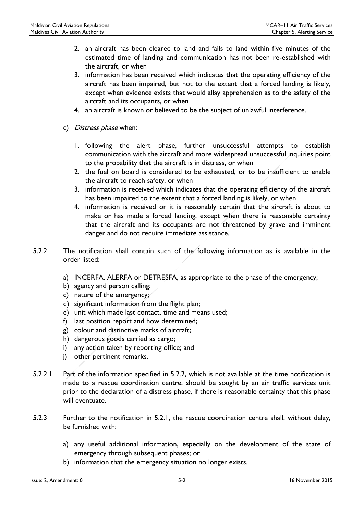- 2. an aircraft has been cleared to land and fails to land within five minutes of the estimated time of landing and communication has not been re-established with the aircraft, or when
- 3. information has been received which indicates that the operating efficiency of the aircraft has been impaired, but not to the extent that a forced landing is likely, except when evidence exists that would allay apprehension as to the safety of the aircraft and its occupants, or when
- 4. an aircraft is known or believed to be the subject of unlawful interference.
- c) *Distress phase* when:
	- 1. following the alert phase, further unsuccessful attempts to establish communication with the aircraft and more widespread unsuccessful inquiries point to the probability that the aircraft is in distress, or when
	- 2. the fuel on board is considered to be exhausted, or to be insufficient to enable the aircraft to reach safety, or when
	- 3. information is received which indicates that the operating efficiency of the aircraft has been impaired to the extent that a forced landing is likely, or when
	- 4. information is received or it is reasonably certain that the aircraft is about to make or has made a forced landing, except when there is reasonable certainty that the aircraft and its occupants are not threatened by grave and imminent danger and do not require immediate assistance.
- 5.2.2 The notification shall contain such of the following information as is available in the order listed:
	- a) INCERFA, ALERFA or DETRESFA, as appropriate to the phase of the emergency;
	- b) agency and person calling;
	- c) nature of the emergency;
	- d) significant information from the flight plan;
	- e) unit which made last contact, time and means used;
	- f) last position report and how determined;
	- g) colour and distinctive marks of aircraft;
	- h) dangerous goods carried as cargo;
	- i) any action taken by reporting office; and
	- j) other pertinent remarks.
- 5.2.2.1 Part of the information specified in 5.2.2, which is not available at the time notification is made to a rescue coordination centre, should be sought by an air traffic services unit prior to the declaration of a distress phase, if there is reasonable certainty that this phase will eventuate.
- 5.2.3 Further to the notification in 5.2.1, the rescue coordination centre shall, without delay, be furnished with:
	- a) any useful additional information, especially on the development of the state of emergency through subsequent phases; or
	- b) information that the emergency situation no longer exists.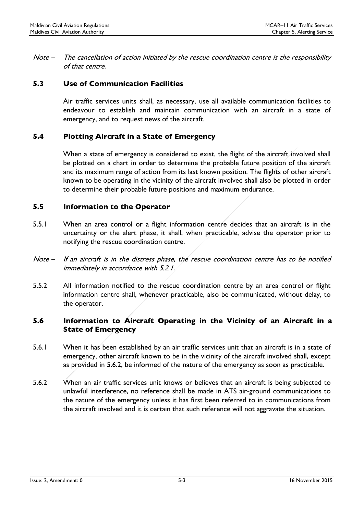Note – The cancellation of action initiated by the rescue coordination centre is the responsibility of that centre.

### 5.3 Use of Communication Facilities

Air traffic services units shall, as necessary, use all available communication facilities to endeavour to establish and maintain communication with an aircraft in a state of emergency, and to request news of the aircraft.

### 5.4 Plotting Aircraft in a State of Emergency

When a state of emergency is considered to exist, the flight of the aircraft involved shall be plotted on a chart in order to determine the probable future position of the aircraft and its maximum range of action from its last known position. The flights of other aircraft known to be operating in the vicinity of the aircraft involved shall also be plotted in order to determine their probable future positions and maximum endurance.

#### 5.5 Information to the Operator

- 5.5.1 When an area control or a flight information centre decides that an aircraft is in the uncertainty or the alert phase, it shall, when practicable, advise the operator prior to notifying the rescue coordination centre.
- Note If an aircraft is in the distress phase, the rescue coordination centre has to be notified immediately in accordance with 5.2.1.
- 5.5.2 All information notified to the rescue coordination centre by an area control or flight information centre shall, whenever practicable, also be communicated, without delay, to the operator.

### 5.6 Information to Aircraft Operating in the Vicinity of an Aircraft in a State of Emergency

- 5.6.1 When it has been established by an air traffic services unit that an aircraft is in a state of emergency, other aircraft known to be in the vicinity of the aircraft involved shall, except as provided in 5.6.2, be informed of the nature of the emergency as soon as practicable.
- 5.6.2 When an air traffic services unit knows or believes that an aircraft is being subjected to unlawful interference, no reference shall be made in ATS air-ground communications to the nature of the emergency unless it has first been referred to in communications from the aircraft involved and it is certain that such reference will not aggravate the situation.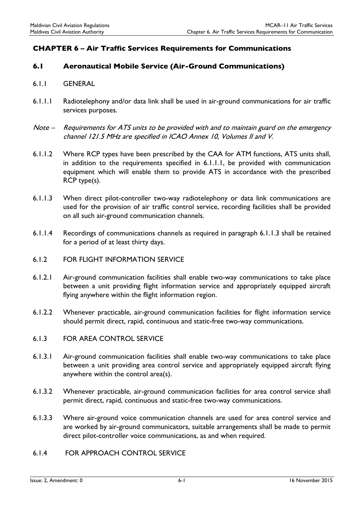# CHAPTER 6 – Air Traffic Services Requirements for Communications

#### 6.1 Aeronautical Mobile Service (Air-Ground Communications)

- 6.1.1 GENERAL
- 6.1.1.1 Radiotelephony and/or data link shall be used in air-ground communications for air traffic services purposes.
- Note Requirements for ATS units to be provided with and to maintain guard on the emergency channel 121.5 MHz are specified in ICAO Annex 10, Volumes II and V.
- 6.1.1.2 Where RCP types have been prescribed by the CAA for ATM functions, ATS units shall, in addition to the requirements specified in 6.1.1.1, be provided with communication equipment which will enable them to provide ATS in accordance with the prescribed RCP type(s).
- 6.1.1.3 When direct pilot-controller two-way radiotelephony or data link communications are used for the provision of air traffic control service, recording facilities shall be provided on all such air-ground communication channels.
- 6.1.1.4 Recordings of communications channels as required in paragraph 6.1.1.3 shall be retained for a period of at least thirty days.
- 6.1.2 FOR FLIGHT INFORMATION SERVICE
- 6.1.2.1 Air-ground communication facilities shall enable two-way communications to take place between a unit providing flight information service and appropriately equipped aircraft flying anywhere within the flight information region.
- 6.1.2.2 Whenever practicable, air-ground communication facilities for flight information service should permit direct, rapid, continuous and static-free two-way communications.
- 6.1.3 FOR AREA CONTROL SERVICE
- 6.1.3.1 Air-ground communication facilities shall enable two-way communications to take place between a unit providing area control service and appropriately equipped aircraft flying anywhere within the control area(s).
- 6.1.3.2 Whenever practicable, air-ground communication facilities for area control service shall permit direct, rapid, continuous and static-free two-way communications.
- 6.1.3.3 Where air-ground voice communication channels are used for area control service and are worked by air-ground communicators, suitable arrangements shall be made to permit direct pilot-controller voice communications, as and when required.

#### 6.1.4 FOR APPROACH CONTROL SERVICE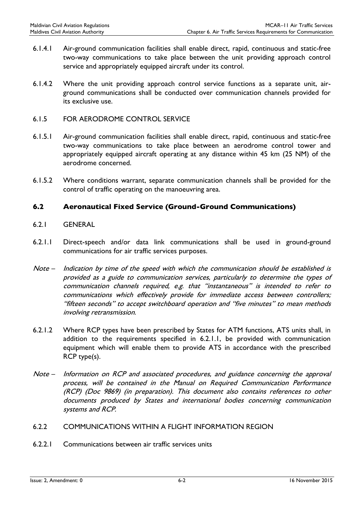- 6.1.4.1 Air-ground communication facilities shall enable direct, rapid, continuous and static-free two-way communications to take place between the unit providing approach control service and appropriately equipped aircraft under its control.
- 6.1.4.2 Where the unit providing approach control service functions as a separate unit, airground communications shall be conducted over communication channels provided for its exclusive use.
- 6.1.5 FOR AERODROME CONTROL SERVICE
- 6.1.5.1 Air-ground communication facilities shall enable direct, rapid, continuous and static-free two-way communications to take place between an aerodrome control tower and appropriately equipped aircraft operating at any distance within 45 km (25 NM) of the aerodrome concerned.
- 6.1.5.2 Where conditions warrant, separate communication channels shall be provided for the control of traffic operating on the manoeuvring area.

#### 6.2 Aeronautical Fixed Service (Ground-Ground Communications)

- 6.2.1 GENERAL
- 6.2.1.1 Direct-speech and/or data link communications shall be used in ground-ground communications for air traffic services purposes.
- Note Indication by time of the speed with which the communication should be established is provided as a guide to communication services, particularly to determine the types of communication channels required, e.g. that "instantaneous" is intended to refer to communications which effectively provide for immediate access between controllers; "fifteen seconds" to accept switchboard operation and "five minutes" to mean methods involving retransmission.
- 6.2.1.2 Where RCP types have been prescribed by States for ATM functions, ATS units shall, in addition to the requirements specified in 6.2.1.1, be provided with communication equipment which will enable them to provide ATS in accordance with the prescribed RCP type(s).
- Note Information on RCP and associated procedures, and guidance concerning the approval process, will be contained in the Manual on Required Communication Performance (RCP) (Doc 9869) (in preparation). This document also contains references to other documents produced by States and international bodies concerning communication systems and RCP.
- 6.2.2 COMMUNICATIONS WITHIN A FLIGHT INFORMATION REGION
- 6.2.2.1 Communications between air traffic services units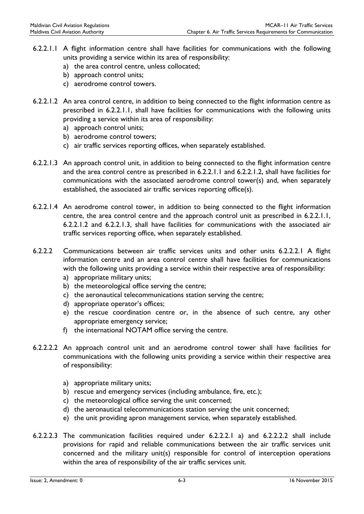- 6.2.2.1.1 A flight information centre shall have facilities for communications with the following units providing a service within its area of responsibility:
	- a) the area control centre, unless collocated;
	- b) approach control units;
	- c) aerodrome control towers.
- 6.2.2.1.2 An area control centre, in addition to being connected to the flight information centre as prescribed in 6.2.2.1.1, shall have facilities for communications with the following units providing a service within its area of responsibility:
	- a) approach control units;
	- b) aerodrome control towers;
	- c) air traffic services reporting offices, when separately established.
- 6.2.2.1.3 An approach control unit, in addition to being connected to the flight information centre and the area control centre as prescribed in 6.2.2.1.1 and 6.2.2.1.2, shall have facilities for communications with the associated aerodrome control tower(s) and, when separately established, the associated air traffic services reporting office(s).
- 6.2.2.1.4 An aerodrome control tower, in addition to being connected to the flight information centre, the area control centre and the approach control unit as prescribed in 6.2.2.1.1, 6.2.2.1.2 and 6.2.2.1.3, shall have facilities for communications with the associated air traffic services reporting office, when separately established.
- 6.2.2.2 Communications between air traffic services units and other units 6.2.2.2.1 A flight information centre and an area control centre shall have facilities for communications with the following units providing a service within their respective area of responsibility:
	- a) appropriate military units;
	- b) the meteorological office serving the centre;
	- c) the aeronautical telecommunications station serving the centre;
	- d) appropriate operator's offices;
	- e) the rescue coordination centre or, in the absence of such centre, any other appropriate emergency service;
	- f) the international NOTAM office serving the centre.
- 6.2.2.2.2 An approach control unit and an aerodrome control tower shall have facilities for communications with the following units providing a service within their respective area of responsibility:
	- a) appropriate military units;
	- b) rescue and emergency services (including ambulance, fire, etc.);
	- c) the meteorological office serving the unit concerned;
	- d) the aeronautical telecommunications station serving the unit concerned;
	- e) the unit providing apron management service, when separately established.
- 6.2.2.2.3 The communication facilities required under 6.2.2.2.1 a) and 6.2.2.2.2 shall include provisions for rapid and reliable communications between the air traffic services unit concerned and the military unit(s) responsible for control of interception operations within the area of responsibility of the air traffic services unit.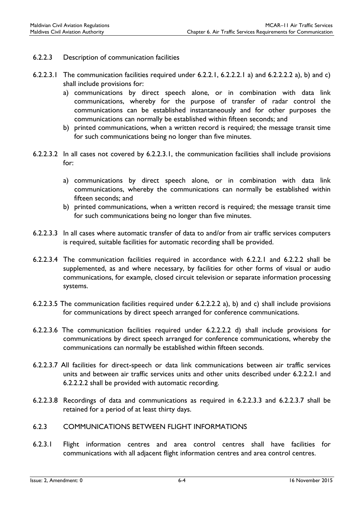- 6.2.2.3 Description of communication facilities
- 6.2.2.3.1 The communication facilities required under 6.2.2.1, 6.2.2.2.1 a) and 6.2.2.2.2 a), b) and c) shall include provisions for:
	- a) communications by direct speech alone, or in combination with data link communications, whereby for the purpose of transfer of radar control the communications can be established instantaneously and for other purposes the communications can normally be established within fifteen seconds; and
	- b) printed communications, when a written record is required; the message transit time for such communications being no longer than five minutes.
- 6.2.2.3.2 In all cases not covered by 6.2.2.3.1, the communication facilities shall include provisions for:
	- a) communications by direct speech alone, or in combination with data link communications, whereby the communications can normally be established within fifteen seconds; and
	- b) printed communications, when a written record is required; the message transit time for such communications being no longer than five minutes.
- 6.2.2.3.3 In all cases where automatic transfer of data to and/or from air traffic services computers is required, suitable facilities for automatic recording shall be provided.
- 6.2.2.3.4 The communication facilities required in accordance with 6.2.2.1 and 6.2.2.2 shall be supplemented, as and where necessary, by facilities for other forms of visual or audio communications, for example, closed circuit television or separate information processing systems.
- 6.2.2.3.5 The communication facilities required under 6.2.2.2.2 a), b) and c) shall include provisions for communications by direct speech arranged for conference communications.
- 6.2.2.3.6 The communication facilities required under 6.2.2.2.2 d) shall include provisions for communications by direct speech arranged for conference communications, whereby the communications can normally be established within fifteen seconds.
- 6.2.2.3.7 All facilities for direct-speech or data link communications between air traffic services units and between air traffic services units and other units described under 6.2.2.2.1 and 6.2.2.2.2 shall be provided with automatic recording.
- 6.2.2.3.8 Recordings of data and communications as required in 6.2.2.3.3 and 6.2.2.3.7 shall be retained for a period of at least thirty days.
- 6.2.3 COMMUNICATIONS BETWEEN FLIGHT INFORMATIONS
- 6.2.3.1 Flight information centres and area control centres shall have facilities for communications with all adjacent flight information centres and area control centres.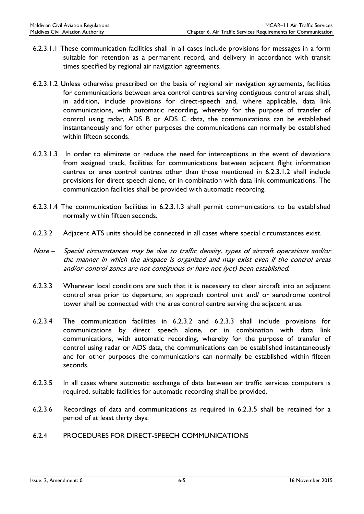- 6.2.3.1.1 These communication facilities shall in all cases include provisions for messages in a form suitable for retention as a permanent record, and delivery in accordance with transit times specified by regional air navigation agreements.
- 6.2.3.1.2 Unless otherwise prescribed on the basis of regional air navigation agreements, facilities for communications between area control centres serving contiguous control areas shall, in addition, include provisions for direct-speech and, where applicable, data link communications, with automatic recording, whereby for the purpose of transfer of control using radar, ADS B or ADS C data, the communications can be established instantaneously and for other purposes the communications can normally be established within fifteen seconds.
- 6.2.3.1.3 In order to eliminate or reduce the need for interceptions in the event of deviations from assigned track, facilities for communications between adjacent flight information centres or area control centres other than those mentioned in 6.2.3.1.2 shall include provisions for direct speech alone, or in combination with data link communications. The communication facilities shall be provided with automatic recording.
- 6.2.3.1.4 The communication facilities in 6.2.3.1.3 shall permit communications to be established normally within fifteen seconds.
- 6.2.3.2 Adjacent ATS units should be connected in all cases where special circumstances exist.
- Note Special circumstances may be due to traffic density, types of aircraft operations and/or the manner in which the airspace is organized and may exist even if the control areas and/or control zones are not contiguous or have not (yet) been established.
- 6.2.3.3 Wherever local conditions are such that it is necessary to clear aircraft into an adjacent control area prior to departure, an approach control unit and/ or aerodrome control tower shall be connected with the area control centre serving the adjacent area.
- 6.2.3.4 The communication facilities in 6.2.3.2 and 6.2.3.3 shall include provisions for communications by direct speech alone, or in combination with data link communications, with automatic recording, whereby for the purpose of transfer of control using radar or ADS data, the communications can be established instantaneously and for other purposes the communications can normally be established within fifteen seconds.
- 6.2.3.5 In all cases where automatic exchange of data between air traffic services computers is required, suitable facilities for automatic recording shall be provided.
- 6.2.3.6 Recordings of data and communications as required in 6.2.3.5 shall be retained for a period of at least thirty days.
- 6.2.4 PROCEDURES FOR DIRECT-SPEECH COMMUNICATIONS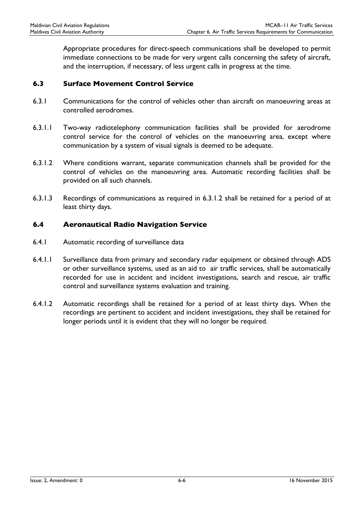Appropriate procedures for direct-speech communications shall be developed to permit immediate connections to be made for very urgent calls concerning the safety of aircraft, and the interruption, if necessary, of less urgent calls in progress at the time.

#### 6.3 Surface Movement Control Service

- 6.3.1 Communications for the control of vehicles other than aircraft on manoeuvring areas at controlled aerodromes.
- 6.3.1.1 Two-way radiotelephony communication facilities shall be provided for aerodrome control service for the control of vehicles on the manoeuvring area, except where communication by a system of visual signals is deemed to be adequate.
- 6.3.1.2 Where conditions warrant, separate communication channels shall be provided for the control of vehicles on the manoeuvring area. Automatic recording facilities shall be provided on all such channels.
- 6.3.1.3 Recordings of communications as required in 6.3.1.2 shall be retained for a period of at least thirty days.

#### 6.4 Aeronautical Radio Navigation Service

- 6.4.1 Automatic recording of surveillance data
- 6.4.1.1 Surveillance data from primary and secondary radar equipment or obtained through ADS or other surveillance systems, used as an aid to air traffic services, shall be automatically recorded for use in accident and incident investigations, search and rescue, air traffic control and surveillance systems evaluation and training.
- 6.4.1.2 Automatic recordings shall be retained for a period of at least thirty days. When the recordings are pertinent to accident and incident investigations, they shall be retained for longer periods until it is evident that they will no longer be required.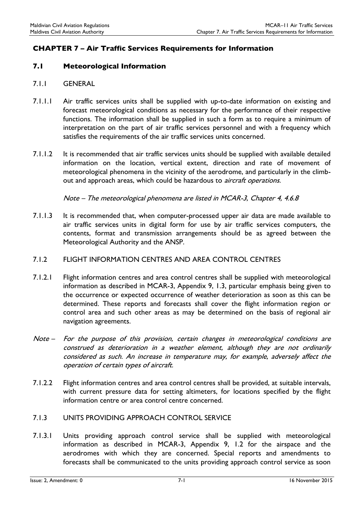# CHAPTER 7 – Air Traffic Services Requirements for Information

#### 7.1 Meteorological Information

- 7.1.1 GENERAL
- 7.1.1.1 Air traffic services units shall be supplied with up-to-date information on existing and forecast meteorological conditions as necessary for the performance of their respective functions. The information shall be supplied in such a form as to require a minimum of interpretation on the part of air traffic services personnel and with a frequency which satisfies the requirements of the air traffic services units concerned.
- 7.1.1.2 It is recommended that air traffic services units should be supplied with available detailed information on the location, vertical extent, direction and rate of movement of meteorological phenomena in the vicinity of the aerodrome, and particularly in the climbout and approach areas, which could be hazardous to *aircraft operations.*

Note – The meteorological phenomena are listed in MCAR-3, Chapter 4, 4.6.8

7.1.1.3 It is recommended that, when computer-processed upper air data are made available to air traffic services units in digital form for use by air traffic services computers, the contents, format and transmission arrangements should be as agreed between the Meteorological Authority and the ANSP.

#### 7.1.2 FLIGHT INFORMATION CENTRES AND AREA CONTROL CENTRES

- 7.1.2.1 Flight information centres and area control centres shall be supplied with meteorological information as described in MCAR-3, Appendix 9, 1.3, particular emphasis being given to the occurrence or expected occurrence of weather deterioration as soon as this can be determined. These reports and forecasts shall cover the flight information region or control area and such other areas as may be determined on the basis of regional air navigation agreements.
- Note For the purpose of this provision, certain changes in meteorological conditions are construed as deterioration in a weather element, although they are not ordinarily considered as such. An increase in temperature may, for example, adversely affect the operation of certain types of aircraft.
- 7.1.2.2 Flight information centres and area control centres shall be provided, at suitable intervals, with current pressure data for setting altimeters, for locations specified by the flight information centre or area control centre concerned.
- 7.1.3 UNITS PROVIDING APPROACH CONTROL SERVICE
- 7.1.3.1 Units providing approach control service shall be supplied with meteorological information as described in MCAR-3, Appendix 9, 1.2 for the airspace and the aerodromes with which they are concerned. Special reports and amendments to forecasts shall be communicated to the units providing approach control service as soon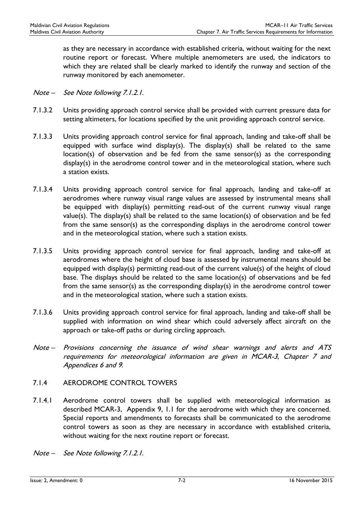as they are necessary in accordance with established criteria, without waiting for the next routine report or forecast. Where multiple anemometers are used, the indicators to which they are related shall be clearly marked to identify the runway and section of the runway monitored by each anemometer.

- Note See Note following 7.1.2.1.
- 7.1.3.2 Units providing approach control service shall be provided with current pressure data for setting altimeters, for locations specified by the unit providing approach control service.
- 7.1.3.3 Units providing approach control service for final approach, landing and take-off shall be equipped with surface wind display(s). The display(s) shall be related to the same location(s) of observation and be fed from the same sensor(s) as the corresponding display(s) in the aerodrome control tower and in the meteorological station, where such a station exists.
- 7.1.3.4 Units providing approach control service for final approach, landing and take-off at aerodromes where runway visual range values are assessed by instrumental means shall be equipped with display(s) permitting read-out of the current runway visual range value(s). The display(s) shall be related to the same location(s) of observation and be fed from the same sensor(s) as the corresponding displays in the aerodrome control tower and in the meteorological station, where such a station exists.
- 7.1.3.5 Units providing approach control service for final approach, landing and take-off at aerodromes where the height of cloud base is assessed by instrumental means should be equipped with display(s) permitting read-out of the current value(s) of the height of cloud base. The displays should be related to the same location(s) of observations and be fed from the same sensor(s) as the corresponding display(s) in the aerodrome control tower and in the meteorological station, where such a station exists.
- 7.1.3.6 Units providing approach control service for final approach, landing and take-off shall be supplied with information on wind shear which could adversely affect aircraft on the approach or take-off paths or during circling approach.
- Note Provisions concerning the issuance of wind shear warnings and alerts and ATS requirements for meteorological information are given in MCAR-3, Chapter 7 and Appendices 6 and 9.

#### 7.1.4 AERODROME CONTROL TOWERS

- 7.1.4.1 Aerodrome control towers shall be supplied with meteorological information as described MCAR-3, Appendix 9, 1.1 for the aerodrome with which they are concerned. Special reports and amendments to forecasts shall be communicated to the aerodrome control towers as soon as they are necessary in accordance with established criteria, without waiting for the next routine report or forecast.
- Note See Note following 7.1.2.1.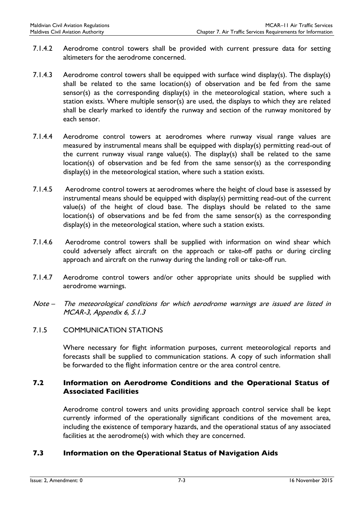- 7.1.4.2 Aerodrome control towers shall be provided with current pressure data for setting altimeters for the aerodrome concerned.
- 7.1.4.3 Aerodrome control towers shall be equipped with surface wind display(s). The display(s) shall be related to the same location(s) of observation and be fed from the same sensor(s) as the corresponding display(s) in the meteorological station, where such a station exists. Where multiple sensor(s) are used, the displays to which they are related shall be clearly marked to identify the runway and section of the runway monitored by each sensor.
- 7.1.4.4 Aerodrome control towers at aerodromes where runway visual range values are measured by instrumental means shall be equipped with display(s) permitting read-out of the current runway visual range value(s). The display(s) shall be related to the same location(s) of observation and be fed from the same sensor(s) as the corresponding display(s) in the meteorological station, where such a station exists.
- 7.1.4.5 Aerodrome control towers at aerodromes where the height of cloud base is assessed by instrumental means should be equipped with display(s) permitting read-out of the current value(s) of the height of cloud base. The displays should be related to the same location(s) of observations and be fed from the same sensor(s) as the corresponding display(s) in the meteorological station, where such a station exists.
- 7.1.4.6 Aerodrome control towers shall be supplied with information on wind shear which could adversely affect aircraft on the approach or take-off paths or during circling approach and aircraft on the runway during the landing roll or take-off run.
- 7.1.4.7 Aerodrome control towers and/or other appropriate units should be supplied with aerodrome warnings.
- Note The meteorological conditions for which aerodrome warnings are issued are listed in MCAR-3, Appendix 6, 5.1.3
- 7.1.5 COMMUNICATION STATIONS

Where necessary for flight information purposes, current meteorological reports and forecasts shall be supplied to communication stations. A copy of such information shall be forwarded to the flight information centre or the area control centre.

# 7.2 Information on Aerodrome Conditions and the Operational Status of Associated Facilities

Aerodrome control towers and units providing approach control service shall be kept currently informed of the operationally significant conditions of the movement area, including the existence of temporary hazards, and the operational status of any associated facilities at the aerodrome(s) with which they are concerned.

# 7.3 Information on the Operational Status of Navigation Aids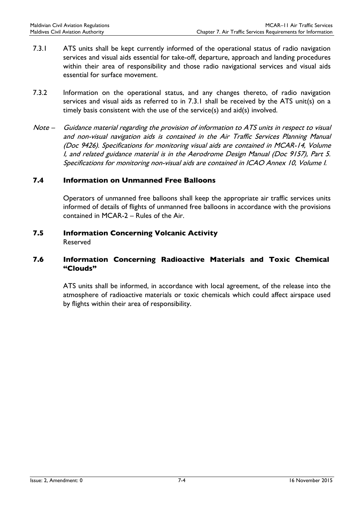- 7.3.1 ATS units shall be kept currently informed of the operational status of radio navigation services and visual aids essential for take-off, departure, approach and landing procedures within their area of responsibility and those radio navigational services and visual aids essential for surface movement.
- 7.3.2 Information on the operational status, and any changes thereto, of radio navigation services and visual aids as referred to in 7.3.1 shall be received by the ATS unit(s) on a timely basis consistent with the use of the service(s) and aid(s) involved.
- Note Guidance material regarding the provision of information to ATS units in respect to visual and non-visual navigation aids is contained in the Air Traffic Services Planning Manual (Doc 9426). Specifications for monitoring visual aids are contained in MCAR-14, Volume I, and related guidance material is in the Aerodrome Design Manual (Doc 9157), Part 5. Specifications for monitoring non-visual aids are contained in ICAO Annex 10, Volume I.

#### 7.4 Information on Unmanned Free Balloons

Operators of unmanned free balloons shall keep the appropriate air traffic services units informed of details of flights of unmanned free balloons in accordance with the provisions contained in MCAR-2 – Rules of the Air.

#### 7.5 Information Concerning Volcanic Activity Reserved

#### 7.6 Information Concerning Radioactive Materials and Toxic Chemical "Clouds"

ATS units shall be informed, in accordance with local agreement, of the release into the atmosphere of radioactive materials or toxic chemicals which could affect airspace used by flights within their area of responsibility.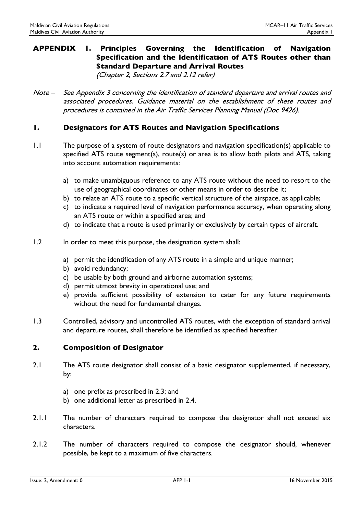# APPENDIX 1. Principles Governing the Identification of Navigation Specification and the Identification of ATS Routes other than Standard Departure and Arrival Routes

(Chapter 2, Sections 2.7 and 2.12 refer)

Note – See Appendix 3 concerning the identification of standard departure and arrival routes and associated procedures. Guidance material on the establishment of these routes and procedures is contained in the Air Traffic Services Planning Manual (Doc 9426).

### 1. Designators for ATS Routes and Navigation Specifications

- 1.1 The purpose of a system of route designators and navigation specification(s) applicable to specified ATS route segment(s), route(s) or area is to allow both pilots and ATS, taking into account automation requirements:
	- a) to make unambiguous reference to any ATS route without the need to resort to the use of geographical coordinates or other means in order to describe it;
	- b) to relate an ATS route to a specific vertical structure of the airspace, as applicable;
	- c) to indicate a required level of navigation performance accuracy, when operating along an ATS route or within a specified area; and
	- d) to indicate that a route is used primarily or exclusively by certain types of aircraft.
- 1.2 In order to meet this purpose, the designation system shall:
	- a) permit the identification of any ATS route in a simple and unique manner;
	- b) avoid redundancy;
	- c) be usable by both ground and airborne automation systems;
	- d) permit utmost brevity in operational use; and
	- e) provide sufficient possibility of extension to cater for any future requirements without the need for fundamental changes.
- 1.3 Controlled, advisory and uncontrolled ATS routes, with the exception of standard arrival and departure routes, shall therefore be identified as specified hereafter.

#### 2. Composition of Designator

- 2.1 The ATS route designator shall consist of a basic designator supplemented, if necessary, by:
	- a) one prefix as prescribed in 2.3; and
	- b) one additional letter as prescribed in 2.4.
- 2.1.1 The number of characters required to compose the designator shall not exceed six characters.
- 2.1.2 The number of characters required to compose the designator should, whenever possible, be kept to a maximum of five characters.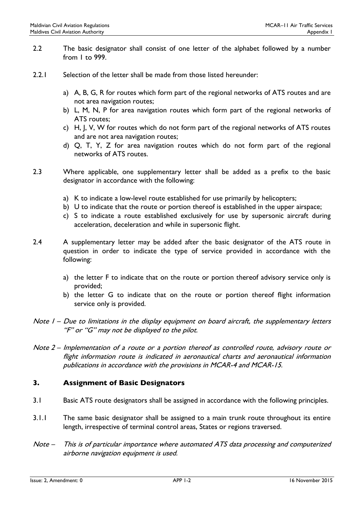- 2.2 The basic designator shall consist of one letter of the alphabet followed by a number from 1 to 999.
- 2.2.1 Selection of the letter shall be made from those listed hereunder:
	- a) A, B, G, R for routes which form part of the regional networks of ATS routes and are not area navigation routes;
	- b) L, M, N, P for area navigation routes which form part of the regional networks of ATS routes;
	- c) H, J, V, W for routes which do not form part of the regional networks of ATS routes and are not area navigation routes;
	- d) Q, T, Y, Z for area navigation routes which do not form part of the regional networks of ATS routes.
- 2.3 Where applicable, one supplementary letter shall be added as a prefix to the basic designator in accordance with the following:
	- a) K to indicate a low-level route established for use primarily by helicopters;
	- b) U to indicate that the route or portion thereof is established in the upper airspace;
	- c) S to indicate a route established exclusively for use by supersonic aircraft during acceleration, deceleration and while in supersonic flight.
- 2.4 A supplementary letter may be added after the basic designator of the ATS route in question in order to indicate the type of service provided in accordance with the following:
	- a) the letter F to indicate that on the route or portion thereof advisory service only is provided;
	- b) the letter G to indicate that on the route or portion thereof flight information service only is provided.
- Note I Due to limitations in the display equipment on board aircraft, the supplementary letters "F" or "G" may not be displayed to the pilot.
- Note 2 Implementation of a route or a portion thereof as controlled route, advisory route or flight information route is indicated in aeronautical charts and aeronautical information publications in accordance with the provisions in MCAR-4 and MCAR-15.

# 3. Assignment of Basic Designators

- 3.1 Basic ATS route designators shall be assigned in accordance with the following principles.
- 3.1.1 The same basic designator shall be assigned to a main trunk route throughout its entire length, irrespective of terminal control areas, States or regions traversed.
- Note This is of particular importance where automated ATS data processing and computerized airborne navigation equipment is used.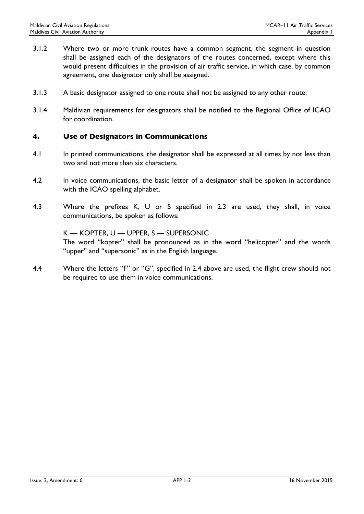- 3.1.2 Where two or more trunk routes have a common segment, the segment in question shall be assigned each of the designators of the routes concerned, except where this would present difficulties in the provision of air traffic service, in which case, by common agreement, one designator only shall be assigned.
- 3.1.3 A basic designator assigned to one route shall not be assigned to any other route.
- 3.1.4 Maldivian requirements for designators shall be notified to the Regional Office of ICAO for coordination.

#### 4. Use of Designators in Communications

- 4.1 In printed communications, the designator shall be expressed at all times by not less than two and not more than six characters.
- 4.2 In voice communications, the basic letter of a designator shall be spoken in accordance with the ICAO spelling alphabet.
- 4.3 Where the prefixes K, U or S specified in 2.3 are used, they shall, in voice communications, be spoken as follows:

K — KOPTER, U — UPPER, S — SUPERSONIC The word "kopter" shall be pronounced as in the word "helicopter" and the words "upper" and "supersonic" as in the English language.

4.4 Where the letters "F" or "G", specified in 2.4 above are used, the flight crew should not be required to use them in voice communications.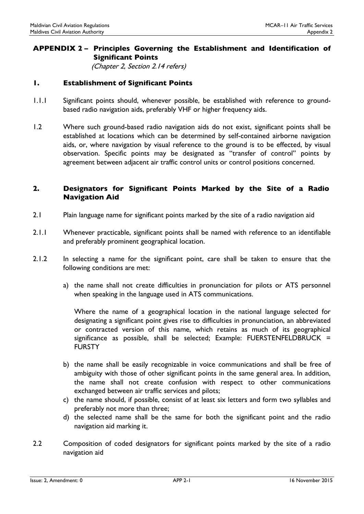### APPENDIX 2 – Principles Governing the Establishment and Identification of Significant Points

(Chapter 2, Section 2.14 refers)

### 1. Establishment of Significant Points

- 1.1.1 Significant points should, whenever possible, be established with reference to groundbased radio navigation aids, preferably VHF or higher frequency aids.
- 1.2 Where such ground-based radio navigation aids do not exist, significant points shall be established at locations which can be determined by self-contained airborne navigation aids, or, where navigation by visual reference to the ground is to be effected, by visual observation. Specific points may be designated as ''transfer of control'' points by agreement between adjacent air traffic control units or control positions concerned.

### 2. Designators for Significant Points Marked by the Site of a Radio Navigation Aid

- 2.1 Plain language name for significant points marked by the site of a radio navigation aid
- 2.1.1 Whenever practicable, significant points shall be named with reference to an identifiable and preferably prominent geographical location.
- 2.1.2 In selecting a name for the significant point, care shall be taken to ensure that the following conditions are met:
	- a) the name shall not create difficulties in pronunciation for pilots or ATS personnel when speaking in the language used in ATS communications.

Where the name of a geographical location in the national language selected for designating a significant point gives rise to difficulties in pronunciation, an abbreviated or contracted version of this name, which retains as much of its geographical significance as possible, shall be selected; Example: FUERSTENFELDBRUCK = **FURSTY** 

- b) the name shall be easily recognizable in voice communications and shall be free of ambiguity with those of other significant points in the same general area. In addition, the name shall not create confusion with respect to other communications exchanged between air traffic services and pilots;
- c) the name should, if possible, consist of at least six letters and form two syllables and preferably not more than three;
- d) the selected name shall be the same for both the significant point and the radio navigation aid marking it.
- 2.2 Composition of coded designators for significant points marked by the site of a radio navigation aid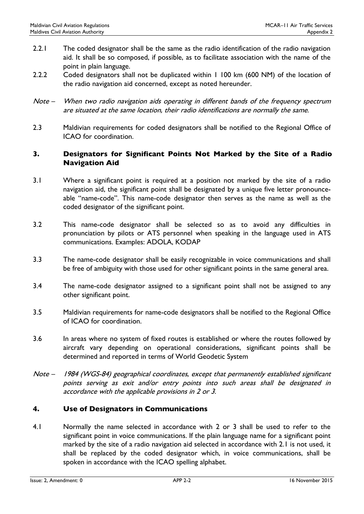- 2.2.1 The coded designator shall be the same as the radio identification of the radio navigation aid. It shall be so composed, if possible, as to facilitate association with the name of the point in plain language.
- 2.2.2 Coded designators shall not be duplicated within 1 100 km (600 NM) of the location of the radio navigation aid concerned, except as noted hereunder.
- Note When two radio navigation aids operating in different bands of the frequency spectrum are situated at the same location, their radio identifications are normally the same.
- 2.3 Maldivian requirements for coded designators shall be notified to the Regional Office of ICAO for coordination.

### 3. Designators for Significant Points Not Marked by the Site of a Radio Navigation Aid

- 3.1 Where a significant point is required at a position not marked by the site of a radio navigation aid, the significant point shall be designated by a unique five letter pronounceable "name-code". This name-code designator then serves as the name as well as the coded designator of the significant point.
- 3.2 This name-code designator shall be selected so as to avoid any difficulties in pronunciation by pilots or ATS personnel when speaking in the language used in ATS communications. Examples: ADOLA, KODAP
- 3.3 The name-code designator shall be easily recognizable in voice communications and shall be free of ambiguity with those used for other significant points in the same general area.
- 3.4 The name-code designator assigned to a significant point shall not be assigned to any other significant point.
- 3.5 Maldivian requirements for name-code designators shall be notified to the Regional Office of ICAO for coordination.
- 3.6 In areas where no system of fixed routes is established or where the routes followed by aircraft vary depending on operational considerations, significant points shall be determined and reported in terms of World Geodetic System
- Note 1984 (WGS-84) geographical coordinates, except that permanently established significant points serving as exit and/or entry points into such areas shall be designated in accordance with the applicable provisions in 2 or 3.

# 4. Use of Designators in Communications

4.1 Normally the name selected in accordance with 2 or 3 shall be used to refer to the significant point in voice communications. If the plain language name for a significant point marked by the site of a radio navigation aid selected in accordance with 2.1 is not used, it shall be replaced by the coded designator which, in voice communications, shall be spoken in accordance with the ICAO spelling alphabet.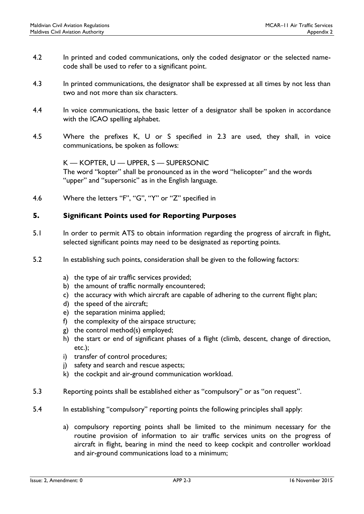- 4.2 In printed and coded communications, only the coded designator or the selected namecode shall be used to refer to a significant point.
- 4.3 In printed communications, the designator shall be expressed at all times by not less than two and not more than six characters.
- 4.4 In voice communications, the basic letter of a designator shall be spoken in accordance with the ICAO spelling alphabet.
- 4.5 Where the prefixes K, U or S specified in 2.3 are used, they shall, in voice communications, be spoken as follows:

K — KOPTER, U — UPPER, S — SUPERSONIC The word "kopter" shall be pronounced as in the word "helicopter" and the words "upper" and "supersonic" as in the English language.

4.6 Where the letters "F", "G", "Y" or "Z" specified in

### 5. Significant Points used for Reporting Purposes

- 5.1 In order to permit ATS to obtain information regarding the progress of aircraft in flight, selected significant points may need to be designated as reporting points.
- 5.2 In establishing such points, consideration shall be given to the following factors:
	- a) the type of air traffic services provided;
	- b) the amount of traffic normally encountered;
	- c) the accuracy with which aircraft are capable of adhering to the current flight plan;
	- d) the speed of the aircraft;
	- e) the separation minima applied;
	- f) the complexity of the airspace structure;
	- g) the control method(s) employed;
	- h) the start or end of significant phases of a flight (climb, descent, change of direction, etc.);
	- i) transfer of control procedures;
	- j) safety and search and rescue aspects;
	- k) the cockpit and air-ground communication workload.
- 5.3 Reporting points shall be established either as "compulsory" or as "on request".
- 5.4 In establishing "compulsory" reporting points the following principles shall apply:
	- a) compulsory reporting points shall be limited to the minimum necessary for the routine provision of information to air traffic services units on the progress of aircraft in flight, bearing in mind the need to keep cockpit and controller workload and air-ground communications load to a minimum;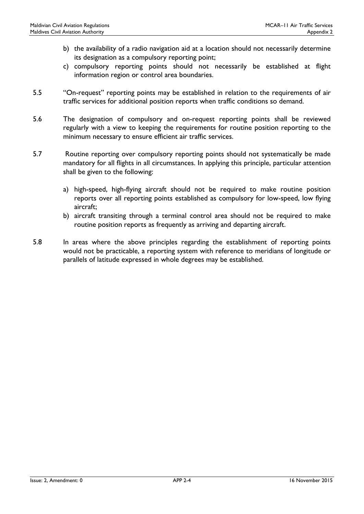- b) the availability of a radio navigation aid at a location should not necessarily determine its designation as a compulsory reporting point;
- c) compulsory reporting points should not necessarily be established at flight information region or control area boundaries.
- 5.5 "On-request" reporting points may be established in relation to the requirements of air traffic services for additional position reports when traffic conditions so demand.
- 5.6 The designation of compulsory and on-request reporting points shall be reviewed regularly with a view to keeping the requirements for routine position reporting to the minimum necessary to ensure efficient air traffic services.
- 5.7 Routine reporting over compulsory reporting points should not systematically be made mandatory for all flights in all circumstances. In applying this principle, particular attention shall be given to the following:
	- a) high-speed, high-flying aircraft should not be required to make routine position reports over all reporting points established as compulsory for low-speed, low flying aircraft;
	- b) aircraft transiting through a terminal control area should not be required to make routine position reports as frequently as arriving and departing aircraft.
- 5.8 In areas where the above principles regarding the establishment of reporting points would not be practicable, a reporting system with reference to meridians of longitude or parallels of latitude expressed in whole degrees may be established.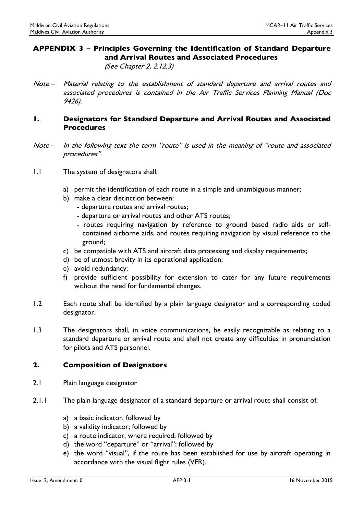# APPENDIX 3 – Principles Governing the Identification of Standard Departure and Arrival Routes and Associated Procedures

(See Chapter 2, 2.12.3)

Note – Material relating to the establishment of standard departure and arrival routes and associated procedures is contained in the Air Traffic Services Planning Manual (Doc 9426).

#### 1. Designators for Standard Departure and Arrival Routes and Associated Procedures

- Note In the following text the term "route" is used in the meaning of "route and associated procedures".
- 1.1 The system of designators shall:
	- a) permit the identification of each route in a simple and unambiguous manner;
	- b) make a clear distinction between:
		- departure routes and arrival routes;
		- departure or arrival routes and other ATS routes;
		- routes requiring navigation by reference to ground based radio aids or selfcontained airborne aids, and routes requiring navigation by visual reference to the ground;
	- c) be compatible with ATS and aircraft data processing and display requirements;
	- d) be of utmost brevity in its operational application;
	- e) avoid redundancy;
	- f) provide sufficient possibility for extension to cater for any future requirements without the need for fundamental changes.
- 1.2 Each route shall be identified by a plain language designator and a corresponding coded designator.
- 1.3 The designators shall, in voice communications, be easily recognizable as relating to a standard departure or arrival route and shall not create any difficulties in pronunciation for pilots and ATS personnel.

#### 2. Composition of Designators

- 2.1 Plain language designator
- 2.1.1 The plain language designator of a standard departure or arrival route shall consist of:
	- a) a basic indicator; followed by
	- b) a validity indicator; followed by
	- c) a route indicator, where required; followed by
	- d) the word "departure" or "arrival"; followed by
	- e) the word "visual", if the route has been established for use by aircraft operating in accordance with the visual flight rules (VFR).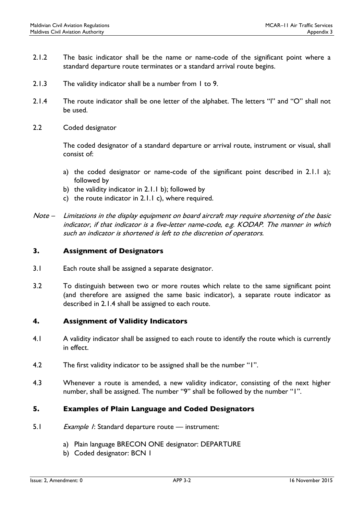- 2.1.2 The basic indicator shall be the name or name-code of the significant point where a standard departure route terminates or a standard arrival route begins.
- 2.1.3 The validity indicator shall be a number from 1 to 9.
- 2.1.4 The route indicator shall be one letter of the alphabet. The letters "I" and "O" shall not be used.
- 2.2 Coded designator

The coded designator of a standard departure or arrival route, instrument or visual, shall consist of:

- a) the coded designator or name-code of the significant point described in 2.1.1 a); followed by
- b) the validity indicator in 2.1.1 b); followed by
- c) the route indicator in 2.1.1 c), where required.

#### 3. Assignment of Designators

- 3.1 Each route shall be assigned a separate designator.
- 3.2 To distinguish between two or more routes which relate to the same significant point (and therefore are assigned the same basic indicator), a separate route indicator as described in 2.1.4 shall be assigned to each route.

#### 4. Assignment of Validity Indicators

- 4.1 A validity indicator shall be assigned to each route to identify the route which is currently in effect.
- 4.2 The first validity indicator to be assigned shall be the number "1".
- 4.3 Whenever a route is amended, a new validity indicator, consisting of the next higher number, shall be assigned. The number "9" shall be followed by the number "1".

#### 5. Examples of Plain Language and Coded Designators

- 5.1 Example 1: Standard departure route instrument:
	- a) Plain language BRECON ONE designator: DEPARTURE
	- b) Coded designator: BCN 1

Note – Limitations in the display equipment on board aircraft may require shortening of the basic indicator, if that indicator is a five-letter name-code, e.g. KODAP. The manner in which such an indicator is shortened is left to the discretion of operators.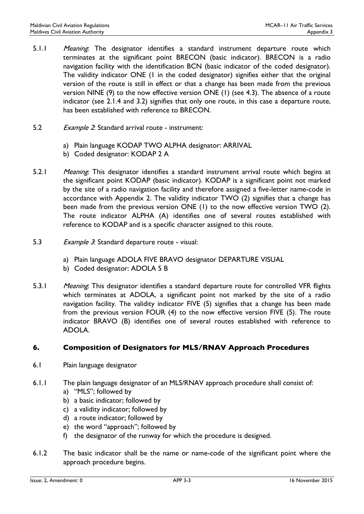- 5.1.1 Meaning: The designator identifies a standard instrument departure route which terminates at the significant point BRECON (basic indicator). BRECON is a radio navigation facility with the identification BCN (basic indicator of the coded designator). The validity indicator ONE (1 in the coded designator) signifies either that the original version of the route is still in effect or that a change has been made from the previous version NINE (9) to the now effective version ONE (1) (see 4.3). The absence of a route indicator (see 2.1.4 and 3.2) signifies that only one route, in this case a departure route, has been established with reference to BRECON.
- 5.2 Example 2: Standard arrival route instrument:
	- a) Plain language KODAP TWO ALPHA designator: ARRIVAL
	- b) Coded designator: KODAP 2 A
- 5.2.1 Meaning: This designator identifies a standard instrument arrival route which begins at the significant point KODAP (basic indicator). KODAP is a significant point not marked by the site of a radio navigation facility and therefore assigned a five-letter name-code in accordance with Appendix 2. The validity indicator TWO (2) signifies that a change has been made from the previous version ONE (1) to the now effective version TWO (2). The route indicator ALPHA (A) identifies one of several routes established with reference to KODAP and is a specific character assigned to this route.
- 5.3 Example 3: Standard departure route visual:
	- a) Plain language ADOLA FIVE BRAVO designator DEPARTURE VISUAL
	- b) Coded designator: ADOLA 5 B
- 5.3.1 Meaning: This designator identifies a standard departure route for controlled VFR flights which terminates at ADOLA, a significant point not marked by the site of a radio navigation facility. The validity indicator FIVE (5) signifies that a change has been made from the previous version FOUR (4) to the now effective version FIVE (5). The route indicator BRAVO (B) identifies one of several routes established with reference to ADOLA.

#### 6. Composition of Designators for MLS/RNAV Approach Procedures

- 6.1 Plain language designator
- 6.1.1 The plain language designator of an MLS/RNAV approach procedure shall consist of:
	- a) "MLS"; followed by
	- b) a basic indicator; followed by
	- c) a validity indicator; followed by
	- d) a route indicator; followed by
	- e) the word "approach"; followed by
	- f) the designator of the runway for which the procedure is designed.
- 6.1.2 The basic indicator shall be the name or name-code of the significant point where the approach procedure begins.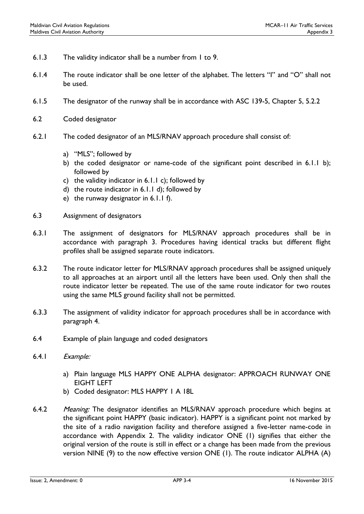- 6.1.3 The validity indicator shall be a number from 1 to 9.
- 6.1.4 The route indicator shall be one letter of the alphabet. The letters "I" and "O" shall not be used.
- 6.1.5 The designator of the runway shall be in accordance with ASC 139-5, Chapter 5, 5.2.2
- 6.2 Coded designator
- 6.2.1 The coded designator of an MLS/RNAV approach procedure shall consist of:
	- a) "MLS"; followed by
	- b) the coded designator or name-code of the significant point described in 6.1.1 b); followed by
	- c) the validity indicator in 6.1.1 c); followed by
	- d) the route indicator in 6.1.1 d); followed by
	- e) the runway designator in 6.1.1 f).
- 6.3 Assignment of designators
- 6.3.1 The assignment of designators for MLS/RNAV approach procedures shall be in accordance with paragraph 3. Procedures having identical tracks but different flight profiles shall be assigned separate route indicators.
- 6.3.2 The route indicator letter for MLS/RNAV approach procedures shall be assigned uniquely to all approaches at an airport until all the letters have been used. Only then shall the route indicator letter be repeated. The use of the same route indicator for two routes using the same MLS ground facility shall not be permitted.
- 6.3.3 The assignment of validity indicator for approach procedures shall be in accordance with paragraph 4.
- 6.4 Example of plain language and coded designators
- 6.4.1 Example:
	- a) Plain language MLS HAPPY ONE ALPHA designator: APPROACH RUNWAY ONE EIGHT LEFT
	- b) Coded designator: MLS HAPPY 1 A 18L
- 6.4.2 Meaning: The designator identifies an MLS/RNAV approach procedure which begins at the significant point HAPPY (basic indicator). HAPPY is a significant point not marked by the site of a radio navigation facility and therefore assigned a five-letter name-code in accordance with Appendix 2. The validity indicator ONE (1) signifies that either the original version of the route is still in effect or a change has been made from the previous version NINE (9) to the now effective version ONE (1). The route indicator ALPHA (A)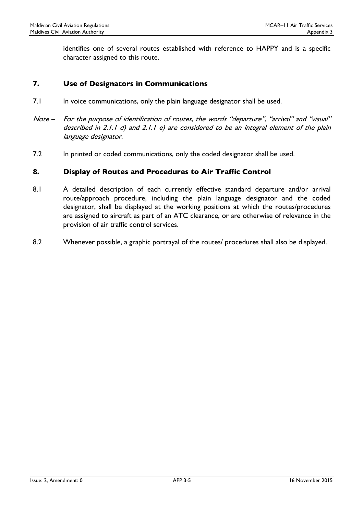identifies one of several routes established with reference to HAPPY and is a specific character assigned to this route.

#### 7. Use of Designators in Communications

- 7.1 In voice communications, only the plain language designator shall be used.
- Note For the purpose of identification of routes, the words "departure", "arrival" and "visual" described in 2.1.1 d) and 2.1.1 e) are considered to be an integral element of the plain language designator.
- 7.2 In printed or coded communications, only the coded designator shall be used.

#### 8. Display of Routes and Procedures to Air Traffic Control

- 8.1 A detailed description of each currently effective standard departure and/or arrival route/approach procedure, including the plain language designator and the coded designator, shall be displayed at the working positions at which the routes/procedures are assigned to aircraft as part of an ATC clearance, or are otherwise of relevance in the provision of air traffic control services.
- 8.2 Whenever possible, a graphic portrayal of the routes/ procedures shall also be displayed.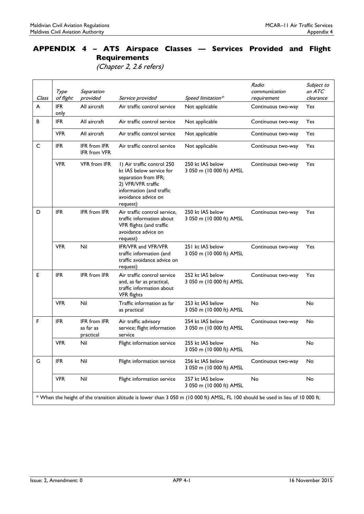(Chapter 2, 2.6 refers)

|                                                                                                                                  | Type               | Separation                                    |                                                                                                                                                                     |                                              | Radio<br>communication | Subject to<br>an $ATC$ |
|----------------------------------------------------------------------------------------------------------------------------------|--------------------|-----------------------------------------------|---------------------------------------------------------------------------------------------------------------------------------------------------------------------|----------------------------------------------|------------------------|------------------------|
| Class                                                                                                                            | of flight          | provided                                      | Service provided                                                                                                                                                    | Speed limitation*                            | requirement            | clearance              |
| A                                                                                                                                | <b>IFR</b><br>only | All aircraft                                  | Air traffic control service                                                                                                                                         | Not applicable                               | Continuous two-way     | <b>Yes</b>             |
| B                                                                                                                                | <b>IFR</b>         | All aircraft                                  | Air traffic control service                                                                                                                                         | Not applicable                               | Continuous two-way     | Yes                    |
|                                                                                                                                  | <b>VFR</b>         | All aircraft                                  | Air traffic control service                                                                                                                                         | Not applicable                               | Continuous two-way     | Yes                    |
| C                                                                                                                                | <b>IFR</b>         | <b>IFR</b> from IFR<br><b>IFR</b> from VFR    | Air traffic control service                                                                                                                                         | Not applicable                               | Continuous two-way     | Yes                    |
|                                                                                                                                  | <b>VFR</b>         | <b>VFR</b> from IFR                           | I) Air traffic control 250<br>kt IAS below service for<br>separation from IFR;<br>2) VFR/VFR traffic<br>information (and traffic<br>avoidance advice on<br>request) | 250 kt IAS below<br>3 050 m (10 000 ft) AMSL | Continuous two-way     | Yes                    |
| D                                                                                                                                | <b>IFR</b>         | <b>IFR</b> from IFR                           | Air traffic control service,<br>traffic information about<br>VFR flights (and traffic<br>avoidance advice on<br>request)                                            | 250 kt IAS below<br>3 050 m (10 000 ft) AMSL | Continuous two-way     | Yes                    |
|                                                                                                                                  | <b>VFR</b>         | Nil                                           | IFR/VFR and VFR/VFR<br>traffic information (and<br>traffic avoidance advice on<br>request)                                                                          | 251 kt IAS below<br>3 050 m (10 000 ft) AMSL | Continuous two-way     | Yes                    |
| E                                                                                                                                | <b>IFR</b>         | <b>IFR</b> from IFR                           | Air traffic control service<br>and, as far as practical,<br>traffic information about<br><b>VFR</b> flights                                                         | 252 kt IAS below<br>3 050 m (10 000 ft) AMSL | Continuous two-way     | Yes                    |
|                                                                                                                                  | <b>VFR</b>         | Nil                                           | Traffic information as far<br>as practical                                                                                                                          | 253 kt IAS below<br>3 050 m (10 000 ft) AMSL | No                     | No                     |
| F                                                                                                                                | <b>IFR</b>         | <b>IFR</b> from IFR<br>as far as<br>practical | Air traffic advisory<br>service; flight information<br>service                                                                                                      | 254 kt IAS below<br>3 050 m (10 000 ft) AMSL | Continuous two-way     | No                     |
|                                                                                                                                  | <b>VFR</b>         | Nil                                           | Flight information service                                                                                                                                          | 255 kt IAS below<br>3 050 m (10 000 ft) AMSL | <b>No</b>              | No                     |
| G                                                                                                                                | <b>IFR</b>         | Nil                                           | Flight information service                                                                                                                                          | 256 kt IAS below<br>3 050 m (10 000 ft) AMSL | Continuous two-way     | No                     |
|                                                                                                                                  | <b>VFR</b>         | Nil                                           | Flight information service                                                                                                                                          | 257 kt IAS below<br>3 050 m (10 000 ft) AMSL | No                     | No                     |
| * When the height of the transition altitude is lower than 3 050 m (10 000 ft) AMSL, FL 100 should be used in lieu of 10 000 ft. |                    |                                               |                                                                                                                                                                     |                                              |                        |                        |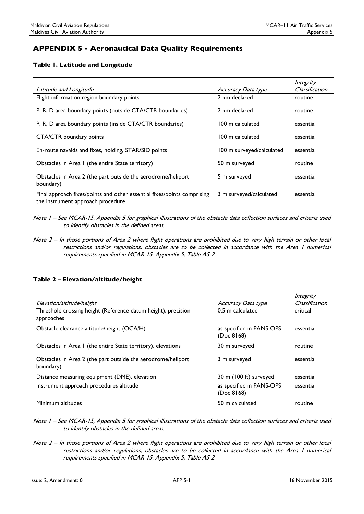## APPENDIX 5 - Aeronautical Data Quality Requirements

#### Table 1. Latitude and Longitude

| Latitude and Longitude                                                                                       | Accuracy Data type        | Integrity<br>Classification |
|--------------------------------------------------------------------------------------------------------------|---------------------------|-----------------------------|
| Flight information region boundary points                                                                    | 2 km declared             | routine                     |
| P, R, D area boundary points (outside CTA/CTR boundaries)                                                    | 2 km declared             | routine                     |
| P, R, D area boundary points (inside CTA/CTR boundaries)                                                     | 100 m calculated          | essential                   |
| CTA/CTR boundary points                                                                                      | 100 m calculated          | essential                   |
| En-route navaids and fixes, holding, STAR/SID points                                                         | 100 m surveyed/calculated | essential                   |
| Obstacles in Area I (the entire State territory)                                                             | 50 m surveyed             | routine                     |
| Obstacles in Area 2 (the part outside the aerodrome/heliport<br>boundary)                                    | 5 m surveyed              | essential                   |
| Final approach fixes/points and other essential fixes/points comprising<br>the instrument approach procedure | 3 m surveyed/calculated   | essential                   |

- Note 1 See MCAR-15, Appendix 5 for graphical illustrations of the obstacle data collection surfaces and criteria used to identify obstacles in the defined areas.
- Note 2 In those portions of Area 2 where flight operations are prohibited due to very high terrain or other local restrictions and/or regulations, obstacles are to be collected in accordance with the Area 1 numerical requirements specified in MCAR-15, Appendix 5, Table A5-2.

#### Table 2 – Elevation/altitude/height

|                                                                             |                                        | Integrity      |
|-----------------------------------------------------------------------------|----------------------------------------|----------------|
| Elevation/altitude/height                                                   | Accuracy Data type                     | Classification |
| Threshold crossing height (Reference datum height), precision<br>approaches | 0.5 m calculated                       | critical       |
| Obstacle clearance altitude/height (OCA/H)                                  | as specified in PANS-OPS<br>(Doc 8168) | essential      |
| Obstacles in Area I (the entire State territory), elevations                | 30 m surveyed                          | routine        |
| Obstacles in Area 2 (the part outside the aerodrome/heliport<br>boundary)   | 3 m surveyed                           | essential      |
| Distance measuring equipment (DME), elevation                               | 30 m (100 ft) surveyed                 | essential      |
| Instrument approach procedures altitude                                     | as specified in PANS-OPS<br>(Doc 8168) | essential      |
| Minimum altitudes                                                           | 50 m calculated                        | routine        |

Note 1 – See MCAR-15, Appendix 5 for graphical illustrations of the obstacle data collection surfaces and criteria used to identify obstacles in the defined areas.

Note 2 – In those portions of Area 2 where flight operations are prohibited due to very high terrain or other local restrictions and/or regulations, obstacles are to be collected in accordance with the Area 1 numerical requirements specified in MCAR-15, Appendix 5, Table A5-2.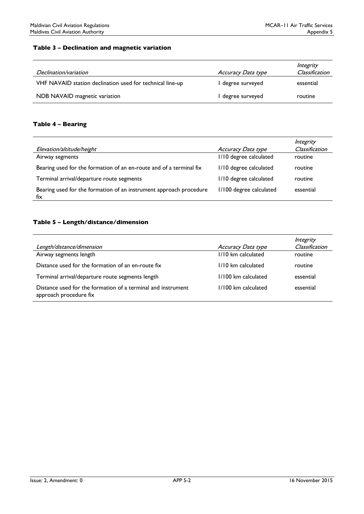#### Table 3 – Declination and magnetic variation

| Declination/variation                                     | Accuracy Data type | Integrity<br>Classification |
|-----------------------------------------------------------|--------------------|-----------------------------|
| VHF NAVAID station declination used for technical line-up | l degree surveyed  | essential                   |
| NDB NAVAID magnetic variation                             | l degree surveyed  | routine                     |

#### Table 4 – Bearing

| Elevation/altitude/height                                                 | Accuracy Data type      | Integrity<br>Classification |
|---------------------------------------------------------------------------|-------------------------|-----------------------------|
| Airway segments                                                           | I/I0 degree calculated  | routine                     |
| Bearing used for the formation of an en-route and of a terminal fix       | 1/10 degree calculated  | routine                     |
| Terminal arrival/departure route segments                                 | 1/10 degree calculated  | routine                     |
| Bearing used for the formation of an instrument approach procedure<br>fix | I/100 degree calculated | essential                   |

#### Table 5 – Length/distance/dimension

|                                                                                        |                     | Integrity      |
|----------------------------------------------------------------------------------------|---------------------|----------------|
| Length/distance/dimension                                                              | Accuracy Data type  | Classification |
| Airway segments length                                                                 | 1/10 km calculated  | routine        |
| Distance used for the formation of an en-route fix                                     | 1/10 km calculated  | routine        |
| Terminal arrival/departure route segments length                                       | 1/100 km calculated | essential      |
| Distance used for the formation of a terminal and instrument<br>approach procedure fix | 1/100 km calculated | essential      |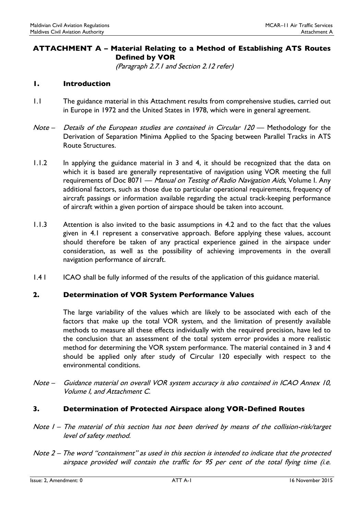# ATTACHMENT A – Material Relating to a Method of Establishing ATS Routes Defined by VOR

(Paragraph 2.7.1 and Section 2.12 refer)

### 1. Introduction

- 1.1 The guidance material in this Attachment results from comprehensive studies, carried out in Europe in 1972 and the United States in 1978, which were in general agreement.
- Note Details of the European studies are contained in Circular 120 Methodology for the Derivation of Separation Minima Applied to the Spacing between Parallel Tracks in ATS Route Structures.
- 1.1.2 In applying the guidance material in 3 and 4, it should be recognized that the data on which it is based are generally representative of navigation using VOR meeting the full requirements of Doc 8071 — Manual on Testing of Radio Navigation Aids, Volume I. Any additional factors, such as those due to particular operational requirements, frequency of aircraft passings or information available regarding the actual track-keeping performance of aircraft within a given portion of airspace should be taken into account.
- 1.1.3 Attention is also invited to the basic assumptions in 4.2 and to the fact that the values given in 4.1 represent a conservative approach. Before applying these values, account should therefore be taken of any practical experience gained in the airspace under consideration, as well as the possibility of achieving improvements in the overall navigation performance of aircraft.
- 1.4 I ICAO shall be fully informed of the results of the application of this guidance material.

## 2. Determination of VOR System Performance Values

The large variability of the values which are likely to be associated with each of the factors that make up the total VOR system, and the limitation of presently available methods to measure all these effects individually with the required precision, have led to the conclusion that an assessment of the total system error provides a more realistic method for determining the VOR system performance. The material contained in 3 and 4 should be applied only after study of Circular 120 especially with respect to the environmental conditions.

Note – Guidance material on overall VOR system accuracy is also contained in ICAO Annex 10, Volume I, and Attachment C.

#### 3. Determination of Protected Airspace along VOR-Defined Routes

- Note 1 The material of this section has not been derived by means of the collision-risk/target level of safety method.
- Note 2 The word "containment" as used in this section is intended to indicate that the protected airspace provided will contain the traffic for 95 per cent of the total flying time (i.e.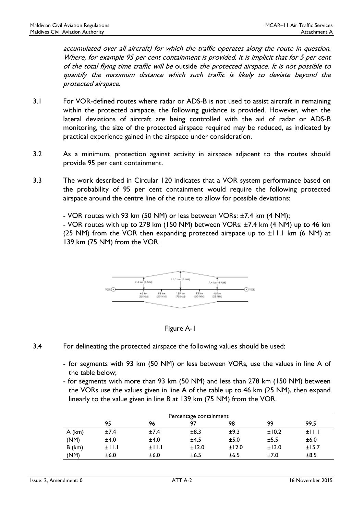accumulated over all aircraft) for which the traffic operates along the route in question. Where, for example 95 per cent containment is provided, it is implicit that for 5 per cent of the total flying time traffic will be outside the protected airspace. It is not possible to quantify the maximum distance which such traffic is likely to deviate beyond the protected airspace.

- 3.1 For VOR-defined routes where radar or ADS-B is not used to assist aircraft in remaining within the protected airspace, the following guidance is provided. However, when the lateral deviations of aircraft are being controlled with the aid of radar or ADS-B monitoring, the size of the protected airspace required may be reduced, as indicated by practical experience gained in the airspace under consideration.
- 3.2 As a minimum, protection against activity in airspace adjacent to the routes should provide 95 per cent containment.
- 3.3 The work described in Circular 120 indicates that a VOR system performance based on the probability of 95 per cent containment would require the following protected airspace around the centre line of the route to allow for possible deviations:
	- VOR routes with 93 km (50 NM) or less between VORs: ±7.4 km (4 NM);

- VOR routes with up to 278 km (150 NM) between VORs: ±7.4 km (4 NM) up to 46 km (25 NM) from the VOR then expanding protected airspace up to  $\pm$ 11.1 km (6 NM) at 139 km (75 NM) from the VOR.





- 3.4 For delineating the protected airspace the following values should be used:
	- for segments with 93 km (50 NM) or less between VORs, use the values in line A of the table below;
	- for segments with more than 93 km (50 NM) and less than 278 km (150 NM) between the VORs use the values given in line A of the table up to 46 km (25 NM), then expand linearly to the value given in line B at 139 km (75 NM) from the VOR.

| Percentage containment |       |       |       |       |       |       |
|------------------------|-------|-------|-------|-------|-------|-------|
|                        | 95    | 96    | 97    | 98    | 99    | 99.5  |
| $A$ (km)               | ±7.4  | ±7.4  | ±8.3  | ±9.3  | ±10.2 | ±11.1 |
| (NM)                   | ±4.0  | ±4.0  | ±4.5  | ±5.0  | ±5.5  | ±6.0  |
| $B$ (km)               | ±11.1 | ±11.1 | ±12.0 | ±12.0 | ±13.0 | ±15.7 |
| (NM)                   | ±6.0  | ±6.0  | ±6.5  | ±6.5  | ±7.0  | ±8.5  |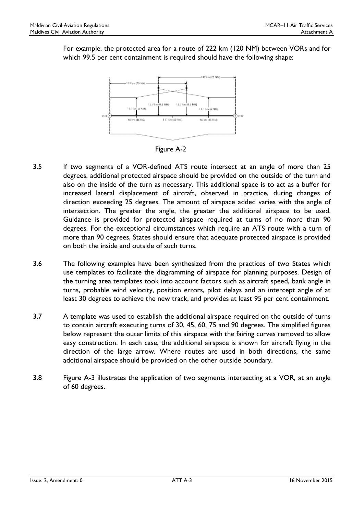For example, the protected area for a route of 222 km (120 NM) between VORs and for which 99.5 per cent containment is required should have the following shape:



Figure A-2

- 3.5 If two segments of a VOR-defined ATS route intersect at an angle of more than 25 degrees, additional protected airspace should be provided on the outside of the turn and also on the inside of the turn as necessary. This additional space is to act as a buffer for increased lateral displacement of aircraft, observed in practice, during changes of direction exceeding 25 degrees. The amount of airspace added varies with the angle of intersection. The greater the angle, the greater the additional airspace to be used. Guidance is provided for protected airspace required at turns of no more than 90 degrees. For the exceptional circumstances which require an ATS route with a turn of more than 90 degrees, States should ensure that adequate protected airspace is provided on both the inside and outside of such turns.
- 3.6 The following examples have been synthesized from the practices of two States which use templates to facilitate the diagramming of airspace for planning purposes. Design of the turning area templates took into account factors such as aircraft speed, bank angle in turns, probable wind velocity, position errors, pilot delays and an intercept angle of at least 30 degrees to achieve the new track, and provides at least 95 per cent containment.
- 3.7 A template was used to establish the additional airspace required on the outside of turns to contain aircraft executing turns of 30, 45, 60, 75 and 90 degrees. The simplified figures below represent the outer limits of this airspace with the fairing curves removed to allow easy construction. In each case, the additional airspace is shown for aircraft flying in the direction of the large arrow. Where routes are used in both directions, the same additional airspace should be provided on the other outside boundary.
- 3.8 Figure A-3 illustrates the application of two segments intersecting at a VOR, at an angle of 60 degrees.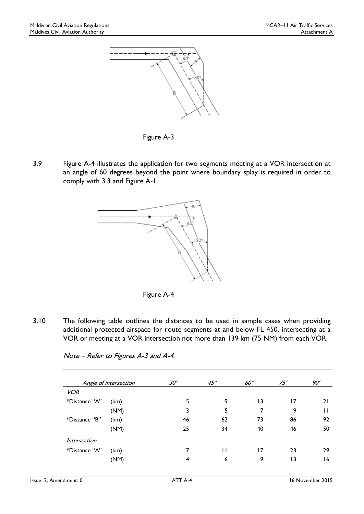

Figure A-3

3.9 Figure A-4 illustrates the application for two segments meeting at a VOR intersection at an angle of 60 degrees beyond the point where boundary splay is required in order to comply with 3.3 and Figure A-1.





3.10 The following table outlines the distances to be used in sample cases when providing additional protected airspace for route segments at and below FL 450, intersecting at a VOR or meeting at a VOR intersection not more than 139 km (75 NM) from each VOR.

|                     | Angle of intersection | $30^{\circ}$ | $45^\circ$ | $60^\circ$ | $75^\circ$      | $90^{\circ}$ |
|---------------------|-----------------------|--------------|------------|------------|-----------------|--------------|
| <b>VOR</b>          |                       |              |            |            |                 |              |
| *Distance "A"       | (km)                  | 5            | 9          | 13         | 17              | 21           |
|                     | (NM)                  | 3            | 5          | 7          | 9               | Н            |
| *Distance "B"       | (km)                  | 46           | 62         | 73         | 86              | 92           |
|                     | (NM)                  | 25           | 34         | 40         | 46              | 50           |
| <i>Intersection</i> |                       |              |            |            |                 |              |
| *Distance "A"       | (km)                  | 7            | П          | 17         | 23              | 29           |
|                     | (NM)                  | 4            | 6          | 9          | $\overline{13}$ | 16           |

Note – Refer to Figures A-3 and A-4.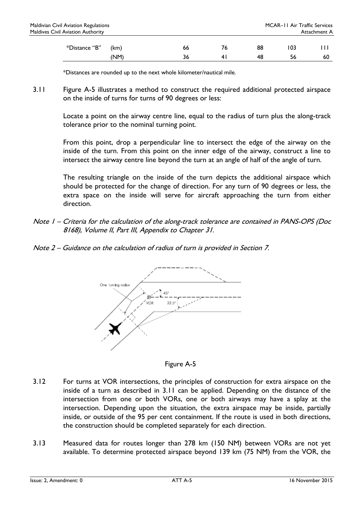\*Distances are rounded up to the next whole kilometer/nautical mile.

3.11 Figure A-5 illustrates a method to construct the required additional protected airspace on the inside of turns for turns of 90 degrees or less:

> Locate a point on the airway centre line, equal to the radius of turn plus the along-track tolerance prior to the nominal turning point.

> From this point, drop a perpendicular line to intersect the edge of the airway on the inside of the turn. From this point on the inner edge of the airway, construct a line to intersect the airway centre line beyond the turn at an angle of half of the angle of turn.

> The resulting triangle on the inside of the turn depicts the additional airspace which should be protected for the change of direction. For any turn of 90 degrees or less, the extra space on the inside will serve for aircraft approaching the turn from either direction.

- Note 1 Criteria for the calculation of the along-track tolerance are contained in PANS-OPS (Doc 8168), Volume II, Part III, Appendix to Chapter 31.
- Note 2 Guidance on the calculation of radius of turn is provided in Section 7.



Figure A-5

- 3.12 For turns at VOR intersections, the principles of construction for extra airspace on the inside of a turn as described in 3.11 can be applied. Depending on the distance of the intersection from one or both VORs, one or both airways may have a splay at the intersection. Depending upon the situation, the extra airspace may be inside, partially inside, or outside of the 95 per cent containment. If the route is used in both directions, the construction should be completed separately for each direction.
- 3.13 Measured data for routes longer than 278 km (150 NM) between VORs are not yet available. To determine protected airspace beyond 139 km (75 NM) from the VOR, the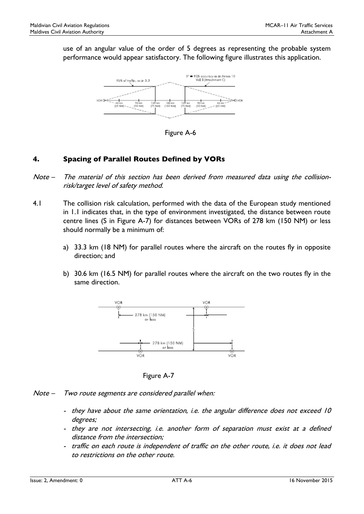use of an angular value of the order of 5 degrees as representing the probable system performance would appear satisfactory. The following figure illustrates this application.



Figure A-6

# 4. Spacing of Parallel Routes Defined by VORs

- Note The material of this section has been derived from measured data using the collisionrisk/target level of safety method.
- 4.1 The collision risk calculation, performed with the data of the European study mentioned in 1.1 indicates that, in the type of environment investigated, the distance between route centre lines (S in Figure A-7) for distances between VORs of 278 km (150 NM) or less should normally be a minimum of:
	- a) 33.3 km (18 NM) for parallel routes where the aircraft on the routes fly in opposite direction; and
	- b) 30.6 km (16.5 NM) for parallel routes where the aircraft on the two routes fly in the same direction.



Figure A-7

- Note Two route segments are considered parallel when:
	- they have about the same orientation, i.e. the angular difference does not exceed 10 degrees;
	- they are not intersecting, i.e. another form of separation must exist at a defined distance from the intersection;
	- traffic on each route is independent of traffic on the other route, i.e. it does not lead to restrictions on the other route.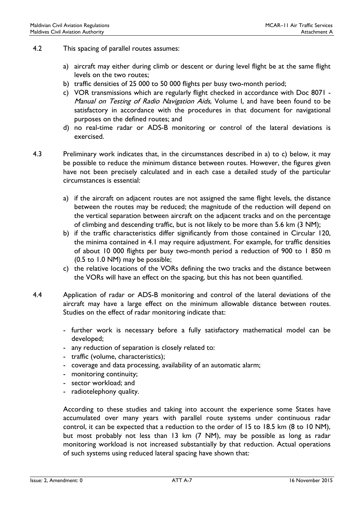- 4.2 This spacing of parallel routes assumes:
	- a) aircraft may either during climb or descent or during level flight be at the same flight levels on the two routes;
	- b) traffic densities of 25 000 to 50 000 flights per busy two-month period;
	- c) VOR transmissions which are regularly flight checked in accordance with Doc 8071 Manual on Testing of Radio Navigation Aids, Volume I, and have been found to be satisfactory in accordance with the procedures in that document for navigational purposes on the defined routes; and
	- d) no real-time radar or ADS-B monitoring or control of the lateral deviations is exercised.
- 4.3 Preliminary work indicates that, in the circumstances described in a) to c) below, it may be possible to reduce the minimum distance between routes. However, the figures given have not been precisely calculated and in each case a detailed study of the particular circumstances is essential:
	- a) if the aircraft on adjacent routes are not assigned the same flight levels, the distance between the routes may be reduced; the magnitude of the reduction will depend on the vertical separation between aircraft on the adjacent tracks and on the percentage of climbing and descending traffic, but is not likely to be more than 5.6 km (3 NM);
	- b) if the traffic characteristics differ significantly from those contained in Circular 120, the minima contained in 4.1 may require adjustment. For example, for traffic densities of about 10 000 flights per busy two-month period a reduction of 900 to 1 850 m (0.5 to 1.0 NM) may be possible;
	- c) the relative locations of the VORs defining the two tracks and the distance between the VORs will have an effect on the spacing, but this has not been quantified.
- 4.4 Application of radar or ADS-B monitoring and control of the lateral deviations of the aircraft may have a large effect on the minimum allowable distance between routes. Studies on the effect of radar monitoring indicate that:
	- further work is necessary before a fully satisfactory mathematical model can be developed;
	- any reduction of separation is closely related to:
	- traffic (volume, characteristics);
	- coverage and data processing, availability of an automatic alarm;
	- monitoring continuity;
	- sector workload; and
	- radiotelephony quality.

According to these studies and taking into account the experience some States have accumulated over many years with parallel route systems under continuous radar control, it can be expected that a reduction to the order of 15 to 18.5 km (8 to 10 NM), but most probably not less than 13 km (7 NM), may be possible as long as radar monitoring workload is not increased substantially by that reduction. Actual operations of such systems using reduced lateral spacing have shown that: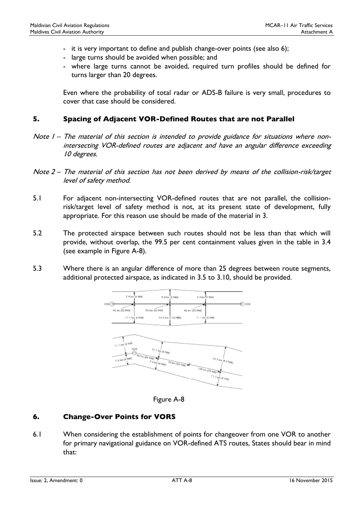- it is very important to define and publish change-over points (see also 6);
- large turns should be avoided when possible; and
- where large turns cannot be avoided, required turn profiles should be defined for turns larger than 20 degrees.

Even where the probability of total radar or ADS-B failure is very small, procedures to cover that case should be considered.

## 5. Spacing of Adjacent VOR-Defined Routes that are not Parallel

- Note I The material of this section is intended to provide guidance for situations where nonintersecting VOR-defined routes are adjacent and have an angular difference exceeding 10 degrees.
- Note 2 The material of this section has not been derived by means of the collision-risk/target level of safety method.
- 5.1 For adjacent non-intersecting VOR-defined routes that are not parallel, the collisionrisk/target level of safety method is not, at its present state of development, fully appropriate. For this reason use should be made of the material in 3.
- 5.2 The protected airspace between such routes should not be less than that which will provide, without overlap, the 99.5 per cent containment values given in the table in 3.4 (see example in Figure A-8).
- 5.3 Where there is an angular difference of more than 25 degrees between route segments, additional protected airspace, as indicated in 3.5 to 3.10, should be provided.





# 6. Change-Over Points for VORS

6.1 When considering the establishment of points for changeover from one VOR to another for primary navigational guidance on VOR-defined ATS routes, States should bear in mind that: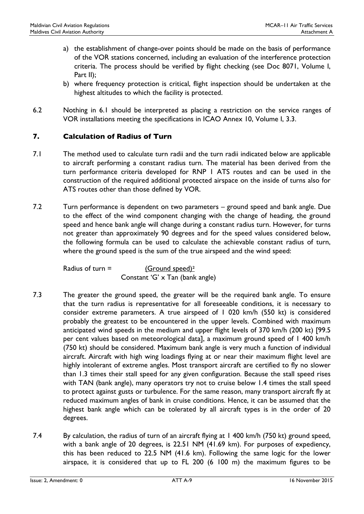- a) the establishment of change-over points should be made on the basis of performance of the VOR stations concerned, including an evaluation of the interference protection criteria. The process should be verified by flight checking (see Doc 8071, Volume I, Part II);
- b) where frequency protection is critical, flight inspection should be undertaken at the highest altitudes to which the facility is protected.
- 6.2 Nothing in 6.1 should be interpreted as placing a restriction on the service ranges of VOR installations meeting the specifications in ICAO Annex 10, Volume I, 3.3.

# 7. Calculation of Radius of Turn

- 7.1 The method used to calculate turn radii and the turn radii indicated below are applicable to aircraft performing a constant radius turn. The material has been derived from the turn performance criteria developed for RNP 1 ATS routes and can be used in the construction of the required additional protected airspace on the inside of turns also for ATS routes other than those defined by VOR.
- 7.2 Turn performance is dependent on two parameters ground speed and bank angle. Due to the effect of the wind component changing with the change of heading, the ground speed and hence bank angle will change during a constant radius turn. However, for turns not greater than approximately 90 degrees and for the speed values considered below, the following formula can be used to calculate the achievable constant radius of turn, where the ground speed is the sum of the true airspeed and the wind speed:

Radius of turn  $=$  (Ground speed)<sup>2</sup> Constant 'G' x Tan (bank angle)

- 7.3 The greater the ground speed, the greater will be the required bank angle. To ensure that the turn radius is representative for all foreseeable conditions, it is necessary to consider extreme parameters. A true airspeed of 1 020 km/h (550 kt) is considered probably the greatest to be encountered in the upper levels. Combined with maximum anticipated wind speeds in the medium and upper flight levels of 370 km/h (200 kt) [99.5 per cent values based on meteorological data], a maximum ground speed of 1 400 km/h (750 kt) should be considered. Maximum bank angle is very much a function of individual aircraft. Aircraft with high wing loadings flying at or near their maximum flight level are highly intolerant of extreme angles. Most transport aircraft are certified to fly no slower than 1.3 times their stall speed for any given configuration. Because the stall speed rises with TAN (bank angle), many operators try not to cruise below 1.4 times the stall speed to protect against gusts or turbulence. For the same reason, many transport aircraft fly at reduced maximum angles of bank in cruise conditions. Hence, it can be assumed that the highest bank angle which can be tolerated by all aircraft types is in the order of 20 degrees.
- 7.4 By calculation, the radius of turn of an aircraft flying at 1 400 km/h (750 kt) ground speed, with a bank angle of 20 degrees, is 22.51 NM (41.69 km). For purposes of expediency, this has been reduced to 22.5 NM (41.6 km). Following the same logic for the lower airspace, it is considered that up to FL 200 (6 100 m) the maximum figures to be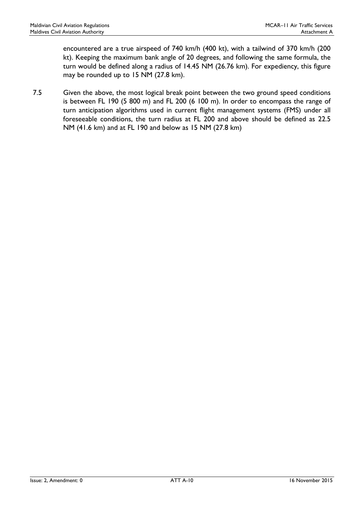encountered are a true airspeed of 740 km/h (400 kt), with a tailwind of 370 km/h (200 kt). Keeping the maximum bank angle of 20 degrees, and following the same formula, the turn would be defined along a radius of 14.45 NM (26.76 km). For expediency, this figure may be rounded up to 15 NM (27.8 km).

7.5 Given the above, the most logical break point between the two ground speed conditions is between FL 190 (5 800 m) and FL 200 (6 100 m). In order to encompass the range of turn anticipation algorithms used in current flight management systems (FMS) under all foreseeable conditions, the turn radius at FL 200 and above should be defined as 22.5 NM (41.6 km) and at FL 190 and below as 15 NM (27.8 km)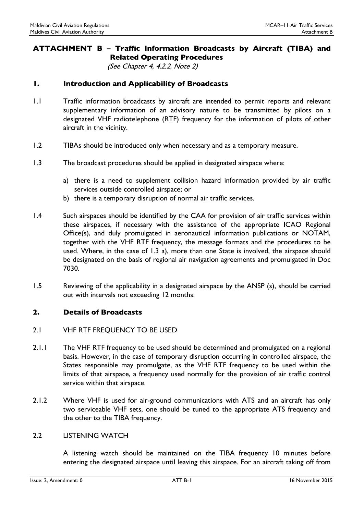# ATTACHMENT B – Traffic Information Broadcasts by Aircraft (TIBA) and Related Operating Procedures

(See Chapter 4, 4.2.2, Note 2)

## 1. Introduction and Applicability of Broadcasts

- 1.1 Traffic information broadcasts by aircraft are intended to permit reports and relevant supplementary information of an advisory nature to be transmitted by pilots on a designated VHF radiotelephone (RTF) frequency for the information of pilots of other aircraft in the vicinity.
- 1.2 TIBAs should be introduced only when necessary and as a temporary measure.
- 1.3 The broadcast procedures should be applied in designated airspace where:
	- a) there is a need to supplement collision hazard information provided by air traffic services outside controlled airspace; or
	- b) there is a temporary disruption of normal air traffic services.
- 1.4 Such airspaces should be identified by the CAA for provision of air traffic services within these airspaces, if necessary with the assistance of the appropriate ICAO Regional Office(s), and duly promulgated in aeronautical information publications or NOTAM, together with the VHF RTF frequency, the message formats and the procedures to be used. Where, in the case of 1.3 a), more than one State is involved, the airspace should be designated on the basis of regional air navigation agreements and promulgated in Doc 7030.
- 1.5 Reviewing of the applicability in a designated airspace by the ANSP (s), should be carried out with intervals not exceeding 12 months.

## 2. Details of Broadcasts

#### 2.1 VHF RTF FREQUENCY TO BE USED

- 2.1.1 The VHF RTF frequency to be used should be determined and promulgated on a regional basis. However, in the case of temporary disruption occurring in controlled airspace, the States responsible may promulgate, as the VHF RTF frequency to be used within the limits of that airspace, a frequency used normally for the provision of air traffic control service within that airspace.
- 2.1.2 Where VHF is used for air-ground communications with ATS and an aircraft has only two serviceable VHF sets, one should be tuned to the appropriate ATS frequency and the other to the TIBA frequency.

#### 2.2 LISTENING WATCH

A listening watch should be maintained on the TIBA frequency 10 minutes before entering the designated airspace until leaving this airspace. For an aircraft taking off from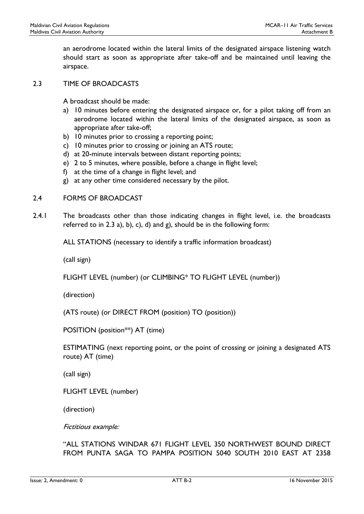an aerodrome located within the lateral limits of the designated airspace listening watch should start as soon as appropriate after take-off and be maintained until leaving the airspace.

### 2.3 TIME OF BROADCASTS

A broadcast should be made:

- a) 10 minutes before entering the designated airspace or, for a pilot taking off from an aerodrome located within the lateral limits of the designated airspace, as soon as appropriate after take-off;
- b) 10 minutes prior to crossing a reporting point;
- c) 10 minutes prior to crossing or joining an ATS route;
- d) at 20-minute intervals between distant reporting points;
- e) 2 to 5 minutes, where possible, before a change in flight level;
- f) at the time of a change in flight level; and
- g) at any other time considered necessary by the pilot.

### 2.4 FORMS OF BROADCAST

2.4.1 The broadcasts other than those indicating changes in flight level, i.e. the broadcasts referred to in 2.3 a), b), c), d) and g), should be in the following form:

ALL STATIONS (necessary to identify a traffic information broadcast)

(call sign)

FLIGHT LEVEL (number) (or CLIMBING\* TO FLIGHT LEVEL (number))

(direction)

(ATS route) (or DIRECT FROM (position) TO (position))

POSITION (position\*\*) AT (time)

ESTIMATING (next reporting point, or the point of crossing or joining a designated ATS route) AT (time)

(call sign)

FLIGHT LEVEL (number)

(direction)

Fictitious example:

"ALL STATIONS WINDAR 671 FLIGHT LEVEL 350 NORTHWEST BOUND DIRECT FROM PUNTA SAGA TO PAMPA POSITION 5040 SOUTH 2010 EAST AT 2358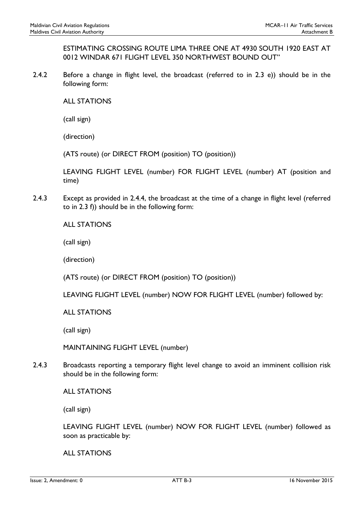ESTIMATING CROSSING ROUTE LIMA THREE ONE AT 4930 SOUTH 1920 EAST AT 0012 WINDAR 671 FLIGHT LEVEL 350 NORTHWEST BOUND OUT"

2.4.2 Before a change in flight level, the broadcast (referred to in 2.3 e)) should be in the following form:

ALL STATIONS

(call sign)

(direction)

(ATS route) (or DIRECT FROM (position) TO (position))

LEAVING FLIGHT LEVEL (number) FOR FLIGHT LEVEL (number) AT (position and time)

2.4.3 Except as provided in 2.4.4, the broadcast at the time of a change in flight level (referred to in 2.3 f)) should be in the following form:

ALL STATIONS

(call sign)

(direction)

(ATS route) (or DIRECT FROM (position) TO (position))

LEAVING FLIGHT LEVEL (number) NOW FOR FLIGHT LEVEL (number) followed by:

ALL STATIONS

(call sign)

MAINTAINING FLIGHT LEVEL (number)

2.4.3 Broadcasts reporting a temporary flight level change to avoid an imminent collision risk should be in the following form:

ALL STATIONS

(call sign)

LEAVING FLIGHT LEVEL (number) NOW FOR FLIGHT LEVEL (number) followed as soon as practicable by:

ALL STATIONS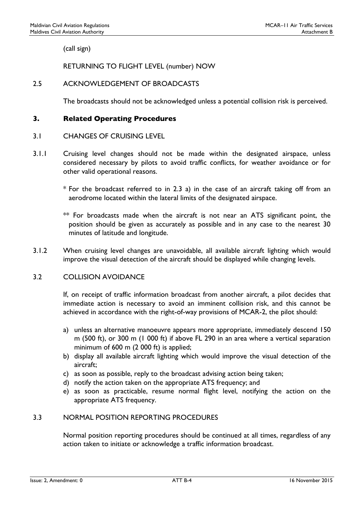(call sign)

RETURNING TO FLIGHT LEVEL (number) NOW

## 2.5 ACKNOWLEDGEMENT OF BROADCASTS

The broadcasts should not be acknowledged unless a potential collision risk is perceived.

### 3. Related Operating Procedures

### 3.1 CHANGES OF CRUISING LEVEL

- 3.1.1 Cruising level changes should not be made within the designated airspace, unless considered necessary by pilots to avoid traffic conflicts, for weather avoidance or for other valid operational reasons.
	- \* For the broadcast referred to in 2.3 a) in the case of an aircraft taking off from an aerodrome located within the lateral limits of the designated airspace.
	- $**$  For broadcasts made when the aircraft is not near an ATS significant point, the position should be given as accurately as possible and in any case to the nearest 30 minutes of latitude and longitude.
- 3.1.2 When cruising level changes are unavoidable, all available aircraft lighting which would improve the visual detection of the aircraft should be displayed while changing levels.

## 3.2 COLLISION AVOIDANCE

If, on receipt of traffic information broadcast from another aircraft, a pilot decides that immediate action is necessary to avoid an imminent collision risk, and this cannot be achieved in accordance with the right-of-way provisions of MCAR-2, the pilot should:

- a) unless an alternative manoeuvre appears more appropriate, immediately descend 150 m (500 ft), or 300 m (1 000 ft) if above FL 290 in an area where a vertical separation minimum of 600 m (2 000 ft) is applied;
- b) display all available aircraft lighting which would improve the visual detection of the aircraft;
- c) as soon as possible, reply to the broadcast advising action being taken;
- d) notify the action taken on the appropriate ATS frequency; and
- e) as soon as practicable, resume normal flight level, notifying the action on the appropriate ATS frequency.

#### 3.3 NORMAL POSITION REPORTING PROCEDURES

Normal position reporting procedures should be continued at all times, regardless of any action taken to initiate or acknowledge a traffic information broadcast.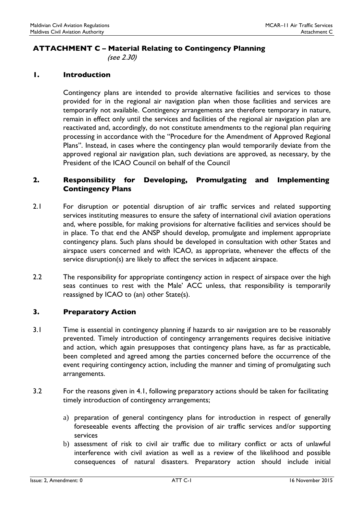## ATTACHMENT C – Material Relating to Contingency Planning

(see 2.30)

### 1. Introduction

Contingency plans are intended to provide alternative facilities and services to those provided for in the regional air navigation plan when those facilities and services are temporarily not available. Contingency arrangements are therefore temporary in nature, remain in effect only until the services and facilities of the regional air navigation plan are reactivated and, accordingly, do not constitute amendments to the regional plan requiring processing in accordance with the "Procedure for the Amendment of Approved Regional Plans". Instead, in cases where the contingency plan would temporarily deviate from the approved regional air navigation plan, such deviations are approved, as necessary, by the President of the ICAO Council on behalf of the Council

## 2. Responsibility for Developing, Promulgating and Implementing Contingency Plans

- 2.1 For disruption or potential disruption of air traffic services and related supporting services instituting measures to ensure the safety of international civil aviation operations and, where possible, for making provisions for alternative facilities and services should be in place. To that end the ANSP should develop, promulgate and implement appropriate contingency plans. Such plans should be developed in consultation with other States and airspace users concerned and with ICAO, as appropriate, whenever the effects of the service disruption(s) are likely to affect the services in adjacent airspace.
- 2.2 The responsibility for appropriate contingency action in respect of airspace over the high seas continues to rest with the Male' ACC unless, that responsibility is temporarily reassigned by ICAO to (an) other State(s).

## 3. Preparatory Action

- 3.1 Time is essential in contingency planning if hazards to air navigation are to be reasonably prevented. Timely introduction of contingency arrangements requires decisive initiative and action, which again presupposes that contingency plans have, as far as practicable, been completed and agreed among the parties concerned before the occurrence of the event requiring contingency action, including the manner and timing of promulgating such arrangements.
- 3.2 For the reasons given in 4.1, following preparatory actions should be taken for facilitating timely introduction of contingency arrangements;
	- a) preparation of general contingency plans for introduction in respect of generally foreseeable events affecting the provision of air traffic services and/or supporting services
	- b) assessment of risk to civil air traffic due to military conflict or acts of unlawful interference with civil aviation as well as a review of the likelihood and possible consequences of natural disasters. Preparatory action should include initial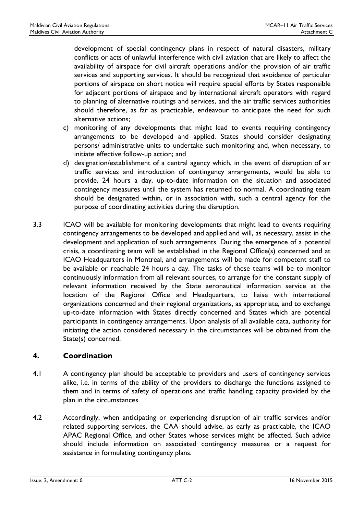development of special contingency plans in respect of natural disasters, military conflicts or acts of unlawful interference with civil aviation that are likely to affect the availability of airspace for civil aircraft operations and/or the provision of air traffic services and supporting services. It should be recognized that avoidance of particular portions of airspace on short notice will require special efforts by States responsible for adjacent portions of airspace and by international aircraft operators with regard to planning of alternative routings and services, and the air traffic services authorities should therefore, as far as practicable, endeavour to anticipate the need for such alternative actions;

- c) monitoring of any developments that might lead to events requiring contingency arrangements to be developed and applied. States should consider designating persons/ administrative units to undertake such monitoring and, when necessary, to initiate effective follow-up action; and
- d) designation/establishment of a central agency which, in the event of disruption of air traffic services and introduction of contingency arrangements, would be able to provide, 24 hours a day, up-to-date information on the situation and associated contingency measures until the system has returned to normal. A coordinating team should be designated within, or in association with, such a central agency for the purpose of coordinating activities during the disruption.
- 3.3 ICAO will be available for monitoring developments that might lead to events requiring contingency arrangements to be developed and applied and will, as necessary, assist in the development and application of such arrangements. During the emergence of a potential crisis, a coordinating team will be established in the Regional Office(s) concerned and at ICAO Headquarters in Montreal, and arrangements will be made for competent staff to be available or reachable 24 hours a day. The tasks of these teams will be to monitor continuously information from all relevant sources, to arrange for the constant supply of relevant information received by the State aeronautical information service at the location of the Regional Office and Headquarters, to liaise with international organizations concerned and their regional organizations, as appropriate, and to exchange up-to-date information with States directly concerned and States which are potential participants in contingency arrangements. Upon analysis of all available data, authority for initiating the action considered necessary in the circumstances will be obtained from the State(s) concerned.

## 4. Coordination

- 4.1 A contingency plan should be acceptable to providers and users of contingency services alike, i.e. in terms of the ability of the providers to discharge the functions assigned to them and in terms of safety of operations and traffic handling capacity provided by the plan in the circumstances.
- 4.2 Accordingly, when anticipating or experiencing disruption of air traffic services and/or related supporting services, the CAA should advise, as early as practicable, the ICAO APAC Regional Office, and other States whose services might be affected. Such advice should include information on associated contingency measures or a request for assistance in formulating contingency plans.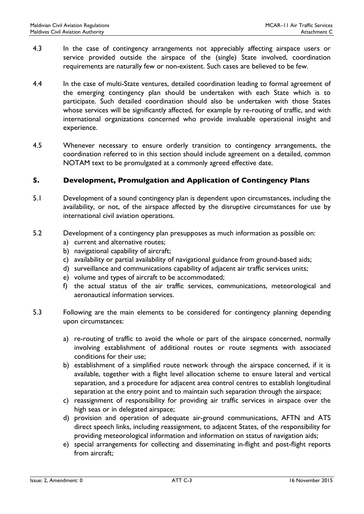- 4.3 In the case of contingency arrangements not appreciably affecting airspace users or service provided outside the airspace of the (single) State involved, coordination requirements are naturally few or non-existent. Such cases are believed to be few.
- 4.4 In the case of multi-State ventures, detailed coordination leading to formal agreement of the emerging contingency plan should be undertaken with each State which is to participate. Such detailed coordination should also be undertaken with those States whose services will be significantly affected, for example by re-routing of traffic, and with international organizations concerned who provide invaluable operational insight and experience.
- 4.5 Whenever necessary to ensure orderly transition to contingency arrangements, the coordination referred to in this section should include agreement on a detailed, common NOTAM text to be promulgated at a commonly agreed effective date.

## 5. Development, Promulgation and Application of Contingency Plans

- 5.1 Development of a sound contingency plan is dependent upon circumstances, including the availability, or not, of the airspace affected by the disruptive circumstances for use by international civil aviation operations.
- 5.2 Development of a contingency plan presupposes as much information as possible on:
	- a) current and alternative routes;
	- b) navigational capability of aircraft;
	- c) availability or partial availability of navigational guidance from ground-based aids;
	- d) surveillance and communications capability of adjacent air traffic services units;
	- e) volume and types of aircraft to be accommodated;
	- f) the actual status of the air traffic services, communications, meteorological and aeronautical information services.
- 5.3 Following are the main elements to be considered for contingency planning depending upon circumstances:
	- a) re-routing of traffic to avoid the whole or part of the airspace concerned, normally involving establishment of additional routes or route segments with associated conditions for their use;
	- b) establishment of a simplified route network through the airspace concerned, if it is available, together with a flight level allocation scheme to ensure lateral and vertical separation, and a procedure for adjacent area control centres to establish longitudinal separation at the entry point and to maintain such separation through the airspace;
	- c) reassignment of responsibility for providing air traffic services in airspace over the high seas or in delegated airspace;
	- d) provision and operation of adequate air-ground communications, AFTN and ATS direct speech links, including reassignment, to adjacent States, of the responsibility for providing meteorological information and information on status of navigation aids;
	- e) special arrangements for collecting and disseminating in-flight and post-flight reports from aircraft;